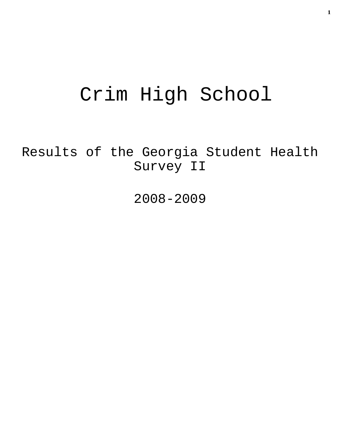# Crim High School

Results of the Georgia Student Health Survey II

2008-2009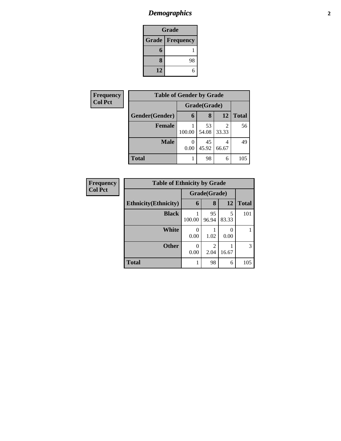## *Demographics* **2**

| Grade                    |    |  |  |  |
|--------------------------|----|--|--|--|
| <b>Grade   Frequency</b> |    |  |  |  |
| 6                        |    |  |  |  |
| 8                        | 98 |  |  |  |
| 12                       |    |  |  |  |

| Frequency      | <b>Table of Gender by Grade</b> |                  |             |            |              |
|----------------|---------------------------------|------------------|-------------|------------|--------------|
| <b>Col Pct</b> |                                 | Grade(Grade)     |             |            |              |
|                | Gender(Gender)                  | 6                | 8           | 12         | <b>Total</b> |
|                | <b>Female</b>                   | 100.00           | 53<br>54.08 | 2<br>33.33 | 56           |
|                | <b>Male</b>                     | $\theta$<br>0.00 | 45<br>45.92 | 4<br>66.67 | 49           |
|                | <b>Total</b>                    |                  | 98          | 6          | 105          |

| <b>Frequency</b> | <b>Table of Ethnicity by Grade</b> |                           |                        |            |              |
|------------------|------------------------------------|---------------------------|------------------------|------------|--------------|
| <b>Col Pct</b>   |                                    | Grade(Grade)              |                        |            |              |
|                  | <b>Ethnicity</b> (Ethnicity)       | 6                         | 8                      | 12         | <b>Total</b> |
|                  | <b>Black</b>                       | 100.00                    | 95<br>96.94            | 5<br>83.33 | 101          |
|                  | White                              | 0.00                      | 1.02                   | 0.00       |              |
|                  | <b>Other</b>                       | $\mathbf{\Omega}$<br>0.00 | $\mathfrak{D}$<br>2.04 | 16.67      | 3            |
|                  | <b>Total</b>                       |                           | 98                     | 6          | 105          |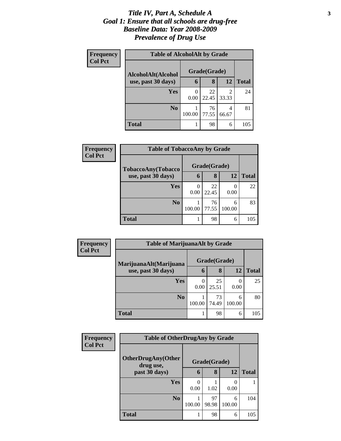#### *Title IV, Part A, Schedule A* **3** *Goal 1: Ensure that all schools are drug-free Baseline Data: Year 2008-2009 Prevalence of Drug Use*

| Frequency      | <b>Table of AlcoholAlt by Grade</b> |                  |             |            |              |  |
|----------------|-------------------------------------|------------------|-------------|------------|--------------|--|
| <b>Col Pct</b> | AlcoholAlt(Alcohol                  | Grade(Grade)     |             |            |              |  |
|                | use, past 30 days)                  | 6                | 8           | 12         | <b>Total</b> |  |
|                | Yes                                 | $\Omega$<br>0.00 | 22<br>22.45 | 2<br>33.33 | 24           |  |
|                | N <sub>0</sub>                      | 100.00           | 76<br>77.55 | 4<br>66.67 | 81           |  |
|                | <b>Total</b>                        |                  | 98          | 6          | 105          |  |

| Frequency<br><b>Col Pct</b> | <b>Table of TobaccoAny by Grade</b> |        |              |             |              |
|-----------------------------|-------------------------------------|--------|--------------|-------------|--------------|
|                             | TobaccoAny(Tobacco                  |        | Grade(Grade) |             |              |
|                             | use, past 30 days)                  | 6      | 8            | 12          | <b>Total</b> |
|                             | Yes                                 | 0.00   | 22<br>22.45  | 0.00        | 22           |
|                             | N <sub>0</sub>                      | 100.00 | 76<br>77.55  | 6<br>100.00 | 83           |
|                             | <b>Total</b>                        |        | 98           | 6           | 105          |

| Frequency      | <b>Table of MarijuanaAlt by Grade</b> |              |             |             |       |
|----------------|---------------------------------------|--------------|-------------|-------------|-------|
| <b>Col Pct</b> | MarijuanaAlt(Marijuana                | Grade(Grade) |             |             |       |
|                | use, past 30 days)                    | 6            | 8           | 12          | Total |
|                | Yes                                   | 0.00         | 25<br>25.51 | 0.00        | 25    |
|                | N <sub>0</sub>                        | 100.00       | 73<br>74.49 | 6<br>100.00 | 80    |
|                | <b>Total</b>                          |              | 98          | 6           | 105   |

| <b>Frequency</b><br><b>Col Pct</b> | <b>Table of OtherDrugAny by Grade</b>  |        |              |             |              |
|------------------------------------|----------------------------------------|--------|--------------|-------------|--------------|
|                                    | <b>OtherDrugAny(Other</b><br>drug use, |        | Grade(Grade) |             |              |
|                                    | past 30 days)                          | 6      | 8            | 12          | <b>Total</b> |
|                                    | Yes                                    | 0.00   | 1.02         | 0.00        |              |
|                                    | N <sub>0</sub>                         | 100.00 | 97<br>98.98  | 6<br>100.00 | 104          |
|                                    | <b>Total</b>                           | 1      | 98           | 6           | 105          |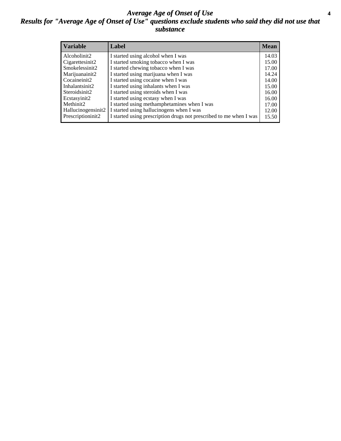#### *Average Age of Onset of Use* **4** *Results for "Average Age of Onset of Use" questions exclude students who said they did not use that substance*

| <b>Variable</b>    | Label                                                              | <b>Mean</b> |
|--------------------|--------------------------------------------------------------------|-------------|
| Alcoholinit2       | I started using alcohol when I was                                 | 14.03       |
| Cigarettesinit2    | I started smoking tobacco when I was                               | 15.00       |
| Smokelessinit2     | I started chewing tobacco when I was                               | 17.00       |
| Marijuanainit2     | I started using marijuana when I was                               | 14.24       |
| Cocaineinit2       | I started using cocaine when I was                                 | 14.00       |
| Inhalantsinit2     | I started using inhalants when I was                               | 15.00       |
| Steroidsinit2      | I started using steroids when I was                                | 16.00       |
| Ecstasyinit2       | I started using ecstasy when I was                                 | 16.00       |
| Methinit2          | I started using methamphetamines when I was                        | 17.00       |
| Hallucinogensinit2 | I started using hallucinogens when I was                           | 12.00       |
| Prescriptioninit2  | I started using prescription drugs not prescribed to me when I was | 15.50       |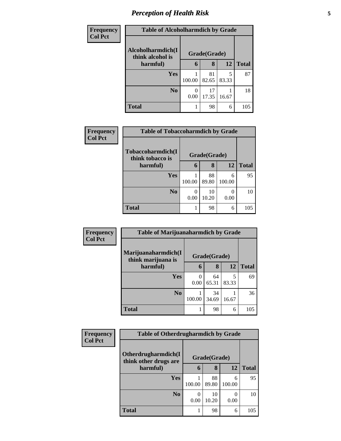## *Perception of Health Risk* **5**

| <b>Frequency</b> | <b>Table of Alcoholharmdich by Grade</b> |              |             |            |              |
|------------------|------------------------------------------|--------------|-------------|------------|--------------|
| <b>Col Pct</b>   | Alcoholharmdich(I<br>think alcohol is    | Grade(Grade) |             |            |              |
|                  | harmful)                                 | 6            | 8           | 12         | <b>Total</b> |
|                  | Yes                                      | 100.00       | 81<br>82.65 | 5<br>83.33 | 87           |
|                  | N <sub>0</sub>                           | 0.00         | 17<br>17.35 | 16.67      | 18           |
|                  | <b>Total</b>                             |              | 98          | 6          | 105          |

| <b>Frequency</b> | <b>Table of Tobaccoharmdich by Grade</b> |              |             |             |              |
|------------------|------------------------------------------|--------------|-------------|-------------|--------------|
| <b>Col Pct</b>   | Tobaccoharmdich(I<br>think tobacco is    | Grade(Grade) |             |             |              |
|                  | harmful)                                 | 6            | 8           | 12          | <b>Total</b> |
|                  | Yes                                      | 100.00       | 88<br>89.80 | 6<br>100.00 | 95           |
|                  | N <sub>0</sub>                           | 0<br>0.00    | 10<br>10.20 | 0.00        | 10           |
|                  | <b>Total</b>                             | 1            | 98          | 6           | 105          |

| Frequency      | <b>Table of Marijuanaharmdich by Grade</b> |                  |             |            |              |
|----------------|--------------------------------------------|------------------|-------------|------------|--------------|
| <b>Col Pct</b> | Marijuanaharmdich(I<br>think marijuana is  | Grade(Grade)     |             |            |              |
|                | harmful)                                   | 6                | 8           | 12         | <b>Total</b> |
|                | Yes                                        | $\Omega$<br>0.00 | 64<br>65.31 | 5<br>83.33 | 69           |
|                | N <sub>0</sub>                             | 100.00           | 34<br>34.69 | 16.67      | 36           |
|                | <b>Total</b>                               |                  | 98          | 6          | 105          |

| Frequency      | <b>Table of Otherdrugharmdich by Grade</b>   |           |              |             |              |
|----------------|----------------------------------------------|-----------|--------------|-------------|--------------|
| <b>Col Pct</b> | Otherdrugharmdich(I<br>think other drugs are |           | Grade(Grade) |             |              |
|                | harmful)                                     | 6         | 8            | 12          | <b>Total</b> |
|                | <b>Yes</b>                                   | 100.00    | 88<br>89.80  | 6<br>100.00 | 95           |
|                | N <sub>0</sub>                               | 0<br>0.00 | 10<br>10.20  | 0<br>0.00   | 10           |
|                | <b>Total</b>                                 |           | 98           | 6           | 105          |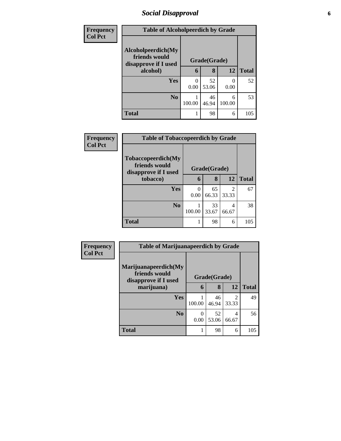## *Social Disapproval* **6**

| <b>Frequency</b> | <b>Table of Alcoholpeerdich by Grade</b>                    |              |             |                           |              |
|------------------|-------------------------------------------------------------|--------------|-------------|---------------------------|--------------|
| <b>Col Pct</b>   | Alcoholpeerdich(My<br>friends would<br>disapprove if I used | Grade(Grade) |             |                           |              |
|                  | alcohol)                                                    | 6            | 8           | 12                        | <b>Total</b> |
|                  | <b>Yes</b>                                                  | 0<br>0.00    | 52<br>53.06 | $\mathbf{\Omega}$<br>0.00 | 52           |
|                  | N <sub>0</sub>                                              | 100.00       | 46<br>46.94 | 6<br>100.00               | 53           |
|                  | <b>Total</b>                                                | 1            | 98          | 6                         | 105          |

| Frequency      | <b>Table of Tobaccopeerdich by Grade</b>                    |              |             |                         |              |  |
|----------------|-------------------------------------------------------------|--------------|-------------|-------------------------|--------------|--|
| <b>Col Pct</b> | Tobaccopeerdich(My<br>friends would<br>disapprove if I used | Grade(Grade) |             |                         |              |  |
|                | tobacco)                                                    | 6            | 8           | 12                      | <b>Total</b> |  |
|                | Yes                                                         | 0<br>0.00    | 65<br>66.33 | $\mathfrak{D}$<br>33.33 | 67           |  |
|                | N <sub>0</sub>                                              | 100.00       | 33<br>33.67 | 4<br>66.67              | 38           |  |
|                | <b>Total</b>                                                |              | 98          | 6                       | 105          |  |

| <b>Frequency</b> | <b>Table of Marijuanapeerdich by Grade</b>                    |              |             |                         |              |
|------------------|---------------------------------------------------------------|--------------|-------------|-------------------------|--------------|
| <b>Col Pct</b>   | Marijuanapeerdich(My<br>friends would<br>disapprove if I used | Grade(Grade) |             |                         |              |
|                  | marijuana)                                                    | 6            | 8           | 12                      | <b>Total</b> |
|                  | Yes                                                           | 100.00       | 46<br>46.94 | $\overline{c}$<br>33.33 | 49           |
|                  | N <sub>0</sub>                                                | 0<br>0.00    | 52<br>53.06 | 4<br>66.67              | 56           |
|                  | <b>Total</b>                                                  |              | 98          | 6                       | 105          |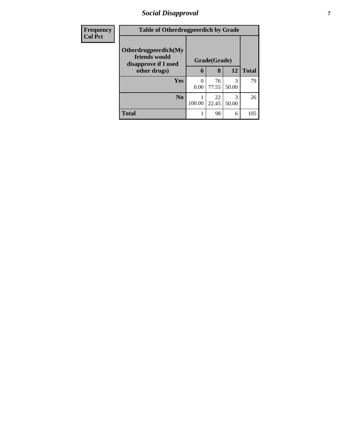## *Social Disapproval* **7**

| <b>Frequency</b> | <b>Table of Otherdrugpeerdich by Grade</b>                    |                  |             |            |              |
|------------------|---------------------------------------------------------------|------------------|-------------|------------|--------------|
| <b>Col Pct</b>   | Otherdrugpeerdich(My<br>friends would<br>disapprove if I used | Grade(Grade)     |             |            |              |
|                  | other drugs)                                                  | 6                | 8           | 12         | <b>Total</b> |
|                  | Yes                                                           | $\Omega$<br>0.00 | 76<br>77.55 | 3<br>50.00 | 79           |
|                  | N <sub>0</sub>                                                | 100.00           | 22<br>22.45 | 3<br>50.00 | 26           |
|                  | <b>Total</b>                                                  |                  | 98          | 6          | 105          |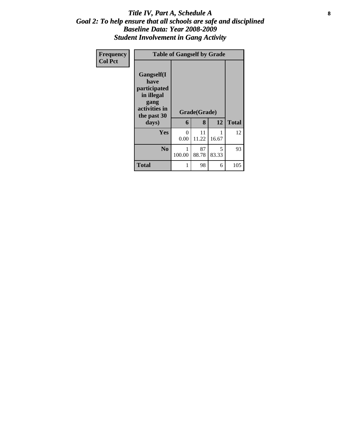#### Title IV, Part A, Schedule A **8** *Goal 2: To help ensure that all schools are safe and disciplined Baseline Data: Year 2008-2009 Student Involvement in Gang Activity*

| Frequency      | <b>Table of Gangself by Grade</b>                                                                 |           |                   |            |              |  |  |
|----------------|---------------------------------------------------------------------------------------------------|-----------|-------------------|------------|--------------|--|--|
| <b>Col Pct</b> | Gangself(I<br>have<br>participated<br>in illegal<br>gang<br>activities in<br>the past 30<br>days) | 6         | Grade(Grade)<br>8 | 12         | <b>Total</b> |  |  |
|                | <b>Yes</b>                                                                                        | 0<br>0.00 | 11<br>11.22       | 16.67      | 12           |  |  |
|                | N <sub>0</sub>                                                                                    | 100.00    | 87<br>88.78       | 5<br>83.33 | 93           |  |  |
|                | <b>Total</b>                                                                                      |           | 98                | 6          | 105          |  |  |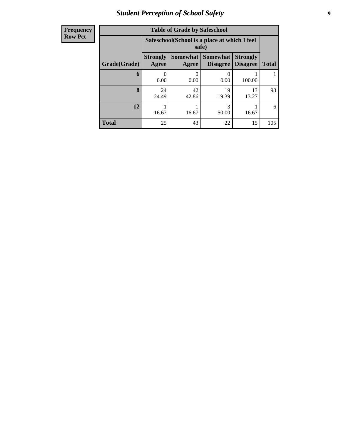## *Student Perception of School Safety* **9**

| Frequency      |
|----------------|
|                |
| <b>Row Pct</b> |
|                |

| <b>Table of Grade by Safeschool</b> |                                                                                                                             |                                                        |             |             |     |  |  |  |
|-------------------------------------|-----------------------------------------------------------------------------------------------------------------------------|--------------------------------------------------------|-------------|-------------|-----|--|--|--|
|                                     |                                                                                                                             | Safeschool (School is a place at which I feel<br>safe) |             |             |     |  |  |  |
| Grade(Grade)                        | <b>Strongly</b><br>Somewhat  <br><b>Somewhat</b><br><b>Strongly</b><br><b>Disagree</b><br>Agree<br><b>Disagree</b><br>Agree |                                                        |             |             |     |  |  |  |
| 6                                   | 0.00                                                                                                                        | 0.00                                                   | 0.00        | 100.00      |     |  |  |  |
| 8                                   | 24<br>24.49                                                                                                                 | 42<br>42.86                                            | 19<br>19.39 | 13<br>13.27 | 98  |  |  |  |
| 12                                  | 16.67                                                                                                                       | 16.67                                                  | 3<br>50.00  | 16.67       | 6   |  |  |  |
| <b>Total</b>                        | 25                                                                                                                          | 43                                                     | 22          | 15          | 105 |  |  |  |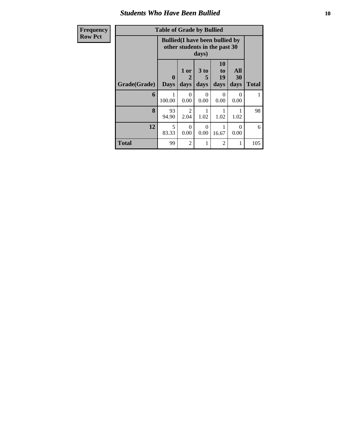#### *Students Who Have Been Bullied* **10**

| Frequen        |
|----------------|
| <b>Row Pct</b> |
|                |

| Frequency      | <b>Table of Grade by Bullied</b>                                                 |                             |                        |                         |                        |                   |              |
|----------------|----------------------------------------------------------------------------------|-----------------------------|------------------------|-------------------------|------------------------|-------------------|--------------|
| <b>Row Pct</b> | <b>Bullied</b> (I have been bullied by<br>other students in the past 30<br>days) |                             |                        |                         |                        |                   |              |
|                | Grade(Grade)                                                                     | $\mathbf{0}$<br><b>Days</b> | 1 or<br>2<br>days      | 3 <sub>to</sub><br>days | 10<br>to<br>19<br>days | All<br>30<br>days | <b>Total</b> |
|                | 6                                                                                | 100.00                      | $\Omega$<br>0.00       | 0<br>0.00               | $\Omega$<br>0.00       | $\Omega$<br>0.00  |              |
|                | 8                                                                                | 93<br>94.90                 | $\overline{2}$<br>2.04 | 1.02                    | 1.02                   | 1.02              | 98           |
|                | 12                                                                               | 5<br>83.33                  | $\Omega$<br>0.00       | 0<br>0.00               | 16.67                  | 0<br>0.00         | 6            |
|                | <b>Total</b>                                                                     | 99                          | $\overline{2}$         |                         | $\overline{2}$         |                   | 105          |

T.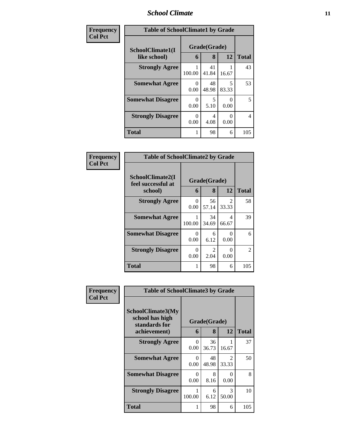#### *School Climate* **11**

| Frequency      | <b>Table of SchoolClimate1 by Grade</b> |                   |              |            |                |  |
|----------------|-----------------------------------------|-------------------|--------------|------------|----------------|--|
| <b>Col Pct</b> | SchoolClimate1(I<br>like school)        | Grade(Grade)<br>6 | <b>Total</b> |            |                |  |
|                |                                         |                   | 8            | 12         |                |  |
|                | <b>Strongly Agree</b>                   | 100.00            | 41<br>41.84  | 16.67      | 43             |  |
|                | <b>Somewhat Agree</b>                   | 0<br>0.00         | 48<br>48.98  | 5<br>83.33 | 53             |  |
|                | <b>Somewhat Disagree</b>                | 0<br>0.00         | 5<br>5.10    | 0<br>0.00  | 5              |  |
|                | <b>Strongly Disagree</b>                | 0<br>0.00         | 4<br>4.08    | 0<br>0.00  | $\overline{4}$ |  |
|                | <b>Total</b>                            | 1                 | 98           | 6          | 105            |  |

| Frequency      | <b>Table of SchoolClimate2 by Grade</b>           |                  |                   |                         |              |  |
|----------------|---------------------------------------------------|------------------|-------------------|-------------------------|--------------|--|
| <b>Col Pct</b> | SchoolClimate2(I<br>feel successful at<br>school) | 6                | Grade(Grade)<br>8 | 12                      | <b>Total</b> |  |
|                | <b>Strongly Agree</b>                             | $\Omega$<br>0.00 | 56<br>57.14       | $\mathfrak{D}$<br>33.33 | 58           |  |
|                | <b>Somewhat Agree</b>                             | 100.00           | 34<br>34.69       | 4<br>66.67              | 39           |  |
|                | <b>Somewhat Disagree</b>                          | 0<br>0.00        | 6<br>6.12         | 0<br>0.00               | 6            |  |
|                | <b>Strongly Disagree</b>                          | $\Omega$<br>0.00 | 2<br>2.04         | 0<br>0.00               | 2            |  |
|                | <b>Total</b>                                      |                  | 98                | 6                       | 105          |  |

| Frequency | <b>Table of SchoolClimate3 by Grade</b>                               |                  |                   |                         |              |  |
|-----------|-----------------------------------------------------------------------|------------------|-------------------|-------------------------|--------------|--|
| Col Pct   | SchoolClimate3(My<br>school has high<br>standards for<br>achievement) | 6                | Grade(Grade)<br>8 | 12                      | <b>Total</b> |  |
|           | <b>Strongly Agree</b>                                                 | 0<br>0.00        | 36<br>36.73       | 16.67                   | 37           |  |
|           | <b>Somewhat Agree</b>                                                 | 0<br>0.00        | 48<br>48.98       | $\mathfrak{D}$<br>33.33 | 50           |  |
|           | <b>Somewhat Disagree</b>                                              | $\Omega$<br>0.00 | 8<br>8.16         | 0<br>0.00               | 8            |  |
|           | <b>Strongly Disagree</b>                                              | 100.00           | 6<br>6.12         | 3<br>50.00              | 10           |  |
|           | <b>Total</b>                                                          |                  | 98                | 6                       | 105          |  |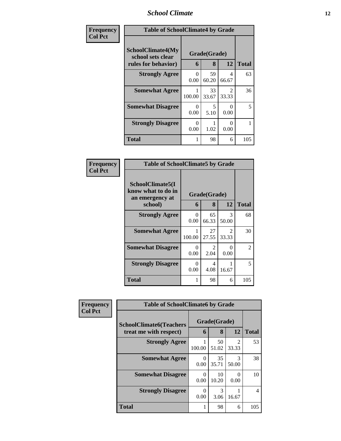## *School Climate* **12**

| Frequency      | <b>Table of SchoolClimate4 by Grade</b>                              |                  |                   |                                      |              |  |
|----------------|----------------------------------------------------------------------|------------------|-------------------|--------------------------------------|--------------|--|
| <b>Col Pct</b> | <b>SchoolClimate4(My</b><br>school sets clear<br>rules for behavior) | 6                | Grade(Grade)<br>8 | 12                                   | <b>Total</b> |  |
|                | <b>Strongly Agree</b>                                                | $\Omega$<br>0.00 | 59<br>60.20       | 4<br>66.67                           | 63           |  |
|                | <b>Somewhat Agree</b>                                                | 100.00           | 33<br>33.67       | $\mathcal{D}_{\mathcal{L}}$<br>33.33 | 36           |  |
|                | <b>Somewhat Disagree</b>                                             | 0<br>0.00        | 5<br>5.10         | 0<br>0.00                            | 5            |  |
|                | <b>Strongly Disagree</b>                                             | 0<br>0.00        | 1.02              | 0<br>0.00                            |              |  |
|                | <b>Total</b>                                                         | 1                | 98                | 6                                    | 105          |  |

| <b>Frequency</b><br>Col Pct |
|-----------------------------|
|                             |

| <b>Table of SchoolClimate5 by Grade</b>                              |                           |                        |                                   |               |  |  |  |
|----------------------------------------------------------------------|---------------------------|------------------------|-----------------------------------|---------------|--|--|--|
| SchoolClimate5(I<br>know what to do in<br>an emergency at<br>school) | Grade(Grade)<br>6         | <b>Total</b>           |                                   |               |  |  |  |
| <b>Strongly Agree</b>                                                | 0<br>0.00                 | 65<br>66.33            | 3<br>50.00                        | 68            |  |  |  |
| <b>Somewhat Agree</b>                                                | 1<br>100.00               | 27<br>27.55            | $\overline{\mathcal{L}}$<br>33.33 | 30            |  |  |  |
| <b>Somewhat Disagree</b>                                             | 0<br>0.00                 | $\mathfrak{D}$<br>2.04 | ∩<br>0.00                         | $\mathcal{L}$ |  |  |  |
| <b>Strongly Disagree</b>                                             | $\mathbf{\Omega}$<br>0.00 | 4<br>4.08              | 16.67                             | 5             |  |  |  |
| Total                                                                | 1                         | 98                     | 6                                 | 105           |  |  |  |

| Frequency      | <b>Table of SchoolClimate6 by Grade</b>                  |           |                   |                                                                                                                                                                          |                |  |
|----------------|----------------------------------------------------------|-----------|-------------------|--------------------------------------------------------------------------------------------------------------------------------------------------------------------------|----------------|--|
| <b>Col Pct</b> | <b>SchoolClimate6(Teachers</b><br>treat me with respect) | 6         | Grade(Grade)<br>8 | 12                                                                                                                                                                       | <b>Total</b>   |  |
|                | <b>Strongly Agree</b>                                    | 100.00    | 50<br>51.02       | $\mathcal{D}_{\mathcal{A}}^{\mathcal{A}}(\mathcal{A})=\mathcal{D}_{\mathcal{A}}^{\mathcal{A}}(\mathcal{A})\mathcal{D}_{\mathcal{A}}^{\mathcal{A}}(\mathcal{A})$<br>33.33 | 53             |  |
|                | <b>Somewhat Agree</b>                                    | 0<br>0.00 | 35<br>35.71       | $\mathcal{R}$<br>50.00                                                                                                                                                   | 38             |  |
|                | <b>Somewhat Disagree</b>                                 | 0<br>0.00 | 10<br>10.20       | $\mathbf{\Omega}$<br>0.00                                                                                                                                                | 10             |  |
|                | <b>Strongly Disagree</b>                                 | 0<br>0.00 | 3<br>3.06         | 16.67                                                                                                                                                                    | $\overline{4}$ |  |
|                | Total                                                    |           | 98                | 6                                                                                                                                                                        | 105            |  |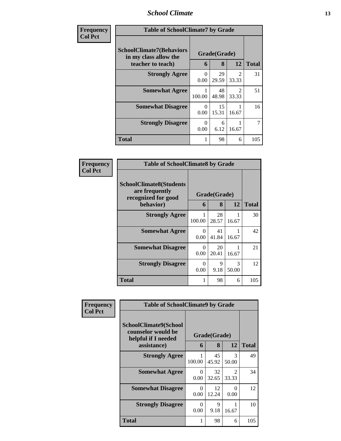#### *School Climate* **13**

| Frequency<br><b>Col Pct</b> | <b>Table of SchoolClimate7 by Grade</b>                                       |           |                   |                                      |              |
|-----------------------------|-------------------------------------------------------------------------------|-----------|-------------------|--------------------------------------|--------------|
|                             | <b>SchoolClimate7(Behaviors</b><br>in my class allow the<br>teacher to teach) | 6         | Grade(Grade)<br>8 | 12                                   | <b>Total</b> |
|                             | <b>Strongly Agree</b>                                                         | 0<br>0.00 | 29<br>29.59       | $\mathcal{D}_{\mathcal{L}}$<br>33.33 | 31           |
|                             | <b>Somewhat Agree</b>                                                         | 100.00    | 48<br>48.98       | $\mathcal{D}_{\mathcal{L}}$<br>33.33 | 51           |
|                             | <b>Somewhat Disagree</b>                                                      | 0<br>0.00 | 15<br>15.31       | 16.67                                | 16           |
|                             | <b>Strongly Disagree</b>                                                      | 0<br>0.00 | 6<br>6.12         | 16.67                                | 7            |
|                             | <b>Total</b>                                                                  |           | 98                | 6                                    | 105          |

| Frequency      | <b>Table of SchoolClimate8 by Grade</b>                                              |                  |                   |                        |              |  |
|----------------|--------------------------------------------------------------------------------------|------------------|-------------------|------------------------|--------------|--|
| <b>Col Pct</b> | <b>SchoolClimate8(Students</b><br>are frequently<br>recognized for good<br>behavior) | 6                | Grade(Grade)<br>8 | 12                     | <b>Total</b> |  |
|                | <b>Strongly Agree</b>                                                                |                  | 28                |                        | 30           |  |
|                |                                                                                      | 100.00           | 28.57             | 16.67                  |              |  |
|                | <b>Somewhat Agree</b>                                                                | $\Omega$<br>0.00 | 41<br>41.84       | 16.67                  | 42           |  |
|                | <b>Somewhat Disagree</b>                                                             | 0<br>0.00        | 20<br>20.41       | 16.67                  | 21           |  |
|                | <b>Strongly Disagree</b>                                                             | $\Omega$<br>0.00 | 9<br>9.18         | $\mathcal{R}$<br>50.00 | 12           |  |
|                | Total                                                                                |                  | 98                | 6                      | 105          |  |

| Frequency      | <b>Table of SchoolClimate9 by Grade</b>                                           |                  |                     |                         |              |
|----------------|-----------------------------------------------------------------------------------|------------------|---------------------|-------------------------|--------------|
| <b>Col Pct</b> | SchoolClimate9(School<br>counselor would be<br>helpful if I needed<br>assistance) | 6                | Grade(Grade)<br>8   | 12                      | <b>Total</b> |
|                | <b>Strongly Agree</b>                                                             | 100.00           | 45<br>45.92         | 3<br>50.00              | 49           |
|                | <b>Somewhat Agree</b>                                                             | $\Omega$<br>0.00 | 32<br>32.65         | $\mathfrak{D}$<br>33.33 | 34           |
|                | <b>Somewhat Disagree</b>                                                          | $\Omega$<br>0.00 | 12<br>12.24         | $\Omega$<br>0.00        | 12           |
|                | <b>Strongly Disagree</b>                                                          | $\Omega$<br>0.00 | $\mathbf Q$<br>9.18 | 16.67                   | 10           |
|                | Total                                                                             |                  | 98                  | 6                       | 105          |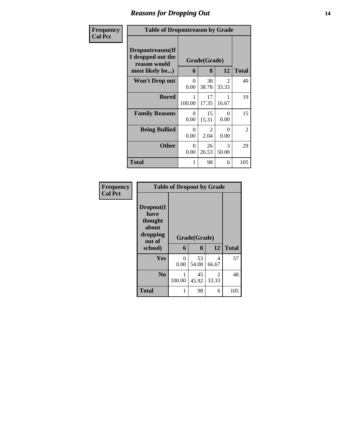#### *Reasons for Dropping Out* **14**

| <b>Frequency</b> |                                                                          | <b>Table of Dropoutreason by Grade</b> |                       |                        |              |  |  |
|------------------|--------------------------------------------------------------------------|----------------------------------------|-----------------------|------------------------|--------------|--|--|
| <b>Col Pct</b>   | Dropoutreason(If<br>I dropped out the<br>reason would<br>most likely be) | 6                                      | Grade(Grade)<br>8     | 12                     | <b>Total</b> |  |  |
|                  | Won't Drop out                                                           | $\Omega$<br>0.00                       | 38<br>38.78           | $\mathcal{L}$<br>33.33 | 40           |  |  |
|                  | <b>Bored</b>                                                             | 1<br>100.00                            | 17<br>17.35           | 1<br>16.67             | 19           |  |  |
|                  | <b>Family Reasons</b>                                                    | $\Omega$<br>0.00                       | 15<br>15.31           | 0<br>0.00              | 15           |  |  |
|                  | <b>Being Bullied</b>                                                     | 0<br>0.00                              | $\mathcal{L}$<br>2.04 | 0<br>0.00              | 2            |  |  |
|                  | <b>Other</b>                                                             | $\Omega$<br>0.00                       | 26<br>26.53           | 3<br>50.00             | 29           |  |  |
|                  | Total                                                                    | 1                                      | 98                    | 6                      | 105          |  |  |

| Frequency      | <b>Table of Dropout by Grade</b>                                       |                  |                   |                         |              |  |  |
|----------------|------------------------------------------------------------------------|------------------|-------------------|-------------------------|--------------|--|--|
| <b>Col Pct</b> | Dropout(I<br>have<br>thought<br>about<br>dropping<br>out of<br>school) | 6                | Grade(Grade)<br>8 | 12                      | <b>Total</b> |  |  |
|                | Yes                                                                    | $\theta$<br>0.00 | 53<br>54.08       | 4<br>66.67              | 57           |  |  |
|                | N <sub>0</sub>                                                         | 100.00           | 45<br>45.92       | $\overline{c}$<br>33.33 | 48           |  |  |
|                | <b>Total</b>                                                           | 1                | 98                | 6                       | 105          |  |  |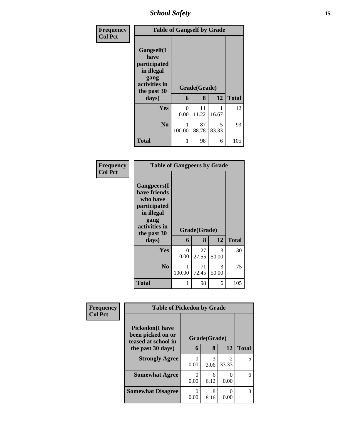*School Safety* **15**

| <b>Frequency</b> | <b>Table of Gangself by Grade</b>                                                        |           |              |            |              |  |  |
|------------------|------------------------------------------------------------------------------------------|-----------|--------------|------------|--------------|--|--|
| <b>Col Pct</b>   | Gangself(I<br>have<br>participated<br>in illegal<br>gang<br>activities in<br>the past 30 |           | Grade(Grade) |            |              |  |  |
|                  | days)                                                                                    | 6         | 8            | 12         | <b>Total</b> |  |  |
|                  | Yes                                                                                      | 0<br>0.00 | 11<br>11.22  | 16.67      | 12           |  |  |
|                  | N <sub>0</sub>                                                                           | 100.00    | 87<br>88.78  | 5<br>83.33 | 93           |  |  |
|                  | <b>Total</b>                                                                             | 1         | 98           | 6          | 105          |  |  |

#### **Frequency Col Pct**

|                                                                                                                       | <b>Table of Gangpeers by Grade</b> |              |            |              |  |  |  |
|-----------------------------------------------------------------------------------------------------------------------|------------------------------------|--------------|------------|--------------|--|--|--|
| <b>Gangpeers</b> (I<br>have friends<br>who have<br>participated<br>in illegal<br>gang<br>activities in<br>the past 30 |                                    | Grade(Grade) |            |              |  |  |  |
| days)                                                                                                                 | 6                                  | 8            | 12         | <b>Total</b> |  |  |  |
| Yes                                                                                                                   | 0<br>0.00                          | 27<br>27.55  | 3<br>50.00 | 30           |  |  |  |
| N <sub>0</sub>                                                                                                        | 1<br>100.00                        | 71<br>72.45  | 3<br>50.00 | 75           |  |  |  |
|                                                                                                                       |                                    |              |            |              |  |  |  |

| Frequency      | <b>Table of Pickedon by Grade</b>                                   |      |              |                         |              |
|----------------|---------------------------------------------------------------------|------|--------------|-------------------------|--------------|
| <b>Col Pct</b> | <b>Pickedon</b> (I have<br>been picked on or<br>teased at school in |      | Grade(Grade) |                         |              |
|                | the past 30 days)                                                   | 6    | 8            | 12                      | <b>Total</b> |
|                | <b>Strongly Agree</b>                                               | 0.00 | 3<br>3.06    | $\mathfrak{D}$<br>33.33 |              |
|                | <b>Somewhat Agree</b>                                               | 0.00 | 6<br>6.12    | 0<br>0.00               |              |
|                | <b>Somewhat Disagree</b>                                            | 0.00 | 8<br>8.16    | 0<br>0.00               |              |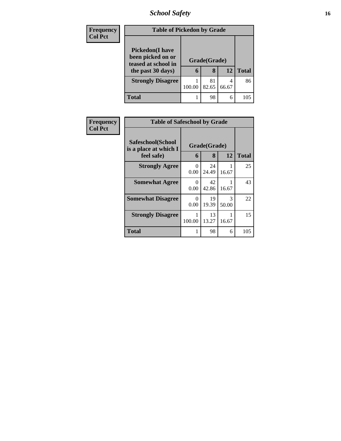## *School Safety* **16**

| <b>Frequency</b><br><b>Col Pct</b> |                                                                                          | <b>Table of Pickedon by Grade</b> |                   |            |              |  |  |  |
|------------------------------------|------------------------------------------------------------------------------------------|-----------------------------------|-------------------|------------|--------------|--|--|--|
|                                    | <b>Pickedon</b> (I have<br>been picked on or<br>teased at school in<br>the past 30 days) | 6                                 | Grade(Grade)<br>8 | 12         | <b>Total</b> |  |  |  |
|                                    | <b>Strongly Disagree</b>                                                                 | 100.00                            | 81<br>82.65       | 4<br>66.67 | 86           |  |  |  |
|                                    | <b>Total</b>                                                                             |                                   | 98                | 6          | 105          |  |  |  |

| <b>Frequency</b> | <b>Table of Safeschool by Grade</b>                      |                  |                   |            |              |  |  |  |
|------------------|----------------------------------------------------------|------------------|-------------------|------------|--------------|--|--|--|
| <b>Col Pct</b>   | Safeschool(School<br>is a place at which I<br>feel safe) | 6                | Grade(Grade)<br>8 | 12         | <b>Total</b> |  |  |  |
|                  | <b>Strongly Agree</b>                                    | 0<br>0.00        | 24<br>24.49       | 16.67      | 25           |  |  |  |
|                  | <b>Somewhat Agree</b>                                    | $\Omega$<br>0.00 | 42<br>42.86       | 16.67      | 43           |  |  |  |
|                  | <b>Somewhat Disagree</b>                                 | $\Omega$<br>0.00 | 19<br>19.39       | 3<br>50.00 | 22           |  |  |  |
|                  | <b>Strongly Disagree</b>                                 | 100.00           | 13<br>13.27       | 16.67      | 15           |  |  |  |
|                  | Total                                                    |                  | 98                | 6          | 105          |  |  |  |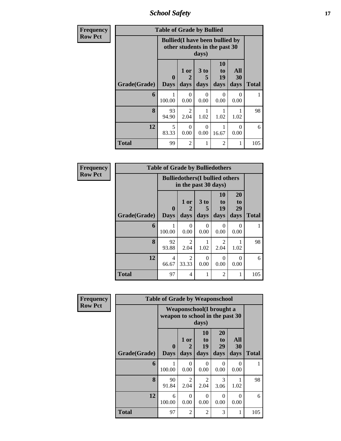*School Safety* **17**

| Frequency      |              | <b>Table of Grade by Bullied</b> |                                                                                  |                   |                        |                   |              |  |  |
|----------------|--------------|----------------------------------|----------------------------------------------------------------------------------|-------------------|------------------------|-------------------|--------------|--|--|
| <b>Row Pct</b> |              |                                  | <b>Bullied</b> (I have been bullied by<br>other students in the past 30<br>days) |                   |                        |                   |              |  |  |
|                | Grade(Grade) | $\mathbf{0}$<br><b>Days</b>      | 1 or<br>2<br>days                                                                | 3 to<br>5<br>days | 10<br>to<br>19<br>days | All<br>30<br>days | <b>Total</b> |  |  |
|                | 6            | 100.00                           | $\Omega$<br>0.00                                                                 | 0<br>0.00         | $\Omega$<br>0.00       | $\Omega$<br>0.00  |              |  |  |
|                | 8            | 93<br>94.90                      | 2<br>2.04                                                                        | 1.02              | 1.02                   | 1.02              | 98           |  |  |
|                | 12           | 5<br>83.33                       | $\Omega$<br>0.00                                                                 | $\Omega$<br>0.00  | 16.67                  | 0<br>0.00         | 6            |  |  |
|                | <b>Total</b> | 99                               | $\overline{2}$                                                                   |                   | $\overline{2}$         |                   | 105          |  |  |

| Frequency      |              | <b>Table of Grade by Bulliedothers</b> |                                                                |                              |                               |                        |              |
|----------------|--------------|----------------------------------------|----------------------------------------------------------------|------------------------------|-------------------------------|------------------------|--------------|
| <b>Row Pct</b> |              |                                        | <b>Bulliedothers</b> (I bullied others<br>in the past 30 days) |                              |                               |                        |              |
|                | Grade(Grade) | 0<br><b>Days</b>                       | 1 or<br>days                                                   | 3 <sub>to</sub><br>5<br>days | <b>10</b><br>to<br>19<br>days | 20<br>to<br>29<br>days | <b>Total</b> |
|                | 6            | 1<br>100.00                            | 0<br>0.00                                                      | $\Omega$<br>0.00             | 0<br>0.00                     | 0<br>0.00              | 1            |
|                | 8            | 92<br>93.88                            | $\mathfrak{D}$<br>2.04                                         | 1.02                         | 2<br>2.04                     | 1.02                   | 98           |
|                | 12           | 4<br>66.67                             | $\mathfrak{D}$<br>33.33                                        | $\theta$<br>0.00             | 0<br>0.00                     | $\Omega$<br>0.00       | 6            |
|                | <b>Total</b> | 97                                     | 4                                                              |                              | $\overline{2}$                |                        | 105          |

| Frequency      |              | <b>Table of Grade by Weaponschool</b> |                                                                              |                        |                               |                   |              |  |  |
|----------------|--------------|---------------------------------------|------------------------------------------------------------------------------|------------------------|-------------------------------|-------------------|--------------|--|--|
| <b>Row Pct</b> |              |                                       | <b>Weaponschool</b> (I brought a<br>weapon to school in the past 30<br>days) |                        |                               |                   |              |  |  |
|                | Grade(Grade) | $\bf{0}$<br><b>Days</b>               | 1 or<br>2<br>days                                                            | 10<br>to<br>19<br>days | <b>20</b><br>to<br>29<br>days | All<br>30<br>days | <b>Total</b> |  |  |
|                | 6            | 1<br>100.00                           | $\Omega$<br>0.00                                                             | $\Omega$<br>0.00       | $\Omega$<br>0.00              | 0<br>0.00         |              |  |  |
|                | 8            | 90<br>91.84                           | $\overline{2}$<br>2.04                                                       | 2<br>2.04              | 3<br>3.06                     | 1.02              | 98           |  |  |
|                | 12           | 6<br>100.00                           | $\Omega$<br>0.00                                                             | $\Omega$<br>0.00       | 0<br>0.00                     | 0<br>0.00         | 6            |  |  |
|                | <b>Total</b> | 97                                    | $\overline{2}$                                                               | 2                      | 3                             |                   | 105          |  |  |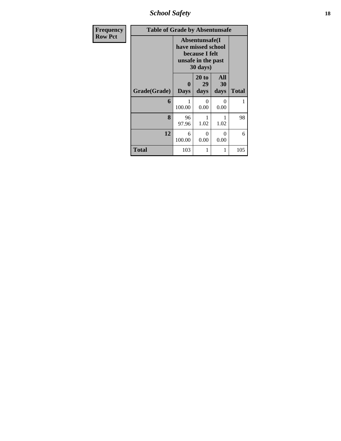*School Safety* **18**

| <b>Frequency</b> | <b>Table of Grade by Absentunsafe</b> |                                                                                           |                       |                   |              |  |  |  |
|------------------|---------------------------------------|-------------------------------------------------------------------------------------------|-----------------------|-------------------|--------------|--|--|--|
| <b>Row Pct</b>   |                                       | Absentunsafe(I)<br>have missed school<br>because I felt<br>unsafe in the past<br>30 days) |                       |                   |              |  |  |  |
|                  | Grade(Grade)                          | $\mathbf 0$<br><b>Days</b>                                                                | $20$ to<br>29<br>days | All<br>30<br>days | <b>Total</b> |  |  |  |
|                  | 6                                     | 100.00                                                                                    | 0<br>0.00             | 0<br>0.00         | 1            |  |  |  |
|                  | 8                                     | 96<br>97.96                                                                               | 1<br>1.02             | 1.02              | 98           |  |  |  |
|                  | 12                                    | 6<br>100.00                                                                               | 0<br>0.00             | 0<br>0.00         | 6            |  |  |  |
|                  | <b>Total</b>                          | 103                                                                                       | 1                     |                   | 105          |  |  |  |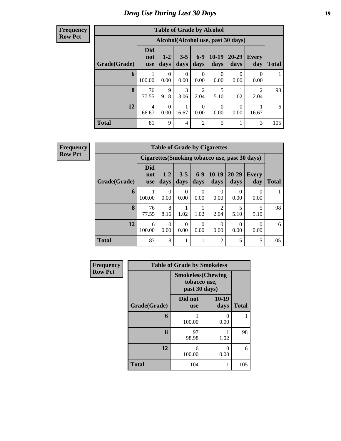## *Drug Use During Last 30 Days* **19**

#### **Frequency Row Pct**

| <b>Table of Grade by Alcohol</b> |                                 |                 |                 |                        |                                    |                  |                                  |              |
|----------------------------------|---------------------------------|-----------------|-----------------|------------------------|------------------------------------|------------------|----------------------------------|--------------|
|                                  |                                 |                 |                 |                        | Alcohol(Alcohol use, past 30 days) |                  |                                  |              |
| Grade(Grade)                     | <b>Did</b><br>not<br><b>use</b> | $1 - 2$<br>days | $3 - 5$<br>days | $6-9$<br>days          | $10-19$<br>days                    | 20-29<br>days    | Every<br>day                     | <b>Total</b> |
| 6                                | 100.00                          | 0<br>0.00       | 0<br>0.00       | $\Omega$<br>0.00       | 0<br>0.00                          | 0<br>0.00        | $\Omega$<br>0.00                 |              |
| 8                                | 76<br>77.55                     | 9<br>9.18       | 3<br>3.06       | $\overline{2}$<br>2.04 | 5<br>5.10                          | 1.02             | $\overline{\mathcal{L}}$<br>2.04 | 98           |
| 12                               | 4<br>66.67                      | 0<br>0.00       | 1<br>16.67      | $\Omega$<br>0.00       | 0<br>0.00                          | $\Omega$<br>0.00 | 16.67                            | 6            |
| <b>Total</b>                     | 81                              | 9               | $\overline{4}$  | $\overline{2}$         | 5                                  |                  | 3                                | 105          |

**Frequency Row Pct**

| <b>Table of Grade by Cigarettes</b> |                                 |                  |                 |                  |                        |                                                |                     |              |
|-------------------------------------|---------------------------------|------------------|-----------------|------------------|------------------------|------------------------------------------------|---------------------|--------------|
|                                     |                                 |                  |                 |                  |                        | Cigarettes (Smoking tobacco use, past 30 days) |                     |              |
| Grade(Grade)                        | <b>Did</b><br>not<br><b>use</b> | $1 - 2$<br>days  | $3 - 5$<br>days | $6 - 9$<br>days  | $10-19$<br>days        | $20 - 29$<br>days                              | <b>Every</b><br>day | <b>Total</b> |
| 6                                   | 100.00                          | 0<br>0.00        | 0.00            | $\theta$<br>0.00 | $\Omega$<br>0.00       | 0.00                                           | $\theta$<br>0.00    |              |
| 8                                   | 76<br>77.55                     | 8<br>8.16        | 1.02            | 1.02             | $\mathfrak{D}$<br>2.04 | 5<br>5.10                                      | 5.10                | 98           |
| 12                                  | 6<br>100.00                     | $\theta$<br>0.00 | 0<br>0.00       | $\theta$<br>0.00 | $\Omega$<br>0.00       | 0<br>0.00                                      | 0<br>0.00           | 6            |
| <b>Total</b>                        | 83                              | 8                |                 |                  | $\overline{2}$         | 5                                              | 5                   | 105          |

| Frequency      |              | <b>Table of Grade by Smokeless</b> |                           |              |
|----------------|--------------|------------------------------------|---------------------------|--------------|
| <b>Row Pct</b> |              | tobacco use,<br>past 30 days)      | <b>Smokeless</b> (Chewing |              |
|                | Grade(Grade) | Did not<br><b>use</b>              | $10-19$<br>days           | <b>Total</b> |
|                | 6            | 100.00                             | 0.00                      |              |
|                | 8            | 97<br>98.98                        | 1.02                      | 98           |
|                | 12           | 6<br>100.00                        | 0<br>0.00                 | 6            |
|                | <b>Total</b> | 104                                | 1                         | 105          |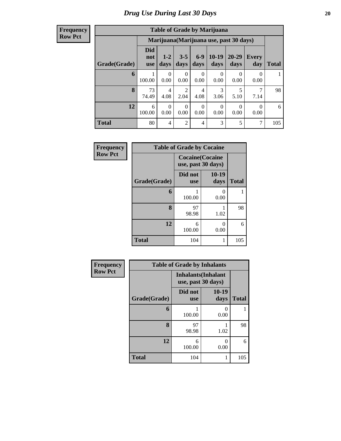| <b>Frequency</b> |
|------------------|
| <b>Row Pct</b>   |

| <b>Table of Grade by Marijuana</b> |                          |                                         |                  |                  |                 |                   |                  |              |  |
|------------------------------------|--------------------------|-----------------------------------------|------------------|------------------|-----------------|-------------------|------------------|--------------|--|
|                                    |                          | Marijuana (Marijuana use, past 30 days) |                  |                  |                 |                   |                  |              |  |
| Grade(Grade)                       | Did<br>not<br><b>use</b> | $1 - 2$<br>days                         | $3 - 5$<br>days  | $6-9$<br>days    | $10-19$<br>days | $20 - 29$<br>days | Every<br>day     | <b>Total</b> |  |
| 6                                  | 100.00                   | 0<br>0.00                               | 0<br>0.00        | 0<br>0.00        | 0<br>0.00       | 0<br>0.00         | 0<br>0.00        |              |  |
| 8                                  | 73<br>74.49              | 4<br>4.08                               | 2<br>2.04        | 4<br>4.08        | 3<br>3.06       | 5.10              | 7.14             | 98           |  |
| 12                                 | 6<br>100.00              | 0<br>0.00                               | $\Omega$<br>0.00 | $\theta$<br>0.00 | 0<br>0.00       | $\Omega$<br>0.00  | $\theta$<br>0.00 | 6            |  |
| <b>Total</b>                       | 80                       | 4                                       | $\overline{2}$   | $\overline{4}$   | 3               | 5                 | 7                | 105          |  |

| Frequency      |              | <b>Table of Grade by Cocaine</b>              |                      |              |
|----------------|--------------|-----------------------------------------------|----------------------|--------------|
| <b>Row Pct</b> |              | <b>Cocaine</b> (Cocaine<br>use, past 30 days) |                      |              |
|                | Grade(Grade) | Did not<br><b>use</b>                         | 10-19<br>days        | <b>Total</b> |
|                | 6            | 100.00                                        | $\mathbf{0}$<br>0.00 | 1            |
|                | 8            | 97<br>98.98                                   | 1.02                 | 98           |
|                | 12           | 6<br>100.00                                   | 0<br>0.00            | 6            |
|                | <b>Total</b> | 104                                           |                      | 105          |

| Frequency      | <b>Table of Grade by Inhalants</b> |                                                  |               |              |  |
|----------------|------------------------------------|--------------------------------------------------|---------------|--------------|--|
| <b>Row Pct</b> |                                    | <b>Inhalants</b> (Inhalant<br>use, past 30 days) |               |              |  |
|                | Grade(Grade)                       | Did not<br><b>use</b>                            | 10-19<br>days | <b>Total</b> |  |
|                | 6                                  | 100.00                                           | 0.00          |              |  |
|                | 8                                  | 97<br>98.98                                      | 1.02          | 98           |  |
|                | 12                                 | 6<br>100.00                                      | 0.00          | 6            |  |
|                | <b>Total</b>                       | 104                                              |               | 105          |  |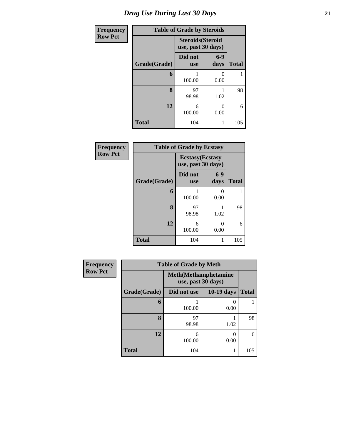## *Drug Use During Last 30 Days* **21**

| Frequency      | <b>Table of Grade by Steroids</b> |                                                |               |              |  |
|----------------|-----------------------------------|------------------------------------------------|---------------|--------------|--|
| <b>Row Pct</b> |                                   | <b>Steroids</b> (Steroid<br>use, past 30 days) |               |              |  |
|                | Grade(Grade)                      | Did not<br><b>use</b>                          | $6-9$<br>days | <b>Total</b> |  |
|                | 6                                 | 100.00                                         | 0<br>0.00     |              |  |
|                | 8                                 | 97<br>98.98                                    | 1.02          | 98           |  |
|                | 12                                | 6<br>100.00                                    | 0<br>0.00     | 6            |  |
|                | <b>Total</b>                      | 104                                            | 1             | 105          |  |

| Frequency      | <b>Table of Grade by Ecstasy</b> |                                               |               |              |  |  |
|----------------|----------------------------------|-----------------------------------------------|---------------|--------------|--|--|
| <b>Row Pct</b> |                                  | <b>Ecstasy</b> (Ecstasy<br>use, past 30 days) |               |              |  |  |
|                | Grade(Grade)                     | Did not<br><b>use</b>                         | $6-9$<br>days | <b>Total</b> |  |  |
|                | 6                                | 100.00                                        | 0<br>0.00     | 1            |  |  |
|                | 8                                | 97<br>98.98                                   | 1.02          | 98           |  |  |
|                | 12                               | 6<br>100.00                                   | 0<br>0.00     | 6            |  |  |
|                | <b>Total</b>                     | 104                                           |               | 105          |  |  |

| Frequency      | <b>Table of Grade by Meth</b>                      |             |            |              |  |
|----------------|----------------------------------------------------|-------------|------------|--------------|--|
| <b>Row Pct</b> | <b>Meth</b> (Methamphetamine<br>use, past 30 days) |             |            |              |  |
|                | Grade(Grade)                                       | Did not use | 10-19 days | <b>Total</b> |  |
|                | 6                                                  | 100.00      | 0.00       |              |  |
|                | 8                                                  | 97<br>98.98 | 1.02       | 98           |  |
|                | 12                                                 | 6<br>100.00 | 0.00       | 6            |  |
|                | <b>Total</b>                                       | 104         |            | 105          |  |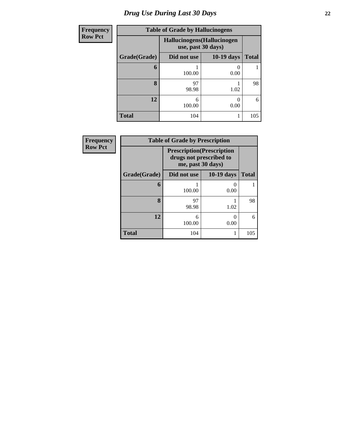## *Drug Use During Last 30 Days* **22**

| <b>Frequency</b> |              | <b>Table of Grade by Hallucinogens</b>            |              |              |  |
|------------------|--------------|---------------------------------------------------|--------------|--------------|--|
| <b>Row Pct</b>   |              | Hallucinogens (Hallucinogen<br>use, past 30 days) |              |              |  |
|                  | Grade(Grade) | Did not use                                       | $10-19$ days | <b>Total</b> |  |
|                  | 6            | 100.00                                            | 0.00         |              |  |
|                  | 8            | 97<br>98.98                                       | 1.02         | 98           |  |
|                  | 12           | 6<br>100.00                                       | 0.00         | 6            |  |
|                  | <b>Total</b> | 104                                               |              | 105          |  |

| <b>Frequency</b> | <b>Table of Grade by Prescription</b> |                                                                                   |            |              |  |
|------------------|---------------------------------------|-----------------------------------------------------------------------------------|------------|--------------|--|
| <b>Row Pct</b>   |                                       | <b>Prescription</b> (Prescription<br>drugs not prescribed to<br>me, past 30 days) |            |              |  |
|                  | Grade(Grade)                          | Did not use                                                                       | 10-19 days | <b>Total</b> |  |
|                  | 6                                     | 100.00                                                                            | 0<br>0.00  |              |  |
|                  | 8                                     | 97<br>98.98                                                                       | 1.02       | 98           |  |
|                  | 12                                    | 6<br>100.00                                                                       | 0.00       | 6            |  |
|                  | <b>Total</b>                          | 104                                                                               |            | 105          |  |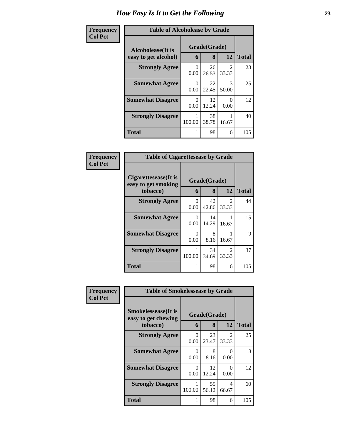| <b>Frequency</b> | <b>Table of Alcoholease by Grade</b>              |                              |             |                |              |
|------------------|---------------------------------------------------|------------------------------|-------------|----------------|--------------|
| <b>Col Pct</b>   | <b>Alcoholease</b> (It is<br>easy to get alcohol) | Grade(Grade)<br>8<br>12<br>6 |             |                | <b>Total</b> |
|                  | <b>Strongly Agree</b>                             | 0                            | 26          | $\mathfrak{D}$ | 28           |
|                  |                                                   | 0.00                         | 26.53       | 33.33          |              |
|                  | <b>Somewhat Agree</b>                             | $\Omega$<br>0.00             | 22<br>22.45 | 3<br>50.00     | 25           |
|                  | <b>Somewhat Disagree</b>                          | 0<br>0.00                    | 12<br>12.24 | ∩<br>0.00      | 12           |
|                  | <b>Strongly Disagree</b>                          | 100.00                       | 38<br>38.78 | 16.67          | 40           |
|                  | <b>Total</b>                                      |                              | 98          | 6              | 105          |

| Frequency      | <b>Table of Cigarettesease by Grade</b>                 |                  |                   |                                      |              |
|----------------|---------------------------------------------------------|------------------|-------------------|--------------------------------------|--------------|
| <b>Col Pct</b> | Cigarettesease(It is<br>easy to get smoking<br>tobacco) | 6                | Grade(Grade)<br>8 | 12                                   | <b>Total</b> |
|                | <b>Strongly Agree</b>                                   | 0<br>0.00        | 42<br>42.86       | $\mathcal{D}$<br>33.33               | 44           |
|                | <b>Somewhat Agree</b>                                   | $\Omega$<br>0.00 | 14<br>14.29       | 16.67                                | 15           |
|                | <b>Somewhat Disagree</b>                                | $\Omega$<br>0.00 | 8<br>8.16         | 16.67                                | 9            |
|                | <b>Strongly Disagree</b>                                | 100.00           | 34<br>34.69       | $\mathcal{D}_{\mathcal{L}}$<br>33.33 | 37           |
|                | <b>Total</b>                                            |                  | 98                | 6                                    | 105          |

| Frequency      | <b>Table of Smokelessease by Grade</b>                         |                  |                   |            |              |
|----------------|----------------------------------------------------------------|------------------|-------------------|------------|--------------|
| <b>Col Pct</b> | <b>Smokelessease</b> (It is<br>easy to get chewing<br>tobacco) | 6                | Grade(Grade)<br>8 | 12         | <b>Total</b> |
|                | <b>Strongly Agree</b>                                          | 0<br>0.00        | 23<br>23.47       | 2<br>33.33 | 25           |
|                | <b>Somewhat Agree</b>                                          | 0<br>0.00        | 8<br>8.16         | ∩<br>0.00  | 8            |
|                | <b>Somewhat Disagree</b>                                       | $\Omega$<br>0.00 | 12<br>12.24       | 0<br>0.00  | 12           |
|                | <b>Strongly Disagree</b>                                       | 100.00           | 55<br>56.12       | 4<br>66.67 | 60           |
|                | <b>Total</b>                                                   |                  | 98                | 6          | 105          |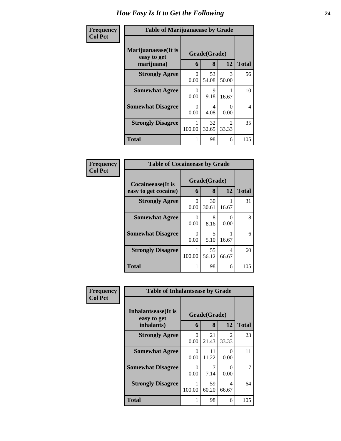| Frequency      | <b>Table of Marijuanaease by Grade</b>           |                           |                   |                                      |                          |
|----------------|--------------------------------------------------|---------------------------|-------------------|--------------------------------------|--------------------------|
| <b>Col Pct</b> | Marijuanaease(It is<br>easy to get<br>marijuana) | 6                         | Grade(Grade)<br>8 | 12                                   | <b>Total</b>             |
|                | <b>Strongly Agree</b>                            | 0<br>0.00                 | 53<br>54.08       | 3<br>50.00                           | 56                       |
|                | <b>Somewhat Agree</b>                            | 0<br>0.00                 | 9<br>9.18         | 16.67                                | 10                       |
|                | <b>Somewhat Disagree</b>                         | $\mathbf{\Omega}$<br>0.00 | 4<br>4.08         | 0<br>0.00                            | $\overline{\mathcal{L}}$ |
|                | <b>Strongly Disagree</b>                         | 100.00                    | 32<br>32.65       | $\mathcal{D}_{\mathcal{L}}$<br>33.33 | 35                       |
|                | <b>Total</b>                                     | 1                         | 98                | 6                                    | 105                      |

| Frequency      | <b>Table of Cocaineease by Grade</b>      |           |                   |            |              |
|----------------|-------------------------------------------|-----------|-------------------|------------|--------------|
| <b>Col Pct</b> | Cocaineease(It is<br>easy to get cocaine) | 6         | Grade(Grade)<br>8 | 12         | <b>Total</b> |
|                | <b>Strongly Agree</b>                     | 0<br>0.00 | 30<br>30.61       | 16.67      | 31           |
|                | <b>Somewhat Agree</b>                     | 0<br>0.00 | 8<br>8.16         | 0<br>0.00  | 8            |
|                | <b>Somewhat Disagree</b>                  | 0<br>0.00 | 5<br>5.10         | 16.67      | 6            |
|                | <b>Strongly Disagree</b>                  | 100.00    | 55<br>56.12       | 4<br>66.67 | 60           |
|                | <b>Total</b>                              |           | 98                | 6          | 105          |

| <b>Frequency</b> | <b>Table of Inhalantsease by Grade</b> |                  |             |                         |              |
|------------------|----------------------------------------|------------------|-------------|-------------------------|--------------|
| <b>Col Pct</b>   | Inhalantsease(It is<br>easy to get     | Grade(Grade)     |             |                         |              |
|                  | inhalants)                             | 6                | 8           | 12                      | <b>Total</b> |
|                  | <b>Strongly Agree</b>                  | 0<br>0.00        | 21<br>21.43 | 2<br>33.33              | 23           |
|                  | <b>Somewhat Agree</b>                  | 0<br>0.00        | 11<br>11.22 | $\Omega$<br>0.00        | 11           |
|                  | <b>Somewhat Disagree</b>               | $\Omega$<br>0.00 | 7.14        | $\Omega$<br>0.00        | 7            |
|                  | <b>Strongly Disagree</b>               | 100.00           | 59<br>60.20 | $\overline{4}$<br>66.67 | 64           |
|                  | <b>Total</b>                           | 1                | 98          | 6                       | 105          |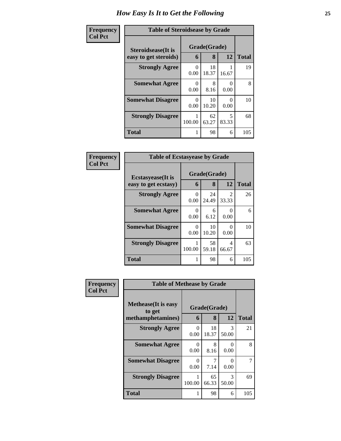| Frequency      |                                                     | <b>Table of Steroidsease by Grade</b> |             |              |     |  |  |  |
|----------------|-----------------------------------------------------|---------------------------------------|-------------|--------------|-----|--|--|--|
| <b>Col Pct</b> | <b>Steroidsease</b> (It is<br>easy to get steroids) | Grade(Grade)<br>6                     | 12          | <b>Total</b> |     |  |  |  |
|                | <b>Strongly Agree</b>                               | $\theta$<br>0.00                      | 18<br>18.37 | 16.67        | 19  |  |  |  |
|                | <b>Somewhat Agree</b>                               | 0<br>0.00                             | 8<br>8.16   | 0<br>0.00    | 8   |  |  |  |
|                | <b>Somewhat Disagree</b>                            | 0<br>0.00                             | 10<br>10.20 | 0<br>0.00    | 10  |  |  |  |
|                | <b>Strongly Disagree</b>                            | 100.00                                | 62<br>63.27 | 5<br>83.33   | 68  |  |  |  |
|                | <b>Total</b>                                        | 1                                     | 98          | 6            | 105 |  |  |  |

| Frequency      | <b>Table of Ecstasyease by Grade</b>              |                  |                   |                         |              |  |  |
|----------------|---------------------------------------------------|------------------|-------------------|-------------------------|--------------|--|--|
| <b>Col Pct</b> | <b>Ecstasyease</b> (It is<br>easy to get ecstasy) | 6                | Grade(Grade)<br>8 | 12                      | <b>Total</b> |  |  |
|                | <b>Strongly Agree</b>                             | 0<br>0.00        | 24<br>24.49       | $\mathfrak{D}$<br>33.33 | 26           |  |  |
|                | <b>Somewhat Agree</b>                             | $\Omega$<br>0.00 | 6<br>6.12         | 0<br>0.00               | 6            |  |  |
|                | <b>Somewhat Disagree</b>                          | $\Omega$<br>0.00 | 10<br>10.20       | 0<br>0.00               | 10           |  |  |
|                | <b>Strongly Disagree</b>                          | 100.00           | 58<br>59.18       | 4<br>66.67              | 63           |  |  |
|                | <b>Total</b>                                      |                  | 98                | 6                       | 105          |  |  |

| Frequency      | <b>Table of Methease by Grade</b>                          |                      |                   |                        |              |  |  |
|----------------|------------------------------------------------------------|----------------------|-------------------|------------------------|--------------|--|--|
| <b>Col Pct</b> | <b>Methease</b> (It is easy<br>to get<br>methamphetamines) | 6                    | Grade(Grade)<br>8 | 12                     | <b>Total</b> |  |  |
|                | <b>Strongly Agree</b>                                      | 0<br>0.00            | 18<br>18.37       | $\mathcal{R}$<br>50.00 | 21           |  |  |
|                | <b>Somewhat Agree</b>                                      | $\mathbf{0}$<br>0.00 | 8<br>8.16         | 0<br>0.00              | 8            |  |  |
|                | <b>Somewhat Disagree</b>                                   | $\mathbf{0}$<br>0.00 | 7.14              | 0<br>0.00              | 7            |  |  |
|                | <b>Strongly Disagree</b>                                   | 100.00               | 65<br>66.33       | $\mathcal{R}$<br>50.00 | 69           |  |  |
|                | Total                                                      |                      | 98                | 6                      | 105          |  |  |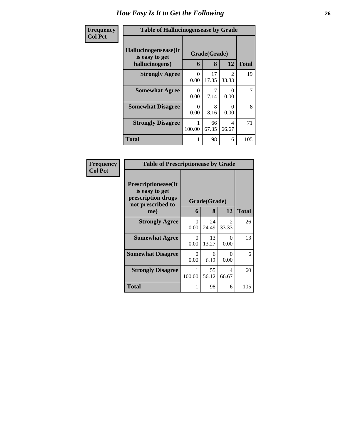| <b>Frequency</b> | <b>Table of Hallucinogensease by Grade</b>                |                  |                   |                           |              |  |  |
|------------------|-----------------------------------------------------------|------------------|-------------------|---------------------------|--------------|--|--|
| <b>Col Pct</b>   | Hallucinogensease(It)<br>is easy to get<br>hallucinogens) | 6                | Grade(Grade)<br>8 | 12                        | <b>Total</b> |  |  |
|                  | <b>Strongly Agree</b>                                     | 0<br>0.00        | 17<br>17.35       | $\mathcal{D}$<br>33.33    | 19           |  |  |
|                  | <b>Somewhat Agree</b>                                     | $\Omega$<br>0.00 | 7.14              | 0<br>0.00                 | 7            |  |  |
|                  | <b>Somewhat Disagree</b>                                  | $\Omega$<br>0.00 | 8<br>8.16         | $\mathbf{\Omega}$<br>0.00 | 8            |  |  |
|                  | <b>Strongly Disagree</b>                                  | 100.00           | 66<br>67.35       | 4<br>66.67                | 71           |  |  |
|                  | <b>Total</b>                                              |                  | 98                | 6                         | 105          |  |  |

| <b>Frequency</b> |
|------------------|
| <b>Col Pct</b>   |

|                                                                                          | <b>Table of Prescriptionease by Grade</b> |              |                         |              |  |  |  |  |
|------------------------------------------------------------------------------------------|-------------------------------------------|--------------|-------------------------|--------------|--|--|--|--|
| <b>Prescriptionease</b> (It<br>is easy to get<br>prescription drugs<br>not prescribed to |                                           | Grade(Grade) |                         |              |  |  |  |  |
| me)                                                                                      | 6                                         | 8            | 12                      | <b>Total</b> |  |  |  |  |
| <b>Strongly Agree</b>                                                                    | 0<br>0.00                                 | 24<br>24.49  | $\mathfrak{D}$<br>33.33 | 26           |  |  |  |  |
| <b>Somewhat Agree</b>                                                                    | 0<br>0.00                                 | 13<br>13.27  | 0<br>0.00               | 13           |  |  |  |  |
| <b>Somewhat Disagree</b>                                                                 | 0<br>0.00                                 | 6<br>6.12    | $\theta$<br>0.00        | 6            |  |  |  |  |
| <b>Strongly Disagree</b>                                                                 | 1<br>100.00                               | 55<br>56.12  | 4<br>66.67              | 60           |  |  |  |  |
| <b>Total</b>                                                                             | 1                                         | 98           | 6                       | 105          |  |  |  |  |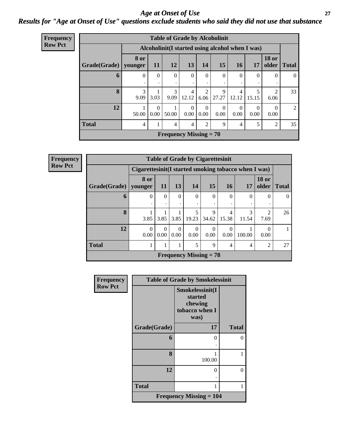#### *Age at Onset of Use* **27** *Results for "Age at Onset of Use" questions exclude students who said they did not use that substance*

| <b>Frequency</b> | <b>Table of Grade by Alcoholinit</b>             |                 |                  |                               |                  |                  |                  |                  |                  |                        |              |
|------------------|--------------------------------------------------|-----------------|------------------|-------------------------------|------------------|------------------|------------------|------------------|------------------|------------------------|--------------|
| <b>Row Pct</b>   | Alcoholinit (I started using alcohol when I was) |                 |                  |                               |                  |                  |                  |                  |                  |                        |              |
|                  | Grade(Grade)                                     | 8 or<br>younger | <b>11</b>        | 12                            | 13               | 14               | 15               | <b>16</b>        | 17               | <b>18 or</b><br>older  | <b>Total</b> |
|                  | 6                                                | $\Omega$        | $\Omega$         | $\Omega$<br>٠                 | $\Omega$<br>٠    | $\theta$         | $\Omega$         | $\theta$<br>٠    | $\Omega$         | $\Omega$               | $\theta$     |
|                  | 8                                                | 3<br>9.09       | 3.03             | 3<br>9.09                     | 4<br>12.12       | 6.06             | 9<br>27.27       | 4<br>12.12       | 5<br>15.15       | $\mathfrak{D}$<br>6.06 | 33           |
|                  | 12                                               | 50.00           | $\Omega$<br>0.00 | 50.00                         | $\Omega$<br>0.00 | $\Omega$<br>0.00 | $\Omega$<br>0.00 | $\Omega$<br>0.00 | $\Omega$<br>0.00 | $\Omega$<br>0.00       | 2            |
|                  | <b>Total</b>                                     | 4               |                  | 4                             | 4                | 2                | 9                | $\overline{4}$   | 5                | $\overline{2}$         | 35           |
|                  |                                                  |                 |                  | <b>Frequency Missing = 70</b> |                  |                  |                  |                  |                  |                        |              |

| <b>Frequency</b> | <b>Table of Grade by Cigarettesinit</b> |                                                      |                  |                  |                  |                               |            |          |                       |              |  |
|------------------|-----------------------------------------|------------------------------------------------------|------------------|------------------|------------------|-------------------------------|------------|----------|-----------------------|--------------|--|
| <b>Row Pct</b>   |                                         | Cigarettesinit(I started smoking tobacco when I was) |                  |                  |                  |                               |            |          |                       |              |  |
|                  | Grade(Grade)   younger                  | 8 or                                                 | <b>11</b>        | 13               | 14               | 15                            | <b>16</b>  | 17       | <b>18 or</b><br>older | <b>Total</b> |  |
|                  | 6                                       | $\Omega$                                             | $\Omega$         | $\Omega$         | $\Omega$         | $\theta$                      | $\Omega$   | $\Omega$ | $\Omega$              | $\Omega$     |  |
|                  | 8                                       | 3.85                                                 | 3.85             |                  | $3.85$   19.23   | $\mathbf Q$<br>34.62          | 4<br>15.38 | 11.54    | 7.69                  | 26           |  |
|                  | 12                                      | $\Omega$<br>0.00                                     | $\Omega$<br>0.00 | $\theta$<br>0.00 | $\Omega$<br>0.00 | 0<br>0.00                     | 0<br>0.00  | 100.00   | $\Omega$<br>0.00      |              |  |
|                  | <b>Total</b>                            |                                                      |                  |                  | 5                | 9                             | 4          | 4        | $\overline{c}$        | 27           |  |
|                  |                                         |                                                      |                  |                  |                  | <b>Frequency Missing = 78</b> |            |          |                       |              |  |

| Frequency      |              | <b>Table of Grade by Smokelessinit</b>                          |              |
|----------------|--------------|-----------------------------------------------------------------|--------------|
| <b>Row Pct</b> |              | Smokelessinit(I<br>started<br>chewing<br>tobacco when I<br>was) |              |
|                | Grade(Grade) | 17                                                              | <b>Total</b> |
|                | 6            | 0                                                               | 0            |
|                | 8            | 100.00                                                          |              |
|                | 12           | 0                                                               | $\Omega$     |
|                | <b>Total</b> |                                                                 | 1            |
|                |              | <b>Frequency Missing <math>= 104</math></b>                     |              |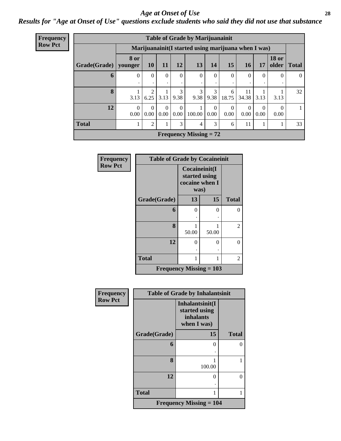#### *Age at Onset of Use* **28**

*Results for "Age at Onset of Use" questions exclude students who said they did not use that substance*

| Frequency      |                                                      |                  |                  |                  |                  | <b>Table of Grade by Marijuanainit</b> |                  |                  |             |                  |                       |                |
|----------------|------------------------------------------------------|------------------|------------------|------------------|------------------|----------------------------------------|------------------|------------------|-------------|------------------|-----------------------|----------------|
| <b>Row Pct</b> | Marijuanainit (I started using marijuana when I was) |                  |                  |                  |                  |                                        |                  |                  |             |                  |                       |                |
|                | Grade(Grade)   younger                               | <b>8 or</b>      | <b>10</b>        | 11               | 12               | 13                                     | 14               | 15               | <b>16</b>   | 17               | <b>18 or</b><br>older | <b>Total</b>   |
|                | 6                                                    | $\Omega$         | $\Omega$<br>٠    | $\Omega$         | $\Omega$<br>٠    | $\Omega$                               | $\Omega$         | $\Omega$         | $\Omega$    | $\Omega$         | $\Omega$              | $\overline{0}$ |
|                | 8                                                    | 3.13             | 2<br>6.25        | 3.13             | 3<br>9.38        | 3<br>9.38                              | 3<br>9.38        | 6<br>18.75       | 11<br>34.38 | 3.13             | 3.13                  | 32             |
|                | 12                                                   | $\Omega$<br>0.00 | $\Omega$<br>0.00 | $\Omega$<br>0.00 | $\Omega$<br>0.00 | 100.00                                 | $\Omega$<br>0.00 | $\Omega$<br>0.00 | 0<br>0.00   | $\Omega$<br>0.00 | $\Omega$<br>0.00      | 1              |
|                | <b>Total</b>                                         |                  | 2                |                  | 3                | 4                                      | 3                | 6                | 11          |                  |                       | 33             |
|                |                                                      |                  |                  |                  |                  | <b>Frequency Missing = 72</b>          |                  |                  |             |                  |                       |                |

| <b>Frequency</b> | <b>Table of Grade by Cocaineinit</b> |                                         |               |              |  |  |  |
|------------------|--------------------------------------|-----------------------------------------|---------------|--------------|--|--|--|
| <b>Row Pct</b>   |                                      | started using<br>cocaine when I<br>was) | Cocaineinit(I |              |  |  |  |
|                  | Grade(Grade)                         | 13                                      | 15            | <b>Total</b> |  |  |  |
|                  | 6                                    | 0                                       | 0             | 0            |  |  |  |
|                  | 8                                    | 50.00                                   | 50.00         | 2            |  |  |  |
|                  | 12                                   | 0                                       | 0             | 0            |  |  |  |
|                  | <b>Total</b>                         |                                         |               | 2            |  |  |  |
|                  | <b>Frequency Missing = 103</b>       |                                         |               |              |  |  |  |

| Frequency      |              | <b>Table of Grade by Inhalantsinit</b>                       |              |  |  |  |  |
|----------------|--------------|--------------------------------------------------------------|--------------|--|--|--|--|
| <b>Row Pct</b> |              | Inhalantsinit(I<br>started using<br>inhalants<br>when I was) |              |  |  |  |  |
|                | Grade(Grade) | 15                                                           | <b>Total</b> |  |  |  |  |
|                | 6            | 0                                                            | 0            |  |  |  |  |
|                | 8            | 100.00                                                       |              |  |  |  |  |
|                | 12           | $\mathbf{0}$                                                 | 0            |  |  |  |  |
|                | <b>Total</b> |                                                              | 1            |  |  |  |  |
|                |              | <b>Frequency Missing = 104</b>                               |              |  |  |  |  |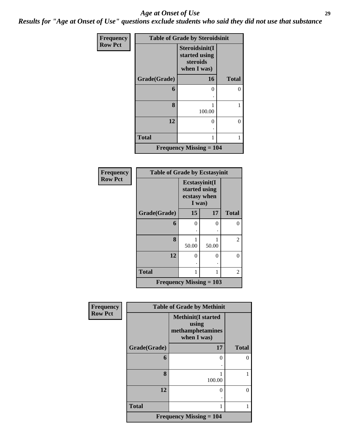#### *Age at Onset of Use* **29**

*Results for "Age at Onset of Use" questions exclude students who said they did not use that substance*

| Frequency      | <b>Table of Grade by Steroidsinit</b> |                                                            |              |  |  |
|----------------|---------------------------------------|------------------------------------------------------------|--------------|--|--|
| <b>Row Pct</b> |                                       | Steroidsinit(I<br>started using<br>steroids<br>when I was) |              |  |  |
|                | Grade(Grade)                          | 16                                                         | <b>Total</b> |  |  |
|                | 6                                     | 0                                                          | 0            |  |  |
|                | 8                                     | 1<br>100.00                                                | 1            |  |  |
|                | 12                                    | 0                                                          | 0            |  |  |
|                | <b>Total</b>                          | 1                                                          | 1            |  |  |
|                |                                       | <b>Frequency Missing = 104</b>                             |              |  |  |

| Frequency      | <b>Table of Grade by Ecstasyinit</b> |                                                          |       |              |  |
|----------------|--------------------------------------|----------------------------------------------------------|-------|--------------|--|
| <b>Row Pct</b> |                                      | Ecstasyinit(I<br>started using<br>ecstasy when<br>I was) |       |              |  |
|                | Grade(Grade)                         | 15                                                       | 17    | <b>Total</b> |  |
|                | 6                                    | 0                                                        | 0     | 0            |  |
|                | 8                                    | 1<br>50.00                                               | 50.00 | 2            |  |
|                | 12                                   | 0                                                        | 0     | $\Omega$     |  |
|                | <b>Total</b>                         | 1                                                        | 1     | 2            |  |
|                | <b>Frequency Missing = 103</b>       |                                                          |       |              |  |

| Frequency      | <b>Table of Grade by Methinit</b> |                                                                       |              |  |  |
|----------------|-----------------------------------|-----------------------------------------------------------------------|--------------|--|--|
| <b>Row Pct</b> |                                   | <b>Methinit(I started</b><br>using<br>methamphetamines<br>when I was) |              |  |  |
|                | Grade(Grade)                      | 17                                                                    | <b>Total</b> |  |  |
|                | 6                                 | 0                                                                     | 0            |  |  |
|                | 8                                 | 100.00                                                                |              |  |  |
|                | 12                                | 0                                                                     | $\theta$     |  |  |
|                | <b>Total</b>                      |                                                                       |              |  |  |
|                |                                   | Frequency Missing $= 104$                                             |              |  |  |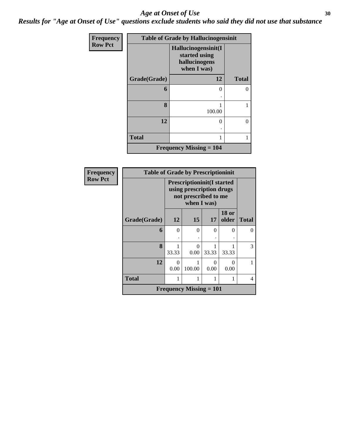#### Age at Onset of Use **30**

*Results for "Age at Onset of Use" questions exclude students who said they did not use that substance*

| Frequency      |              | <b>Table of Grade by Hallucinogensinit</b>                           |              |
|----------------|--------------|----------------------------------------------------------------------|--------------|
| <b>Row Pct</b> |              | Hallucinogensinit(I<br>started using<br>hallucinogens<br>when I was) |              |
|                | Grade(Grade) | 12                                                                   | <b>Total</b> |
|                | 6            | 0                                                                    |              |
|                | 8            | 100.00                                                               |              |
|                | 12           | 0                                                                    | 0            |
|                | <b>Total</b> | 1                                                                    |              |
|                |              | <b>Frequency Missing <math>= 104</math></b>                          |              |

| <b>Frequency</b> | <b>Table of Grade by Prescriptioninit</b> |                                                                                                      |                                |           |                       |              |
|------------------|-------------------------------------------|------------------------------------------------------------------------------------------------------|--------------------------------|-----------|-----------------------|--------------|
| <b>Row Pct</b>   |                                           | <b>Prescriptioninit(I started</b><br>using prescription drugs<br>not prescribed to me<br>when I was) |                                |           |                       |              |
|                  | Grade(Grade)                              | 12                                                                                                   | 15                             | 17        | <b>18 or</b><br>older | <b>Total</b> |
|                  | 6                                         | $\theta$                                                                                             | 0                              | 0         | 0                     | $\Omega$     |
|                  | 8                                         | 33.33                                                                                                | 0<br>0.00                      | 33.33     | 33.33                 | 3            |
|                  | 12                                        | $\Omega$<br>0.00                                                                                     | 100.00                         | 0<br>0.00 | $\Omega$<br>0.00      |              |
|                  | <b>Total</b>                              | 1                                                                                                    |                                |           |                       | 4            |
|                  |                                           |                                                                                                      | <b>Frequency Missing = 101</b> |           |                       |              |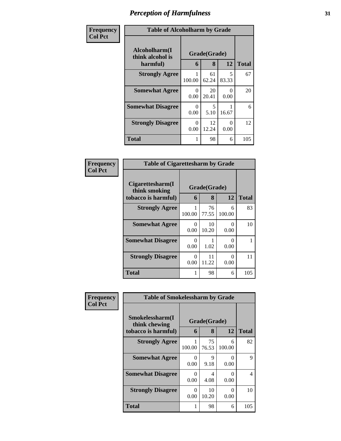| Frequency      | <b>Table of Alcoholharm by Grade</b>          |                  |                   |            |              |
|----------------|-----------------------------------------------|------------------|-------------------|------------|--------------|
| <b>Col Pct</b> | Alcoholharm(I<br>think alcohol is<br>harmful) | 6                | Grade(Grade)<br>8 | 12         | <b>Total</b> |
|                | <b>Strongly Agree</b>                         | 100.00           | 61<br>62.24       | 5<br>83.33 | 67           |
|                | <b>Somewhat Agree</b>                         | $\Omega$<br>0.00 | 20<br>20.41       | 0<br>0.00  | 20           |
|                | <b>Somewhat Disagree</b>                      | 0<br>0.00        | 5<br>5.10         | 16.67      | 6            |
|                | <b>Strongly Disagree</b>                      | 0<br>0.00        | 12<br>12.24       | 0<br>0.00  | 12           |
|                | <b>Total</b>                                  | 1                | 98                | 6          | 105          |

| <b>Frequency</b><br>Col Pct |
|-----------------------------|

| <b>Table of Cigarettesharm by Grade</b>                  |                           |              |               |     |  |  |  |
|----------------------------------------------------------|---------------------------|--------------|---------------|-----|--|--|--|
| Cigarettesharm(I<br>think smoking<br>tobacco is harmful) | Grade(Grade)<br>6         | <b>Total</b> |               |     |  |  |  |
| <b>Strongly Agree</b>                                    | 1<br>100.00               | 76<br>77.55  | 6<br>100.00   | 83  |  |  |  |
| <b>Somewhat Agree</b>                                    | 0<br>0.00                 | 10<br>10.20  | 0<br>0.00     | 10  |  |  |  |
| <b>Somewhat Disagree</b>                                 | $\mathbf{\Omega}$<br>0.00 | 1.02         | 0<br>0.00     |     |  |  |  |
| <b>Strongly Disagree</b>                                 | 0<br>0.00                 | 11<br>11.22  | 0<br>$0.00\,$ | 11  |  |  |  |
| <b>Total</b>                                             |                           | 98           | 6             | 105 |  |  |  |

| Frequency      | <b>Table of Smokelessharm by Grade</b> |                  |             |             |              |  |  |
|----------------|----------------------------------------|------------------|-------------|-------------|--------------|--|--|
| <b>Col Pct</b> | Smokelessharm(I<br>think chewing       | Grade(Grade)     |             |             |              |  |  |
|                | tobacco is harmful)                    | 6                | 8           | 12          | <b>Total</b> |  |  |
|                | <b>Strongly Agree</b>                  | 100.00           | 75<br>76.53 | 6<br>100.00 | 82           |  |  |
|                | <b>Somewhat Agree</b>                  | $\theta$<br>0.00 | 9<br>9.18   | 0<br>0.00   | 9            |  |  |
|                | <b>Somewhat Disagree</b>               | 0<br>0.00        | 4<br>4.08   | 0<br>0.00   | 4            |  |  |
|                | <b>Strongly Disagree</b>               | $\Omega$<br>0.00 | 10<br>10.20 | 0<br>0.00   | 10           |  |  |
|                | Total                                  | 1                | 98          | 6           | 105          |  |  |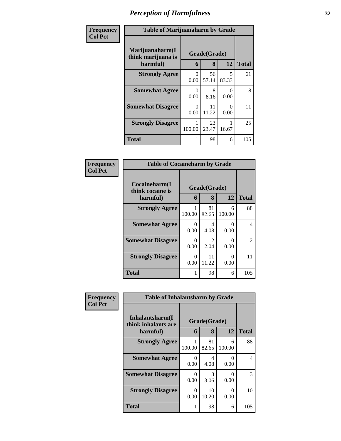| Frequency      | <b>Table of Marijuanaharm by Grade</b>                                            |           |             |                  |              |
|----------------|-----------------------------------------------------------------------------------|-----------|-------------|------------------|--------------|
| <b>Col Pct</b> | Marijuanaharm(I<br>Grade(Grade)<br>think marijuana is<br>12<br>8<br>harmful)<br>6 |           |             |                  | <b>Total</b> |
|                | <b>Strongly Agree</b>                                                             | 0<br>0.00 | 56<br>57.14 | 5<br>83.33       | 61           |
|                | <b>Somewhat Agree</b>                                                             | 0<br>0.00 | 8<br>8.16   | $\Omega$<br>0.00 | 8            |
|                | <b>Somewhat Disagree</b>                                                          | 0<br>0.00 | 11<br>11.22 | 0<br>0.00        | 11           |
|                | <b>Strongly Disagree</b>                                                          | 100.00    | 23<br>23.47 | 16.67            | 25           |
|                | <b>Total</b>                                                                      | 1         | 98          | 6                | 105          |

| <b>Frequency</b><br>Col Pct |
|-----------------------------|
|                             |

| <b>Table of Cocaineharm by Grade</b>          |                           |                        |             |               |  |  |
|-----------------------------------------------|---------------------------|------------------------|-------------|---------------|--|--|
| Cocaineharm(I<br>think cocaine is<br>harmful) | Grade(Grade)<br>6         | <b>Total</b>           |             |               |  |  |
| <b>Strongly Agree</b>                         | 1<br>100.00               | 81<br>82.65            | 6<br>100.00 | 88            |  |  |
| <b>Somewhat Agree</b>                         | 0<br>0.00                 | 4<br>4.08              | 0<br>0.00   | 4             |  |  |
| <b>Somewhat Disagree</b>                      | $\mathbf{\Omega}$<br>0.00 | $\mathfrak{D}$<br>2.04 | 0<br>0.00   | $\mathcal{L}$ |  |  |
| <b>Strongly Disagree</b>                      | $\mathbf{0}$<br>0.00      | 11<br>11.22            | 0<br>0.00   | 11            |  |  |
| Total                                         |                           | 98                     | 6           | 105           |  |  |

| Frequency      | <b>Table of Inhalantsharm by Grade</b>             |                  |                   |             |              |
|----------------|----------------------------------------------------|------------------|-------------------|-------------|--------------|
| <b>Col Pct</b> | Inhalantsharm(I<br>think inhalants are<br>harmful) | 6                | Grade(Grade)<br>8 | 12          | <b>Total</b> |
|                | <b>Strongly Agree</b>                              | 1<br>100.00      | 81<br>82.65       | 6<br>100.00 | 88           |
|                | <b>Somewhat Agree</b>                              | $\theta$<br>0.00 | 4<br>4.08         | 0<br>0.00   | 4            |
|                | <b>Somewhat Disagree</b>                           | 0<br>0.00        | 3<br>3.06         | 0<br>0.00   | 3            |
|                | <b>Strongly Disagree</b>                           | 0<br>0.00        | 10<br>10.20       | 0<br>0.00   | 10           |
|                | Total                                              | 1                | 98                | 6           | 105          |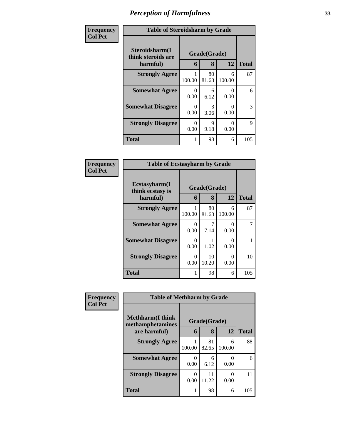| <b>Frequency</b> | <b>Table of Steroidsharm by Grade</b>            |           |                       |             |              |  |
|------------------|--------------------------------------------------|-----------|-----------------------|-------------|--------------|--|
| <b>Col Pct</b>   | Steroidsharm(I<br>think steroids are<br>harmful) | 6         | Grade(Grade)<br>8     | 12          | <b>Total</b> |  |
|                  | <b>Strongly Agree</b>                            | 100.00    | 80<br>81.63           | 6<br>100.00 | 87           |  |
|                  | <b>Somewhat Agree</b>                            | 0<br>0.00 | 6<br>6.12             | 0<br>0.00   | 6            |  |
|                  | <b>Somewhat Disagree</b>                         | 0<br>0.00 | $\mathcal{F}$<br>3.06 | 0<br>0.00   | 3            |  |
|                  | <b>Strongly Disagree</b>                         | 0<br>0.00 | 9<br>9.18             | ∩<br>0.00   | 9            |  |
|                  | <b>Total</b>                                     |           | 98                    | 6           | 105          |  |

| <b>Frequency</b> |  |
|------------------|--|
| Col Pct          |  |

|                                               | <b>Table of Ecstasyharm by Grade</b> |                   |             |              |  |  |  |
|-----------------------------------------------|--------------------------------------|-------------------|-------------|--------------|--|--|--|
| Ecstasyharm(I<br>think ecstasy is<br>harmful) | 6                                    | Grade(Grade)<br>8 | 12          | <b>Total</b> |  |  |  |
| <b>Strongly Agree</b>                         | 1<br>100.00                          | 80<br>81.63       | 6<br>100.00 | 87           |  |  |  |
| <b>Somewhat Agree</b>                         | $\mathbf{\Omega}$<br>0.00            | 7<br>7.14         | 0<br>0.00   |              |  |  |  |
| <b>Somewhat Disagree</b>                      | $\mathbf{\Omega}$<br>0.00            | 1.02              | 0<br>0.00   |              |  |  |  |
| <b>Strongly Disagree</b>                      | $\mathbf{\Omega}$<br>0.00            | 10<br>10.20       | 0<br>0.00   | 10           |  |  |  |
| Total                                         |                                      | 98                | 6           | 105          |  |  |  |

| Frequency      | <b>Table of Methharm by Grade</b>            |        |              |                  |              |  |  |  |
|----------------|----------------------------------------------|--------|--------------|------------------|--------------|--|--|--|
| <b>Col Pct</b> | <b>Methharm</b> (I think<br>methamphetamines |        | Grade(Grade) |                  |              |  |  |  |
|                | are harmful)                                 | 6      | 8            | 12               | <b>Total</b> |  |  |  |
|                | <b>Strongly Agree</b>                        | 100.00 | 81<br>82.65  | 6<br>100.00      | 88           |  |  |  |
|                | <b>Somewhat Agree</b>                        | 0.00   | 6<br>6.12    | $\theta$<br>0.00 | 6            |  |  |  |
|                | <b>Strongly Disagree</b>                     | 0.00   | 11<br>11.22  | 0.00             | 11           |  |  |  |
|                | <b>Total</b>                                 |        | 98           | 6                | 105          |  |  |  |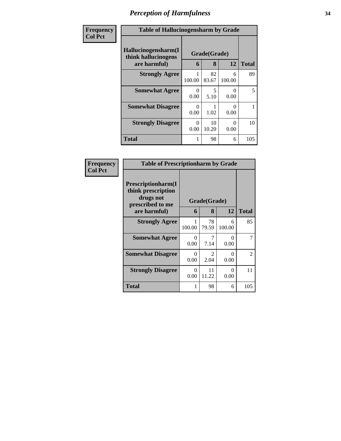| <b>Frequency</b> | <b>Table of Hallucinogensharm by Grade</b>                 |                  |                   |                  |              |
|------------------|------------------------------------------------------------|------------------|-------------------|------------------|--------------|
| <b>Col Pct</b>   | Hallucinogensharm(I<br>think hallucinogens<br>are harmful) | 6                | Grade(Grade)<br>8 | 12               | <b>Total</b> |
|                  | <b>Strongly Agree</b>                                      | 100.00           | 82<br>83.67       | 6<br>100.00      | 89           |
|                  | <b>Somewhat Agree</b>                                      | $\Omega$<br>0.00 | 5<br>5.10         | $\Omega$<br>0.00 | 5            |
|                  | <b>Somewhat Disagree</b>                                   | 0<br>0.00        | 1.02              | $\theta$<br>0.00 |              |
|                  | <b>Strongly Disagree</b>                                   | 0<br>0.00        | 10<br>10.20       | ∩<br>0.00        | 10           |
|                  | <b>Total</b>                                               |                  | 98                | 6                | 105          |

| <b>Frequency</b> | <b>Table of Prescriptionharm by Grade</b>                                 |                  |                        |                      |                |  |  |
|------------------|---------------------------------------------------------------------------|------------------|------------------------|----------------------|----------------|--|--|
| <b>Col Pct</b>   | Prescriptionharm(I<br>think prescription<br>drugs not<br>prescribed to me | Grade(Grade)     |                        |                      |                |  |  |
|                  | are harmful)                                                              | 6                | 8                      | 12                   | <b>Total</b>   |  |  |
|                  | <b>Strongly Agree</b>                                                     | 100.00           | 78<br>79.59            | 6<br>100.00          | 85             |  |  |
|                  | <b>Somewhat Agree</b>                                                     | $\Omega$<br>0.00 | 7<br>7.14              | $\Omega$<br>0.00     | 7              |  |  |
|                  | <b>Somewhat Disagree</b>                                                  | $\Omega$<br>0.00 | $\mathfrak{D}$<br>2.04 | 0.00                 | $\mathfrak{D}$ |  |  |
|                  | <b>Strongly Disagree</b>                                                  | $\Omega$<br>0.00 | 11<br>11.22            | $\mathbf{0}$<br>0.00 | 11             |  |  |
|                  | <b>Total</b>                                                              | 1                | 98                     | 6                    | 105            |  |  |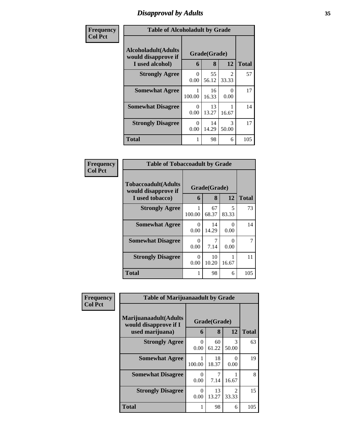## *Disapproval by Adults* **35**

| Frequency      | <b>Table of Alcoholadult by Grade</b>                         |                  |                   |            |              |  |
|----------------|---------------------------------------------------------------|------------------|-------------------|------------|--------------|--|
| <b>Col Pct</b> | Alcoholadult(Adults<br>would disapprove if<br>I used alcohol) | 6                | Grade(Grade)<br>8 | 12         | <b>Total</b> |  |
|                | <b>Strongly Agree</b>                                         | $\Omega$<br>0.00 | 55<br>56.12       | 2<br>33.33 | 57           |  |
|                | <b>Somewhat Agree</b>                                         | 100.00           | 16<br>16.33       | 0<br>0.00  | 17           |  |
|                | <b>Somewhat Disagree</b>                                      | $\Omega$<br>0.00 | 13<br>13.27       | 16.67      | 14           |  |
|                | <b>Strongly Disagree</b>                                      | $\Omega$<br>0.00 | 14<br>14.29       | 3<br>50.00 | 17           |  |
|                | <b>Total</b>                                                  |                  | 98                | 6          | 105          |  |

| Frequency      | <b>Table of Tobaccoadult by Grade</b>                         |           |                   |                                   |              |
|----------------|---------------------------------------------------------------|-----------|-------------------|-----------------------------------|--------------|
| <b>Col Pct</b> | Tobaccoadult(Adults<br>would disapprove if<br>I used tobacco) | 6         | Grade(Grade)<br>8 | 12                                | <b>Total</b> |
|                | <b>Strongly Agree</b>                                         | 100.00    | 67<br>68.37       | $\overline{\phantom{0}}$<br>83.33 | 73           |
|                | <b>Somewhat Agree</b>                                         | 0<br>0.00 | 14<br>14.29       | 0<br>0.00                         | 14           |
|                | <b>Somewhat Disagree</b>                                      | ∩<br>0.00 | 7.14              | 0<br>0.00                         | 7            |
|                | <b>Strongly Disagree</b>                                      | 0<br>0.00 | 10<br>10.20       | 1<br>16.67                        | 11           |
|                | <b>Total</b>                                                  |           | 98                | 6                                 | 105          |

| Frequency      | <b>Table of Marijuanaadult by Grade</b>        |                  |              |                         |              |
|----------------|------------------------------------------------|------------------|--------------|-------------------------|--------------|
| <b>Col Pct</b> | Marijuanaadult(Adults<br>would disapprove if I |                  | Grade(Grade) |                         |              |
|                | used marijuana)                                | 6                | 8            | 12                      | <b>Total</b> |
|                | <b>Strongly Agree</b>                          | $\Omega$<br>0.00 | 60<br>61.22  | $\mathcal{R}$<br>50.00  | 63           |
|                | <b>Somewhat Agree</b>                          | 100.00           | 18<br>18.37  | $\theta$<br>0.00        | 19           |
|                | <b>Somewhat Disagree</b>                       | 0<br>0.00        | 7.14         | 16.67                   | 8            |
|                | <b>Strongly Disagree</b>                       | 0<br>0.00        | 13<br>13.27  | $\mathfrak{D}$<br>33.33 | 15           |
|                | <b>Total</b>                                   |                  | 98           | 6                       | 105          |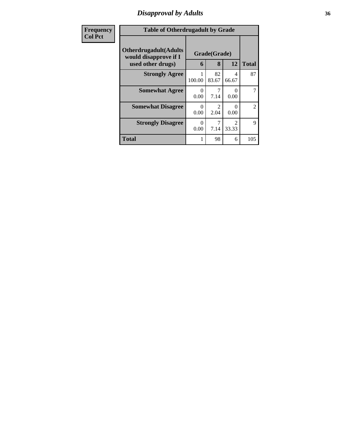## *Disapproval by Adults* **36**

| Frequency      | <b>Table of Otherdrugadult by Grade</b>                                     |                  |                                     |                           |                |
|----------------|-----------------------------------------------------------------------------|------------------|-------------------------------------|---------------------------|----------------|
| <b>Col Pct</b> | <b>Otherdrugadult</b> (Adults<br>would disapprove if I<br>used other drugs) | 6                | Grade(Grade)<br>8                   | 12                        | <b>Total</b>   |
|                | <b>Strongly Agree</b>                                                       | 100.00           | 82<br>83.67                         | 4<br>66.67                | 87             |
|                | <b>Somewhat Agree</b>                                                       | $\Omega$<br>0.00 | 7.14                                | 0<br>0.00                 | 7              |
|                | <b>Somewhat Disagree</b>                                                    | $\Omega$<br>0.00 | $\mathcal{D}_{\mathcal{L}}$<br>2.04 | $\mathbf{\Omega}$<br>0.00 | $\overline{c}$ |
|                | <b>Strongly Disagree</b>                                                    | 0<br>0.00        | 7.14                                | $\mathfrak{D}$<br>33.33   | 9              |
|                | <b>Total</b>                                                                |                  | 98                                  | 6                         | 105            |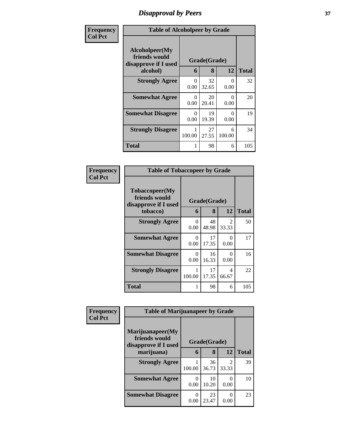## *Disapproval by Peers* **37**

| Frequency      | <b>Table of Alcoholpeer by Grade</b>                                |                              |             |                  |              |  |  |
|----------------|---------------------------------------------------------------------|------------------------------|-------------|------------------|--------------|--|--|
| <b>Col Pct</b> | Alcoholpeer(My<br>friends would<br>disapprove if I used<br>alcohol) | Grade(Grade)<br>12<br>8<br>6 |             |                  | <b>Total</b> |  |  |
|                | <b>Strongly Agree</b>                                               | $\Omega$<br>0.00             | 32<br>32.65 | $\Omega$<br>0.00 | 32           |  |  |
|                | <b>Somewhat Agree</b>                                               | 0<br>0.00                    | 20<br>20.41 | 0<br>0.00        | 20           |  |  |
|                | <b>Somewhat Disagree</b>                                            | $\Omega$<br>0.00             | 19<br>19.39 | $\Omega$<br>0.00 | 19           |  |  |
|                | <b>Strongly Disagree</b>                                            | 100.00                       | 27<br>27.55 | 6<br>100.00      | 34           |  |  |
|                | <b>Total</b>                                                        | 1                            | 98          | 6                | 105          |  |  |

| Frequency      | <b>Table of Tobaccopeer by Grade</b>                                |                  |                   |                         |              |  |  |
|----------------|---------------------------------------------------------------------|------------------|-------------------|-------------------------|--------------|--|--|
| <b>Col Pct</b> | Tobaccopeer(My<br>friends would<br>disapprove if I used<br>tobacco) | 6                | Grade(Grade)<br>8 | 12                      | <b>Total</b> |  |  |
|                | <b>Strongly Agree</b>                                               | 0<br>0.00        | 48<br>48.98       | $\mathfrak{D}$<br>33.33 | 50           |  |  |
|                | <b>Somewhat Agree</b>                                               | 0<br>0.00        | 17<br>17.35       | ∩<br>0.00               | 17           |  |  |
|                | <b>Somewhat Disagree</b>                                            | $\Omega$<br>0.00 | 16<br>16.33       | 0<br>0.00               | 16           |  |  |
|                | <b>Strongly Disagree</b>                                            | 1<br>100.00      | 17<br>17.35       | 4<br>66.67              | 22           |  |  |
|                | Total                                                               |                  | 98                | 6                       | 105          |  |  |

| Frequency      | <b>Table of Marijuanapeer by Grade</b>                    |                              |             |                         |              |  |
|----------------|-----------------------------------------------------------|------------------------------|-------------|-------------------------|--------------|--|
| <b>Col Pct</b> | Marijuanapeer(My<br>friends would<br>disapprove if I used | Grade(Grade)<br>12<br>8<br>6 |             |                         |              |  |
|                | marijuana)                                                |                              |             |                         | <b>Total</b> |  |
|                | <b>Strongly Agree</b>                                     | 100.00                       | 36<br>36.73 | $\mathfrak{D}$<br>33.33 | 39           |  |
|                | <b>Somewhat Agree</b>                                     | 0<br>0.00                    | 10<br>10.20 | 0.00                    | 10           |  |
|                | <b>Somewhat Disagree</b>                                  | 0<br>0.00                    | 23<br>23.47 | 0.00                    | 23           |  |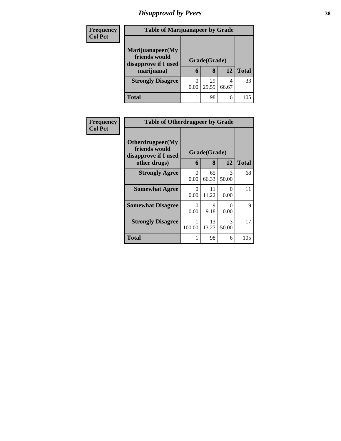# *Disapproval by Peers* **38**

| <b>Frequency</b> | <b>Table of Marijuanapeer by Grade</b>                                  |                   |              |       |     |  |  |  |
|------------------|-------------------------------------------------------------------------|-------------------|--------------|-------|-----|--|--|--|
| <b>Col Pct</b>   | Marijuanapeer(My<br>friends would<br>disapprove if I used<br>marijuana) | Grade(Grade)<br>6 | <b>Total</b> |       |     |  |  |  |
|                  | <b>Strongly Disagree</b>                                                | 0.00              | 29<br>29.59  | 66.67 | 33  |  |  |  |
|                  | <b>Total</b>                                                            |                   | 98           | 6     | 105 |  |  |  |

| <b>Frequency</b> | <b>Table of Otherdrugpeer by Grade</b>                                    |                  |                   |            |              |  |
|------------------|---------------------------------------------------------------------------|------------------|-------------------|------------|--------------|--|
| <b>Col Pct</b>   | Otherdrugpeer(My<br>friends would<br>disapprove if I used<br>other drugs) | 6                | Grade(Grade)<br>8 | 12         | <b>Total</b> |  |
|                  | <b>Strongly Agree</b>                                                     | $\Omega$<br>0.00 | 65<br>66.33       | 3<br>50.00 | 68           |  |
|                  | <b>Somewhat Agree</b>                                                     | 0<br>0.00        | 11<br>11.22       | 0<br>0.00  | 11           |  |
|                  | <b>Somewhat Disagree</b>                                                  | 0<br>0.00        | 9<br>9.18         | ∩<br>0.00  | 9            |  |
|                  | <b>Strongly Disagree</b>                                                  | 1<br>100.00      | 13<br>13.27       | 3<br>50.00 | 17           |  |
|                  | <b>Total</b>                                                              | 1                | 98                | 6          | 105          |  |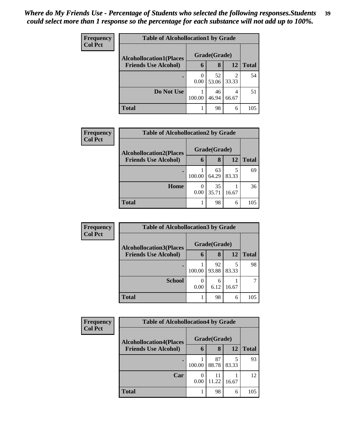| Frequency      | <b>Table of Alcohollocation1 by Grade</b> |                  |             |            |              |  |
|----------------|-------------------------------------------|------------------|-------------|------------|--------------|--|
| <b>Col Pct</b> | <b>Alcohollocation1(Places</b>            | Grade(Grade)     |             |            |              |  |
|                | <b>Friends Use Alcohol)</b>               | 6                | 8           | 12         | <b>Total</b> |  |
|                |                                           | $\theta$<br>0.00 | 52<br>53.06 | 33.33      | 54           |  |
|                | Do Not Use                                | 100.00           | 46<br>46.94 | 4<br>66.67 | 51           |  |
|                | <b>Total</b>                              |                  | 98          | 6          | 105          |  |

| Frequency      | <b>Table of Alcohollocation2 by Grade</b>                     |           |                   |       |              |  |
|----------------|---------------------------------------------------------------|-----------|-------------------|-------|--------------|--|
| <b>Col Pct</b> | <b>Alcohollocation2(Places</b><br><b>Friends Use Alcohol)</b> | 6         | Grade(Grade)<br>8 | 12    | <b>Total</b> |  |
|                |                                                               |           |                   |       |              |  |
|                |                                                               | 100.00    | 63<br>64.29       | 83.33 | 69           |  |
|                | Home                                                          | 0<br>0.00 | 35<br>35.71       | 16.67 | 36           |  |
|                | <b>Total</b>                                                  |           | 98                | 6     | 105          |  |

| Frequency<br><b>Col Pct</b> | <b>Table of Alcohollocation 3 by Grade</b> |              |             |       |              |  |
|-----------------------------|--------------------------------------------|--------------|-------------|-------|--------------|--|
|                             | <b>Alcohollocation3(Places</b>             | Grade(Grade) |             |       |              |  |
|                             | <b>Friends Use Alcohol)</b>                | 6            | 8           | 12    | <b>Total</b> |  |
|                             |                                            | 100.00       | 92<br>93.88 | 83.33 | 98           |  |
|                             | <b>School</b>                              | 0<br>0.00    | 6<br>6.12   | 16.67 |              |  |
|                             | <b>Total</b>                               |              | 98          | 6     | 105          |  |

| <b>Frequency</b> | <b>Table of Alcohollocation4 by Grade</b> |              |             |            |              |  |
|------------------|-------------------------------------------|--------------|-------------|------------|--------------|--|
| <b>Col Pct</b>   | <b>Alcohollocation4(Places</b>            | Grade(Grade) |             |            |              |  |
|                  | <b>Friends Use Alcohol)</b>               | 6            | 8           | 12         | <b>Total</b> |  |
|                  |                                           | 100.00       | 87<br>88.78 | 5<br>83.33 | 93           |  |
|                  | Car                                       | 0.00         | 11<br>11.22 | 16.67      | 12           |  |
|                  | <b>Total</b>                              |              | 98          | 6          | 105          |  |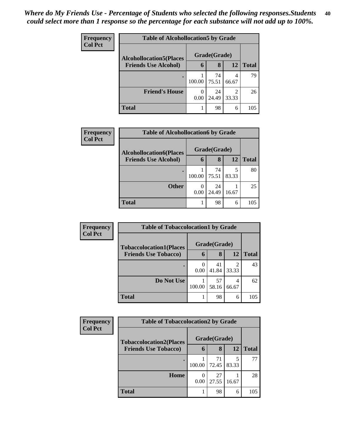| <b>Frequency</b><br><b>Col Pct</b> | <b>Table of Alcohollocation5 by Grade</b> |              |             |            |              |  |  |
|------------------------------------|-------------------------------------------|--------------|-------------|------------|--------------|--|--|
|                                    | <b>Alcohollocation5</b> (Places           | Grade(Grade) |             |            |              |  |  |
|                                    | <b>Friends Use Alcohol)</b>               | 6            | 8           | 12         | <b>Total</b> |  |  |
|                                    |                                           | 100.00       | 74<br>75.51 | 66.67      | 79           |  |  |
|                                    | <b>Friend's House</b>                     | 0<br>0.00    | 24<br>24.49 | 2<br>33.33 | 26           |  |  |
|                                    | <b>Total</b>                              |              | 98          | 6          | 105          |  |  |

| Frequency      | <b>Table of Alcohollocation6 by Grade</b> |           |              |       |              |  |  |
|----------------|-------------------------------------------|-----------|--------------|-------|--------------|--|--|
| <b>Col Pct</b> | <b>Alcohollocation6(Places</b>            |           | Grade(Grade) |       |              |  |  |
|                | <b>Friends Use Alcohol)</b>               | 6         | 8            | 12    | <b>Total</b> |  |  |
|                |                                           | 100.00    | 74<br>75.51  | 83.33 | 80           |  |  |
|                | <b>Other</b>                              | 0<br>0.00 | 24<br>24.49  | 16.67 | 25           |  |  |
|                | <b>Total</b>                              |           | 98           | 6     | 105          |  |  |

| <b>Frequency</b> | <b>Table of Tobaccolocation1 by Grade</b> |        |              |            |              |  |  |  |
|------------------|-------------------------------------------|--------|--------------|------------|--------------|--|--|--|
| <b>Col Pct</b>   | <b>Tobaccolocation1(Places</b>            |        | Grade(Grade) |            |              |  |  |  |
|                  | <b>Friends Use Tobacco)</b>               | 6      | 8            | 12         | <b>Total</b> |  |  |  |
|                  |                                           | 0.00   | 41<br>41.84  | ി<br>33.33 | 43           |  |  |  |
|                  | Do Not Use                                | 100.00 | 57<br>58.16  | 66.67      | 62           |  |  |  |
|                  | <b>Total</b>                              |        | 98           | 6          | 105          |  |  |  |

| Frequency      | <b>Table of Tobaccolocation2 by Grade</b> |                          |             |       |              |  |  |
|----------------|-------------------------------------------|--------------------------|-------------|-------|--------------|--|--|
| <b>Col Pct</b> | <b>Tobaccolocation2(Places</b>            | Grade(Grade)             |             |       |              |  |  |
|                | <b>Friends Use Tobacco)</b>               | $\mathbf b$              | 8           | 12    | <b>Total</b> |  |  |
|                |                                           | 100.00                   | 71<br>72.45 | 83.33 | 77           |  |  |
|                | Home                                      | $\left( \right)$<br>0.00 | 27<br>27.55 | 16.67 | 28           |  |  |
|                | Total                                     |                          | 98          | 6     | 105          |  |  |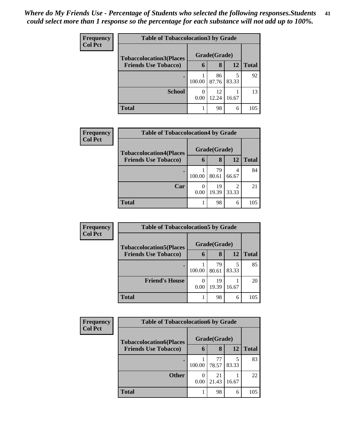| <b>Frequency</b> | <b>Table of Tobaccolocation 3 by Grade</b> |                     |              |       |              |  |  |
|------------------|--------------------------------------------|---------------------|--------------|-------|--------------|--|--|
| <b>Col Pct</b>   | <b>Tobaccolocation3(Places</b>             |                     | Grade(Grade) |       |              |  |  |
|                  | <b>Friends Use Tobacco)</b>                | $\ddot{\mathbf{a}}$ | 8            | 12    | <b>Total</b> |  |  |
|                  |                                            | 100.00              | 86<br>87.76  | 83.33 | 92           |  |  |
|                  | <b>School</b>                              | 0.00                | 12<br>12.24  | 16.67 | 13           |  |  |
|                  | Total                                      |                     | 98           | 6     | 105          |  |  |

| Frequency      | <b>Table of Tobaccolocation4 by Grade</b> |           |              |                         |              |  |  |
|----------------|-------------------------------------------|-----------|--------------|-------------------------|--------------|--|--|
| <b>Col Pct</b> | <b>Tobaccolocation4(Places</b>            |           | Grade(Grade) |                         |              |  |  |
|                | <b>Friends Use Tobacco)</b>               | 6         | 8            | 12                      | <b>Total</b> |  |  |
|                |                                           | 100.00    | 79<br>80.61  | 4<br>66.67              | 84           |  |  |
|                | Car                                       | 0<br>0.00 | 19<br>19.39  | $\mathfrak{D}$<br>33.33 | 21           |  |  |
|                | <b>Total</b>                              |           | 98           | 6                       | 105          |  |  |

| <b>Frequency</b> | <b>Table of Tobaccolocation5 by Grade</b>                     |        |              |       |              |  |  |
|------------------|---------------------------------------------------------------|--------|--------------|-------|--------------|--|--|
| <b>Col Pct</b>   | <b>Tobaccolocation5(Places</b><br><b>Friends Use Tobacco)</b> |        | Grade(Grade) |       |              |  |  |
|                  |                                                               | 6      | 8            | 12    | <b>Total</b> |  |  |
|                  |                                                               | 100.00 | 79<br>80.61  | 83.33 | 85           |  |  |
|                  | <b>Friend's House</b>                                         | 0.00   | 19<br>19.39  | 16.67 | 20           |  |  |
|                  | <b>Total</b>                                                  |        | 98           | 6     | 105          |  |  |

| Frequency      | <b>Table of Tobaccolocation6 by Grade</b> |                  |             |       |              |  |  |
|----------------|-------------------------------------------|------------------|-------------|-------|--------------|--|--|
| <b>Col Pct</b> | <b>Tobaccolocation6(Places</b>            | Grade(Grade)     |             |       |              |  |  |
|                | <b>Friends Use Tobacco)</b>               | 6                | 8           | 12    | <b>Total</b> |  |  |
|                |                                           | 100.00           | 77<br>78.57 | 83.33 | 83           |  |  |
|                | <b>Other</b>                              | $\theta$<br>0.00 | 21<br>21.43 | 16.67 | 22           |  |  |
|                | <b>Total</b>                              |                  | 98          | 6     | 105          |  |  |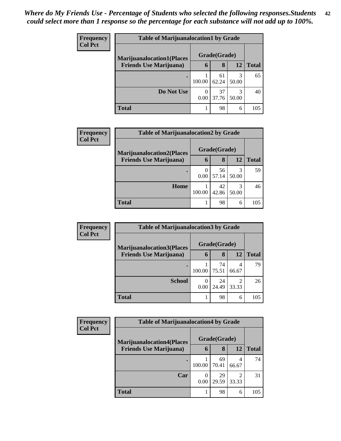| Frequency      | <b>Table of Marijuanalocation1 by Grade</b> |        |              |            |              |  |  |  |
|----------------|---------------------------------------------|--------|--------------|------------|--------------|--|--|--|
| <b>Col Pct</b> | <b>Marijuanalocation1(Places</b>            |        | Grade(Grade) |            |              |  |  |  |
|                | <b>Friends Use Marijuana</b> )              | 6      | 8            | 12         | <b>Total</b> |  |  |  |
|                |                                             | 100.00 | 61<br>62.24  | 3<br>50.00 | 65           |  |  |  |
|                | Do Not Use                                  | 0.00   | 37<br>37.76  | 3<br>50.00 | 40           |  |  |  |
|                | <b>Total</b>                                |        | 98           | 6          | 105          |  |  |  |

| Frequency      | <b>Table of Marijuanalocation2 by Grade</b> |           |              |            |              |  |  |  |
|----------------|---------------------------------------------|-----------|--------------|------------|--------------|--|--|--|
| <b>Col Pct</b> | <b>Marijuanalocation2(Places</b>            |           | Grade(Grade) |            |              |  |  |  |
|                | <b>Friends Use Marijuana</b> )              | 6         | 8            | 12         | <b>Total</b> |  |  |  |
|                |                                             | 0<br>0.00 | 56<br>57.14  | 3<br>50.00 | 59           |  |  |  |
|                | Home                                        | 100.00    | 42<br>42.86  | 50.00      | 46           |  |  |  |
|                | <b>Total</b>                                |           | 98           | 6          | 105          |  |  |  |

| Frequency      | <b>Table of Marijuanalocation3 by Grade</b> |           |              |            |              |  |
|----------------|---------------------------------------------|-----------|--------------|------------|--------------|--|
| <b>Col Pct</b> | <b>Marijuanalocation3(Places</b>            |           | Grade(Grade) |            |              |  |
|                | <b>Friends Use Marijuana</b> )              | 6         | 8            | 12         | <b>Total</b> |  |
|                |                                             | 100.00    | 74<br>75.51  | 4<br>66.67 | 79           |  |
|                | <b>School</b>                               | 0<br>0.00 | 24<br>24.49  | 33.33      | 26           |  |
|                | <b>Total</b>                                |           | 98           | 6          | 105          |  |

| <b>Frequency</b> | <b>Table of Marijuanalocation4 by Grade</b> |        |              |            |       |
|------------------|---------------------------------------------|--------|--------------|------------|-------|
| <b>Col Pct</b>   | <b>Marijuanalocation4(Places)</b>           |        | Grade(Grade) |            |       |
|                  | <b>Friends Use Marijuana</b> )              | 6      | 8            | 12         | Total |
|                  | ٠                                           | 100.00 | 69<br>70.41  | 4<br>66.67 | 74    |
|                  | Car                                         | 0.00   | 29<br>29.59  | ↑<br>33.33 | 31    |
|                  | <b>Total</b>                                |        | 98           | 6          | 105   |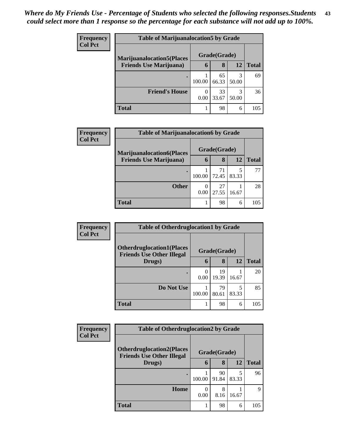| <b>Frequency</b> | <b>Table of Marijuanalocation5 by Grade</b>                         |        |              |            |              |  |  |
|------------------|---------------------------------------------------------------------|--------|--------------|------------|--------------|--|--|
| <b>Col Pct</b>   | <b>Marijuanalocation5</b> (Places<br><b>Friends Use Marijuana</b> ) |        | Grade(Grade) |            |              |  |  |
|                  |                                                                     | 6      | 8            | 12         | <b>Total</b> |  |  |
|                  |                                                                     | 100.00 | 65<br>66.33  | 3<br>50.00 | 69           |  |  |
|                  | <b>Friend's House</b>                                               | 0.00   | 33<br>33.67  | 3<br>50.00 | 36           |  |  |
|                  | <b>Total</b>                                                        |        | 98           | 6          | 105          |  |  |

| <b>Frequency</b> | <b>Table of Marijuanalocation6 by Grade</b> |           |              |            |              |  |  |  |
|------------------|---------------------------------------------|-----------|--------------|------------|--------------|--|--|--|
| <b>Col Pct</b>   | <b>Marijuanalocation6(Places</b>            |           | Grade(Grade) |            |              |  |  |  |
|                  | <b>Friends Use Marijuana</b> )              | 6         | 8            | 12         | <b>Total</b> |  |  |  |
|                  |                                             | 100.00    | 71<br>72.45  | 5<br>83.33 | 77           |  |  |  |
|                  | <b>Other</b>                                | 0<br>0.00 | 27<br>27.55  | 16.67      | 28           |  |  |  |
|                  | <b>Total</b>                                |           | 98           | 6          | 105          |  |  |  |

| Frequency      | <b>Table of Otherdruglocation1 by Grade</b>                          |              |             |            |              |  |
|----------------|----------------------------------------------------------------------|--------------|-------------|------------|--------------|--|
| <b>Col Pct</b> | <b>Otherdruglocation1(Places</b><br><b>Friends Use Other Illegal</b> | Grade(Grade) |             |            |              |  |
|                | Drugs)                                                               | 6            | 8           | <b>12</b>  | <b>Total</b> |  |
|                |                                                                      | 0<br>0.00    | 19<br>19.39 | 16.67      | 20           |  |
|                | Do Not Use                                                           | 100.00       | 79<br>80.61 | 5<br>83.33 | 85           |  |
|                | <b>Total</b>                                                         |              | 98          | 6          | 105          |  |

| <b>Frequency</b> | <b>Table of Otherdruglocation2 by Grade</b>                          |                      |             |       |              |  |
|------------------|----------------------------------------------------------------------|----------------------|-------------|-------|--------------|--|
| <b>Col Pct</b>   | <b>Otherdruglocation2(Places</b><br><b>Friends Use Other Illegal</b> | Grade(Grade)         |             |       |              |  |
|                  | Drugs)                                                               | 6                    | 8           | 12    | <b>Total</b> |  |
|                  |                                                                      | 100.00               | 90<br>91.84 | 83.33 | 96           |  |
|                  | Home                                                                 | $\mathbf{0}$<br>0.00 | 8<br>8.16   | 16.67 | Q            |  |
|                  | <b>Total</b>                                                         |                      | 98          | 6     | 105          |  |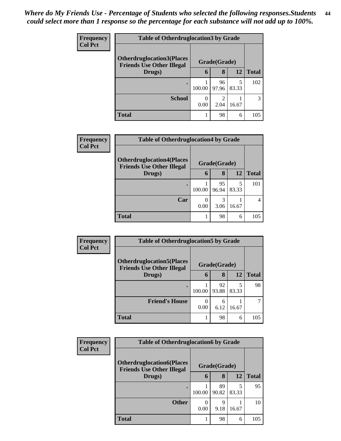| <b>Frequency</b> | <b>Table of Otherdruglocation 3 by Grade</b>                         |        |              |            |              |
|------------------|----------------------------------------------------------------------|--------|--------------|------------|--------------|
| <b>Col Pct</b>   | <b>Otherdruglocation3(Places</b><br><b>Friends Use Other Illegal</b> |        | Grade(Grade) |            |              |
|                  | Drugs)                                                               | 6      | 8            | 12         | <b>Total</b> |
|                  | $\bullet$                                                            | 100.00 | 96<br>97.96  | 5<br>83.33 | 102          |
|                  | <b>School</b>                                                        | 0.00   | 2.04         | 16.67      |              |
|                  | <b>Total</b>                                                         |        | 98           | 6          | 105          |

| <b>Frequency</b><br><b>Col Pct</b> | <b>Table of Otherdruglocation4 by Grade</b>                          |                           |              |            |              |  |  |
|------------------------------------|----------------------------------------------------------------------|---------------------------|--------------|------------|--------------|--|--|
|                                    | <b>Otherdruglocation4(Places</b><br><b>Friends Use Other Illegal</b> |                           | Grade(Grade) |            |              |  |  |
|                                    | Drugs)                                                               | 6                         | 8            | 12         | <b>Total</b> |  |  |
|                                    |                                                                      | 100.00                    | 95<br>96.94  | 5<br>83.33 | 101          |  |  |
|                                    | Car                                                                  | $\mathbf{\Omega}$<br>0.00 | 3<br>3.06    | 16.67      | 4            |  |  |
|                                    | Total                                                                |                           | 98           | 6          | 105          |  |  |

| <b>Frequency</b> | <b>Table of Otherdruglocation5 by Grade</b>                          |        |              |       |       |  |
|------------------|----------------------------------------------------------------------|--------|--------------|-------|-------|--|
| <b>Col Pct</b>   | <b>Otherdruglocation5(Places</b><br><b>Friends Use Other Illegal</b> |        | Grade(Grade) |       |       |  |
|                  | Drugs)                                                               | 6      | 8            | 12    | Total |  |
|                  |                                                                      | 100.00 | 92<br>93.88  | 83.33 | 98    |  |
|                  | <b>Friend's House</b>                                                | 0.00   | 6<br>6.12    | 16.67 |       |  |
|                  | <b>Total</b>                                                         |        | 98           | 6     | 105   |  |

| Frequency      | <b>Table of Otherdruglocation6 by Grade</b>                          |              |             |            |       |
|----------------|----------------------------------------------------------------------|--------------|-------------|------------|-------|
| <b>Col Pct</b> | <b>Otherdruglocation6(Places</b><br><b>Friends Use Other Illegal</b> | Grade(Grade) |             |            |       |
|                | Drugs)                                                               | 6            | 8           | <b>12</b>  | Total |
|                |                                                                      | 100.00       | 89<br>90.82 | 5<br>83.33 | 95    |
|                | <b>Other</b>                                                         | 0<br>0.00    | 9<br>9.18   | 16.67      | 10    |
|                | <b>Total</b>                                                         |              | 98          | 6          | 105   |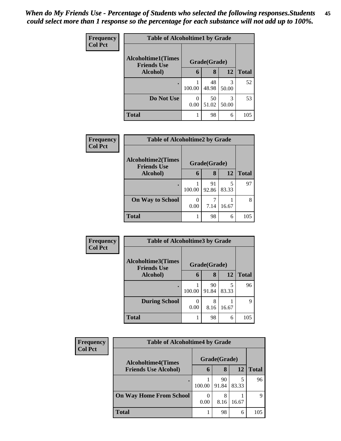| Frequency<br><b>Col Pct</b> | <b>Table of Alcoholtime1 by Grade</b>           |           |              |            |              |  |  |
|-----------------------------|-------------------------------------------------|-----------|--------------|------------|--------------|--|--|
|                             | <b>Alcoholtime1(Times</b><br><b>Friends Use</b> |           | Grade(Grade) |            |              |  |  |
|                             | Alcohol)                                        | 6         | 8            | 12         | <b>Total</b> |  |  |
|                             |                                                 | 100.00    | 48<br>48.98  | 3<br>50.00 | 52           |  |  |
|                             | Do Not Use                                      | 0<br>0.00 | 50<br>51.02  | 3<br>50.00 | 53           |  |  |
|                             | <b>Total</b>                                    |           | 98           | 6          | 105          |  |  |

| Frequency      | <b>Table of Alcoholtime2 by Grade</b>           |        |              |            |              |  |
|----------------|-------------------------------------------------|--------|--------------|------------|--------------|--|
| <b>Col Pct</b> | <b>Alcoholtime2(Times</b><br><b>Friends Use</b> |        | Grade(Grade) |            |              |  |
|                | Alcohol)                                        | 6      | 8            | 12         | <b>Total</b> |  |
|                | ٠                                               | 100.00 | 91<br>92.86  | 5<br>83.33 | 97           |  |
|                | <b>On Way to School</b>                         | 0.00   | 7.14         | 16.67      |              |  |
|                | <b>Total</b>                                    |        | 98           | 6          | 105          |  |

| Frequency      | <b>Table of Alcoholtime3 by Grade</b>           |        |              |            |              |  |
|----------------|-------------------------------------------------|--------|--------------|------------|--------------|--|
| <b>Col Pct</b> | <b>Alcoholtime3(Times</b><br><b>Friends Use</b> |        | Grade(Grade) |            |              |  |
|                | Alcohol)                                        | 6      | 8            | 12         | <b>Total</b> |  |
|                | ٠                                               | 100.00 | 90<br>91.84  | 5<br>83.33 | 96           |  |
|                | <b>During School</b>                            | 0.00   | 8<br>8.16    | 16.67      | 9            |  |
|                | <b>Total</b>                                    |        | 98           | 6          | 105          |  |

| Frequency                   | <b>Table of Alcoholtime4 by Grade</b> |                  |              |              |     |  |  |
|-----------------------------|---------------------------------------|------------------|--------------|--------------|-----|--|--|
| <b>Col Pct</b>              | <b>Alcoholtime4(Times</b>             |                  | Grade(Grade) |              |     |  |  |
| <b>Friends Use Alcohol)</b> | 6                                     | 8                | 12           | <b>Total</b> |     |  |  |
|                             |                                       | 100.00           | 90<br>91.84  | 83.33        | 96  |  |  |
|                             | <b>On Way Home From School</b>        | $\theta$<br>0.00 | 8<br>8.16    | 16.67        | Q   |  |  |
|                             | <b>Total</b>                          |                  | 98           | 6            | 105 |  |  |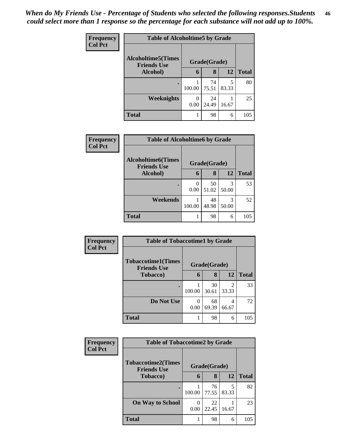| <b>Frequency</b><br><b>Col Pct</b> | <b>Table of Alcoholtime5 by Grade</b>           |           |              |            |              |  |  |
|------------------------------------|-------------------------------------------------|-----------|--------------|------------|--------------|--|--|
|                                    | <b>Alcoholtime5(Times</b><br><b>Friends Use</b> |           | Grade(Grade) |            |              |  |  |
|                                    | Alcohol)                                        | 6         | 8            | 12         | <b>Total</b> |  |  |
|                                    | ٠                                               | 100.00    | 74<br>75.51  | 5<br>83.33 | 80           |  |  |
|                                    | <b>Weeknights</b>                               | 0<br>0.00 | 24<br>24.49  | 16.67      | 25           |  |  |
|                                    | <b>Total</b>                                    |           | 98           | 6          | 105          |  |  |

| Frequency<br><b>Col Pct</b> | <b>Table of Alcoholtime6 by Grade</b>           |           |              |            |              |  |
|-----------------------------|-------------------------------------------------|-----------|--------------|------------|--------------|--|
|                             | <b>Alcoholtime6(Times</b><br><b>Friends Use</b> |           | Grade(Grade) |            |              |  |
|                             | Alcohol)                                        | 6         | 8            | 12         | <b>Total</b> |  |
|                             |                                                 | 0<br>0.00 | 50<br>51.02  | 3<br>50.00 | 53           |  |
|                             | Weekends                                        | 100.00    | 48<br>48.98  | 3<br>50.00 | 52           |  |
|                             | <b>Total</b>                                    |           | 98           | 6          | 105          |  |

| <b>Frequency</b> | <b>Table of Tobaccotime1 by Grade</b>                           |        |             |                         |              |  |
|------------------|-----------------------------------------------------------------|--------|-------------|-------------------------|--------------|--|
| <b>Col Pct</b>   | <b>Tobaccotime1(Times</b><br>Grade(Grade)<br><b>Friends Use</b> |        |             |                         |              |  |
|                  | <b>Tobacco</b> )                                                | 6      | 8           | 12                      | <b>Total</b> |  |
|                  |                                                                 | 100.00 | 30<br>30.61 | $\overline{c}$<br>33.33 | 33           |  |
|                  | Do Not Use                                                      | 0.00   | 68<br>69.39 | 4<br>66.67              | 72           |  |
|                  | <b>Total</b>                                                    |        | 98          | 6                       | 105          |  |

| <b>Frequency</b> | <b>Table of Tobaccotime2 by Grade</b>                           |        |             |            |              |
|------------------|-----------------------------------------------------------------|--------|-------------|------------|--------------|
| <b>Col Pct</b>   | <b>Tobaccotime2(Times</b><br>Grade(Grade)<br><b>Friends Use</b> |        |             |            |              |
|                  | <b>Tobacco</b> )                                                | 6      | 8           | 12         | <b>Total</b> |
|                  | ٠                                                               | 100.00 | 76<br>77.55 | 5<br>83.33 | 82           |
|                  | <b>On Way to School</b>                                         | 0.00   | 22<br>22.45 | 16.67      | 23           |
|                  | <b>Total</b>                                                    |        | 98          | 6          | 105          |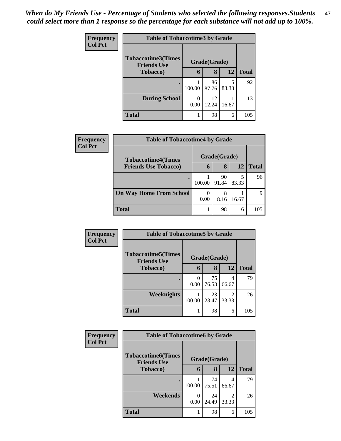| <b>Frequency</b><br><b>Col Pct</b> | <b>Table of Tobaccotime3 by Grade</b>                           |        |             |            |              |  |
|------------------------------------|-----------------------------------------------------------------|--------|-------------|------------|--------------|--|
|                                    | <b>Tobaccotime3(Times</b><br>Grade(Grade)<br><b>Friends Use</b> |        |             |            |              |  |
|                                    | <b>Tobacco</b> )                                                | 6      | 8           | 12         | <b>Total</b> |  |
|                                    | ٠                                                               | 100.00 | 86<br>87.76 | 5<br>83.33 | 92           |  |
|                                    | <b>During School</b>                                            | 0.00   | 12<br>12.24 | 16.67      | 13           |  |
|                                    | <b>Total</b>                                                    |        | 98          | 6          | 105          |  |

| <b>Frequency</b> | <b>Table of Tobaccotime4 by Grade</b> |             |              |            |       |  |
|------------------|---------------------------------------|-------------|--------------|------------|-------|--|
| <b>Col Pct</b>   | <b>Tobaccotime4(Times</b>             |             | Grade(Grade) |            |       |  |
|                  | <b>Friends Use Tobacco)</b>           | $\mathbf b$ | 8            | 12         | Total |  |
|                  |                                       | 100.00      | 90<br>91.84  | 5<br>83.33 | 96    |  |
|                  | <b>On Way Home From School</b>        | 0.00        | 8.16         | 16.67      |       |  |
|                  | <b>Total</b>                          |             | 98           | 6          | 105   |  |

| <b>Frequency</b> | <b>Table of Tobaccotime5 by Grade</b>           |              |             |                         |              |
|------------------|-------------------------------------------------|--------------|-------------|-------------------------|--------------|
| <b>Col Pct</b>   | <b>Tobaccotime5(Times</b><br><b>Friends Use</b> | Grade(Grade) |             |                         |              |
|                  | <b>Tobacco</b> )                                | 6            | 8           | 12                      | <b>Total</b> |
|                  |                                                 | 0.00         | 75<br>76.53 | 4<br>66.67              | 79           |
|                  | Weeknights                                      | 100.00       | 23<br>23.47 | $\mathfrak{D}$<br>33.33 | 26           |
|                  | <b>Total</b>                                    |              | 98          | 6                       | 105          |

| <b>Frequency</b> | <b>Table of Tobaccotime6 by Grade</b>                           |        |             |            |              |
|------------------|-----------------------------------------------------------------|--------|-------------|------------|--------------|
| <b>Col Pct</b>   | <b>Tobaccotime6(Times</b><br>Grade(Grade)<br><b>Friends Use</b> |        |             |            |              |
|                  | <b>Tobacco</b> )                                                | 6      | 8           | 12         | <b>Total</b> |
|                  | $\bullet$                                                       | 100.00 | 74<br>75.51 | 4<br>66.67 | 79           |
|                  | Weekends                                                        | 0.00   | 24<br>24.49 | 2<br>33.33 | 26           |
|                  | <b>Total</b>                                                    |        | 98          | 6          | 105          |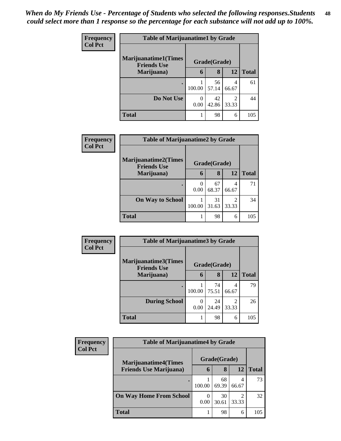| <b>Frequency</b> | <b>Table of Marijuanatime1 by Grade</b>           |           |              |                         |              |
|------------------|---------------------------------------------------|-----------|--------------|-------------------------|--------------|
| <b>Col Pct</b>   | <b>Marijuanatime1(Times</b><br><b>Friends Use</b> |           | Grade(Grade) |                         |              |
|                  | Marijuana)                                        | 6         | 8            | 12                      | <b>Total</b> |
|                  |                                                   | 100.00    | 56<br>57.14  | 4<br>66.67              | 61           |
|                  | Do Not Use                                        | 0<br>0.00 | 42<br>42.86  | $\mathfrak{D}$<br>33.33 | 44           |
|                  | <b>Total</b>                                      | 1         | 98           | 6                       | 105          |

| Frequency      | <b>Table of Marijuanatime2 by Grade</b>    |           |              |            |              |  |
|----------------|--------------------------------------------|-----------|--------------|------------|--------------|--|
| <b>Col Pct</b> | Marijuanatime2(Times<br><b>Friends Use</b> |           | Grade(Grade) |            |              |  |
|                | Marijuana)                                 | 6         | 8            | 12         | <b>Total</b> |  |
|                | ٠                                          | 0<br>0.00 | 67<br>68.37  | 4<br>66.67 | 71           |  |
|                | <b>On Way to School</b>                    | 100.00    | 31<br>31.63  | 2<br>33.33 | 34           |  |
|                | <b>Total</b>                               |           | 98           | 6          | 105          |  |

| Frequency      | <b>Table of Marijuanatime3 by Grade</b>            |        |              |            |              |  |
|----------------|----------------------------------------------------|--------|--------------|------------|--------------|--|
| <b>Col Pct</b> | <b>Marijuanatime3</b> (Times<br><b>Friends Use</b> |        | Grade(Grade) |            |              |  |
|                | Marijuana)                                         | 6      | 8            | 12         | <b>Total</b> |  |
|                |                                                    | 100.00 | 74<br>75.51  | 4<br>66.67 | 79           |  |
|                | <b>During School</b>                               | 0.00   | 24<br>24.49  | 2<br>33.33 | 26           |  |
|                | <b>Total</b>                                       | 1      | 98           | 6          | 105          |  |

| Frequency      | <b>Table of Marijuanatime4 by Grade</b> |                  |              |            |              |
|----------------|-----------------------------------------|------------------|--------------|------------|--------------|
| <b>Col Pct</b> | <b>Marijuanatime4(Times</b>             |                  | Grade(Grade) |            |              |
|                | <b>Friends Use Marijuana</b> )          | 6                | 8            | 12         | <b>Total</b> |
|                |                                         | 100.00           | 68<br>69.39  | 4<br>66.67 | 73           |
|                | <b>On Way Home From School</b>          | $\theta$<br>0.00 | 30<br>30.61  | 33.33      | 32           |
|                | <b>Total</b>                            |                  | 98           | 6          | 105          |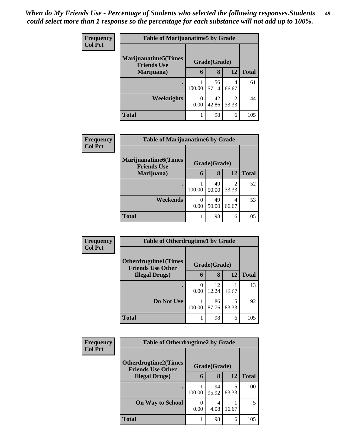| <b>Frequency</b> | <b>Table of Marijuanatime5 by Grade</b>            |        |              |                                      |              |
|------------------|----------------------------------------------------|--------|--------------|--------------------------------------|--------------|
| <b>Col Pct</b>   | <b>Marijuanatime5</b> (Times<br><b>Friends Use</b> |        | Grade(Grade) |                                      |              |
|                  | Marijuana)                                         | 6      | 8            | 12                                   | <b>Total</b> |
|                  |                                                    | 100.00 | 56<br>57.14  | 4<br>66.67                           | 61           |
|                  | Weeknights                                         | 0.00   | 42<br>42.86  | $\mathcal{D}_{\mathcal{L}}$<br>33.33 | 44           |
|                  | <b>Total</b>                                       |        | 98           | 6                                    | 105          |

| Frequency      | <b>Table of Marijuanatime6 by Grade</b>           |                  |              |                         |              |  |
|----------------|---------------------------------------------------|------------------|--------------|-------------------------|--------------|--|
| <b>Col Pct</b> | <b>Marijuanatime6(Times</b><br><b>Friends Use</b> |                  | Grade(Grade) |                         |              |  |
|                | Marijuana)                                        | 6                | 8            | 12                      | <b>Total</b> |  |
|                | $\bullet$                                         | 100.00           | 49<br>50.00  | $\mathfrak{D}$<br>33.33 | 52           |  |
|                | Weekends                                          | $\Omega$<br>0.00 | 49<br>50.00  | 4<br>66.67              | 53           |  |
|                | <b>Total</b>                                      |                  | 98           | 6                       | 105          |  |

| Frequency      | <b>Table of Otherdrugtime1 by Grade</b>                 |        |              |            |              |
|----------------|---------------------------------------------------------|--------|--------------|------------|--------------|
| <b>Col Pct</b> | <b>Otherdrugtime1(Times</b><br><b>Friends Use Other</b> |        | Grade(Grade) |            |              |
|                | <b>Illegal Drugs</b> )                                  | 6      | 8            | 12         | <b>Total</b> |
|                |                                                         | 0.00   | 12<br>12.24  | 16.67      | 13           |
|                | Do Not Use                                              | 100.00 | 86<br>87.76  | 5<br>83.33 | 92           |
|                | <b>Total</b>                                            |        | 98           | 6          | 105          |

| <b>Frequency</b> | <b>Table of Otherdrugtime2 by Grade</b>                 |              |             |            |              |  |  |
|------------------|---------------------------------------------------------|--------------|-------------|------------|--------------|--|--|
| <b>Col Pct</b>   | <b>Otherdrugtime2(Times</b><br><b>Friends Use Other</b> | Grade(Grade) |             |            |              |  |  |
|                  | <b>Illegal Drugs</b> )                                  | 6            | 8           | 12         | <b>Total</b> |  |  |
|                  |                                                         | 100.00       | 94<br>95.92 | 5<br>83.33 | 100          |  |  |
|                  | <b>On Way to School</b>                                 | 0.00         | 4.08        | 16.67      | 5            |  |  |
|                  | <b>Total</b>                                            |              | 98          | 6          | 105          |  |  |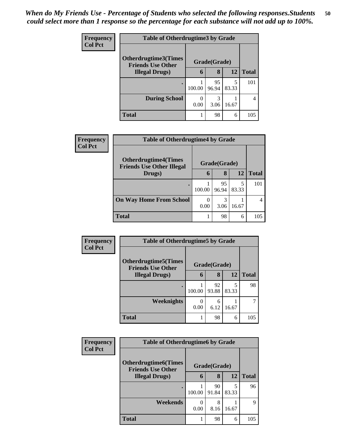| <b>Frequency</b> | <b>Table of Otherdrugtime3 by Grade</b>          |                                 |              |     |              |  |  |
|------------------|--------------------------------------------------|---------------------------------|--------------|-----|--------------|--|--|
| <b>Col Pct</b>   | Otherdrugtime3(Times<br><b>Friends Use Other</b> |                                 | Grade(Grade) |     |              |  |  |
|                  | <b>Illegal Drugs</b> )                           | 6                               | 8            | 12  | <b>Total</b> |  |  |
|                  | $\bullet$                                        | 95<br>100.00<br>83.33<br>96.94  |              | 101 |              |  |  |
|                  | <b>During School</b>                             | 3<br>0<br>0.00<br>16.67<br>3.06 |              |     | 4            |  |  |
|                  | Total                                            | 1                               | 98           | 6   | 105          |  |  |

| <b>Frequency</b> | <b>Table of Otherdrugtime4 by Grade</b>                         |           |              |            |              |  |  |
|------------------|-----------------------------------------------------------------|-----------|--------------|------------|--------------|--|--|
| <b>Col Pct</b>   | <b>Otherdrugtime4(Times</b><br><b>Friends Use Other Illegal</b> |           | Grade(Grade) |            |              |  |  |
|                  | Drugs)                                                          | 6         | 8            | 12         | <b>Total</b> |  |  |
|                  |                                                                 | 100.00    | 95<br>96.94  | 5<br>83.33 | 101          |  |  |
|                  | <b>On Way Home From School</b>                                  | 0<br>0.00 | 3<br>3.06    | 16.67      |              |  |  |
|                  | <b>Total</b>                                                    |           | 98           | 6          | 105          |  |  |

| Frequency      | <b>Table of Otherdrugtime5 by Grade</b>                  |                           |             |            |              |  |  |
|----------------|----------------------------------------------------------|---------------------------|-------------|------------|--------------|--|--|
| <b>Col Pct</b> | <b>Otherdrugtime5</b> (Times<br><b>Friends Use Other</b> | Grade(Grade)              |             |            |              |  |  |
|                | <b>Illegal Drugs</b> )                                   | 6                         | 8           | 12         | <b>Total</b> |  |  |
|                |                                                          | 100.00                    | 92<br>93.88 | 5<br>83.33 | 98           |  |  |
|                | Weeknights                                               | $\mathbf{\Omega}$<br>0.00 | 6<br>6.12   | 16.67      | 7            |  |  |
|                | <b>Total</b>                                             |                           | 98          | 6          | 105          |  |  |

| Frequency      | <b>Table of Otherdrugtime6 by Grade</b>                                  |        |             |            |              |  |  |
|----------------|--------------------------------------------------------------------------|--------|-------------|------------|--------------|--|--|
| <b>Col Pct</b> | <b>Otherdrugtime6</b> (Times<br>Grade(Grade)<br><b>Friends Use Other</b> |        |             |            |              |  |  |
|                | <b>Illegal Drugs</b> )                                                   | 6      | 8           | 12         | <b>Total</b> |  |  |
|                |                                                                          | 100.00 | 90<br>91.84 | 5<br>83.33 | 96           |  |  |
|                | Weekends                                                                 | 0.00   | 8<br>8.16   | 16.67      | 9            |  |  |
|                | <b>Total</b>                                                             |        | 98          | 6          | 105          |  |  |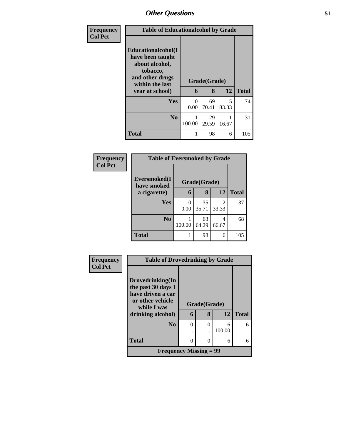| Frequency      | <b>Table of Educationalcohol by Grade</b>                                                                          |              |             |            |              |
|----------------|--------------------------------------------------------------------------------------------------------------------|--------------|-------------|------------|--------------|
| <b>Col Pct</b> | <b>Educationalcohol</b> (I<br>have been taught<br>about alcohol,<br>tobacco,<br>and other drugs<br>within the last | Grade(Grade) |             |            |              |
|                | year at school)                                                                                                    | 6            | 8           | 12         | <b>Total</b> |
|                | Yes                                                                                                                | 0<br>0.00    | 69<br>70.41 | 5<br>83.33 | 74           |
|                | N <sub>0</sub>                                                                                                     | 100.00       | 29<br>29.59 | 16.67      | 31           |
|                | <b>Total</b>                                                                                                       | 1            | 98          | 6          | 105          |

| Frequency<br><b>Col Pct</b> | <b>Table of Eversmoked by Grade</b> |                       |              |            |              |  |  |  |
|-----------------------------|-------------------------------------|-----------------------|--------------|------------|--------------|--|--|--|
|                             | Eversmoked(I<br>have smoked         |                       | Grade(Grade) |            |              |  |  |  |
|                             | a cigarette)                        | 6                     | 8            | 12         | <b>Total</b> |  |  |  |
|                             | Yes                                 | $\Omega$<br>0.00      | 35<br>35.71  | 2<br>33.33 | 37           |  |  |  |
|                             | No.                                 | 63<br>100.00<br>64.29 |              | 4<br>66.67 | 68           |  |  |  |
|                             | <b>Total</b>                        |                       | 98<br>6      |            |              |  |  |  |

| <b>Frequency</b> |                                         | <b>Table of Drovedrinking by Grade</b> |          |        |              |  |  |
|------------------|-----------------------------------------|----------------------------------------|----------|--------|--------------|--|--|
| <b>Col Pct</b>   |                                         |                                        |          |        |              |  |  |
|                  | Drovedrinking(In                        |                                        |          |        |              |  |  |
|                  | the past 30 days I<br>have driven a car |                                        |          |        |              |  |  |
|                  | or other vehicle<br>while I was         | Grade(Grade)                           |          |        |              |  |  |
|                  | drinking alcohol)                       | 6                                      | 8        | 12     | <b>Total</b> |  |  |
|                  | N <sub>0</sub>                          | $\theta$                               | $\theta$ | 6      | 6            |  |  |
|                  |                                         |                                        |          | 100.00 |              |  |  |
|                  | <b>Total</b>                            | $\Omega$                               | 0        | 6      | 6            |  |  |
|                  | <b>Frequency Missing = 99</b>           |                                        |          |        |              |  |  |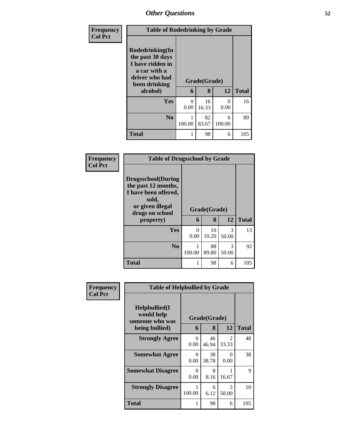| Frequency      | <b>Table of Rodedrinking by Grade</b>                                                                                  |                   |              |             |     |
|----------------|------------------------------------------------------------------------------------------------------------------------|-------------------|--------------|-------------|-----|
| <b>Col Pct</b> | Rodedrinking(In<br>the past 30 days<br>I have ridden in<br>a car with a<br>driver who had<br>been drinking<br>alcohol) | Grade(Grade)<br>6 | <b>Total</b> |             |     |
|                | Yes                                                                                                                    | $\Omega$<br>0.00  | 16<br>16.33  | 0<br>0.00   | 16  |
|                | N <sub>0</sub>                                                                                                         | 1<br>100.00       | 82<br>83.67  | 6<br>100.00 | 89  |
|                | <b>Total</b>                                                                                                           | 1                 | 98           | 6           | 105 |

| Frequency      | <b>Table of Drugsschool by Grade</b>                                                                                                   |           |                   |            |              |
|----------------|----------------------------------------------------------------------------------------------------------------------------------------|-----------|-------------------|------------|--------------|
| <b>Col Pct</b> | <b>Drugsschool</b> (During<br>the past 12 months,<br>I have been offered,<br>sold,<br>or given illegal<br>drugs on school<br>property) | 6         | Grade(Grade)<br>8 | 12         | <b>Total</b> |
|                | Yes                                                                                                                                    | 0<br>0.00 | 10<br>10.20       | 3<br>50.00 | 13           |
|                | N <sub>0</sub>                                                                                                                         | 100.00    | 88<br>89.80       | 3<br>50.00 | 92           |
|                | <b>Total</b>                                                                                                                           | 1         | 98                | 6          | 105          |

| Frequency      | <b>Table of Helpbullied by Grade</b>                              |                   |              |                                      |     |  |
|----------------|-------------------------------------------------------------------|-------------------|--------------|--------------------------------------|-----|--|
| <b>Col Pct</b> | Helpbullied(I)<br>would help<br>someone who was<br>being bullied) | Grade(Grade)<br>6 | <b>Total</b> |                                      |     |  |
|                | <b>Strongly Agree</b>                                             | $\Omega$<br>0.00  | 46<br>46.94  | $\mathcal{D}_{\mathcal{L}}$<br>33.33 | 48  |  |
|                | <b>Somewhat Agree</b>                                             | $\Omega$<br>0.00  | 38<br>38.78  | 0<br>0.00                            | 38  |  |
|                | <b>Somewhat Disagree</b>                                          | $\Omega$<br>0.00  | 8<br>8.16    | 16.67                                | 9   |  |
|                | <b>Strongly Disagree</b>                                          | 100.00            | 6<br>6.12    | 3<br>50.00                           | 10  |  |
|                | Total                                                             |                   | 98           | 6                                    | 105 |  |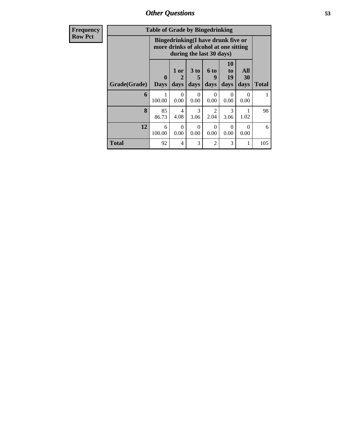| <b>Frequency</b> |              | <b>Table of Grade by Bingedrinking</b> |                                                                                                         |                         |                        |                        |                   |       |
|------------------|--------------|----------------------------------------|---------------------------------------------------------------------------------------------------------|-------------------------|------------------------|------------------------|-------------------|-------|
| <b>Row Pct</b>   |              |                                        | Bingedrinking(I have drunk five or<br>more drinks of alcohol at one sitting<br>during the last 30 days) |                         |                        |                        |                   |       |
|                  | Grade(Grade) | $\mathbf{0}$<br><b>Days</b>            | $1$ or<br>$\mathbf{2}$<br>days                                                                          | 3 <sub>to</sub><br>days | 6 to<br>9<br>days      | 10<br>to<br>19<br>days | All<br>30<br>days | Total |
|                  | 6            | 100.00                                 | $\Omega$<br>0.00                                                                                        | $\Omega$<br>0.00        | $\Omega$<br>0.00       | $\Omega$<br>0.00       | 0<br>0.00         |       |
|                  | 8            | 85<br>86.73                            | 4<br>4.08                                                                                               | $\mathcal{F}$<br>3.06   | $\mathfrak{D}$<br>2.04 | 3<br>3.06              | 1.02              | 98    |
|                  | 12           | 6<br>100.00                            | $\Omega$<br>0.00                                                                                        | $\Omega$<br>0.00        | $\Omega$<br>0.00       | $\Omega$<br>0.00       | $\Omega$<br>0.00  | 6     |
|                  | <b>Total</b> | 92                                     | 4                                                                                                       | 3                       | 2                      | 3                      | 1                 | 105   |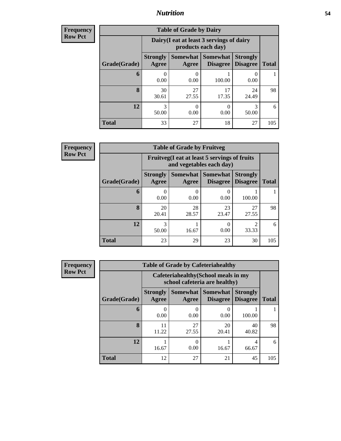#### *Nutrition* **54**

**Frequency Row Pct**

| <b>Table of Grade by Dairy</b> |                          |                                                                 |                             |                                    |              |  |  |
|--------------------------------|--------------------------|-----------------------------------------------------------------|-----------------------------|------------------------------------|--------------|--|--|
|                                |                          | Dairy (I eat at least 3 servings of dairy<br>products each day) |                             |                                    |              |  |  |
| Grade(Grade)                   | <b>Strongly</b><br>Agree | Somewhat<br>Agree                                               | Somewhat<br><b>Disagree</b> | <b>Strongly</b><br><b>Disagree</b> | <b>Total</b> |  |  |
| 6                              | 0.00                     | 0.00                                                            | 100.00                      | 0<br>0.00                          |              |  |  |
| 8                              | 30<br>30.61              | 27<br>27.55                                                     | 17<br>17.35                 | 24<br>24.49                        | 98           |  |  |
| 12                             | 3<br>50.00               | 0.00                                                            | 0.00                        | 3<br>50.00                         | 6            |  |  |
| <b>Total</b>                   | 33                       | 27                                                              | 18                          | 27                                 | 105          |  |  |

**Frequency Row Pct**

| V | <b>Table of Grade by Fruitveg</b> |                          |                                                                          |                                      |                                    |              |  |  |
|---|-----------------------------------|--------------------------|--------------------------------------------------------------------------|--------------------------------------|------------------------------------|--------------|--|--|
|   |                                   |                          | Fruitveg(I eat at least 5 servings of fruits<br>and vegetables each day) |                                      |                                    |              |  |  |
|   | Grade(Grade)                      | <b>Strongly</b><br>Agree | Agree                                                                    | Somewhat Somewhat<br><b>Disagree</b> | <b>Strongly</b><br><b>Disagree</b> | <b>Total</b> |  |  |
|   | 6                                 | 0.00                     | 0.00                                                                     | 0.00                                 | 100.00                             |              |  |  |
|   | 8                                 | 20<br>20.41              | 28<br>28.57                                                              | 23<br>23.47                          | 27<br>27.55                        | 98           |  |  |
|   | 12                                | 50.00                    | 16.67                                                                    | 0<br>0.00                            | າ<br>33.33                         | 6            |  |  |
|   | <b>Total</b>                      | 23                       | 29                                                                       | 23                                   | 30                                 | 105          |  |  |

| <b>Frequency</b> |
|------------------|
| <b>Row Pct</b>   |

| <b>Table of Grade by Cafeteriahealthy</b> |                                                                       |             |                                        |                                    |              |  |  |
|-------------------------------------------|-----------------------------------------------------------------------|-------------|----------------------------------------|------------------------------------|--------------|--|--|
|                                           | Cafeteriahealthy (School meals in my<br>school cafeteria are healthy) |             |                                        |                                    |              |  |  |
| Grade(Grade)                              | <b>Strongly</b><br>Agree                                              | Agree       | Somewhat   Somewhat<br><b>Disagree</b> | <b>Strongly</b><br><b>Disagree</b> | <b>Total</b> |  |  |
| 6                                         | 0.00                                                                  | 0.00        | 0.00                                   | 100.00                             |              |  |  |
| 8                                         | 11<br>11.22                                                           | 27<br>27.55 | 20<br>20.41                            | 40<br>40.82                        | 98           |  |  |
| 12                                        | 16.67                                                                 | 0.00        | 16.67                                  | 4<br>66.67                         | 6            |  |  |
| <b>Total</b>                              | 12                                                                    | 27          | 21                                     | 45                                 | 105          |  |  |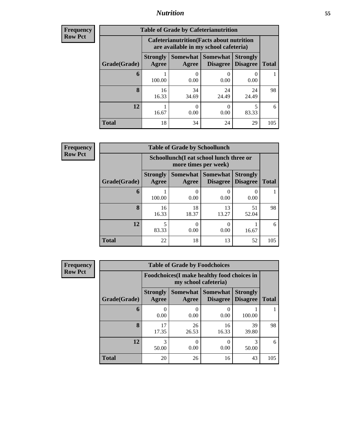### *Nutrition* **55**

| <b>Frequency</b> |
|------------------|
| Row Pct          |

| <b>Table of Grade by Cafeterianutrition</b> |                          |                                                                                           |                               |                                    |              |  |  |
|---------------------------------------------|--------------------------|-------------------------------------------------------------------------------------------|-------------------------------|------------------------------------|--------------|--|--|
|                                             |                          | <b>Cafeterianutrition</b> (Facts about nutrition<br>are available in my school cafeteria) |                               |                                    |              |  |  |
| Grade(Grade)                                | <b>Strongly</b><br>Agree | Agree                                                                                     | Somewhat Somewhat<br>Disagree | <b>Strongly</b><br><b>Disagree</b> | <b>Total</b> |  |  |
| 6                                           | 100.00                   | 0.00                                                                                      | 0.00                          | 0.00                               |              |  |  |
| 8                                           | 16<br>16.33              | 34<br>34.69                                                                               | 24<br>24.49                   | 24<br>24.49                        | 98           |  |  |
| 12                                          | 16.67                    | 0.00                                                                                      | 0.00                          | 5<br>83.33                         | 6            |  |  |
| <b>Total</b>                                | 18                       | 34                                                                                        | 24                            | 29                                 | 105          |  |  |

**Frequency Row Pct**

| <b>Table of Grade by Schoollunch</b> |                          |                                                                 |                                               |                                    |              |  |  |
|--------------------------------------|--------------------------|-----------------------------------------------------------------|-----------------------------------------------|------------------------------------|--------------|--|--|
|                                      |                          | Schoollunch(I eat school lunch three or<br>more times per week) |                                               |                                    |              |  |  |
| Grade(Grade)                         | <b>Strongly</b><br>Agree | Agree                                                           | <b>Somewhat   Somewhat</b><br><b>Disagree</b> | <b>Strongly</b><br><b>Disagree</b> | <b>Total</b> |  |  |
| 6                                    | 100.00                   | 0.00                                                            | 0.00                                          | 0.00                               |              |  |  |
| 8                                    | 16<br>16.33              | 18<br>18.37                                                     | 13<br>13.27                                   | 51<br>52.04                        | 98           |  |  |
| 12                                   | 83.33                    | 0.00                                                            | 0<br>0.00                                     | 16.67                              | 6            |  |  |
| <b>Total</b>                         | 22                       | 18                                                              | 13                                            | 52                                 | 105          |  |  |

**Frequency Row Pct**

| <b>Table of Grade by Foodchoices</b> |                                                                            |                          |                                    |                                    |              |  |  |
|--------------------------------------|----------------------------------------------------------------------------|--------------------------|------------------------------------|------------------------------------|--------------|--|--|
|                                      | <b>Foodchoices</b> (I make healthy food choices in<br>my school cafeteria) |                          |                                    |                                    |              |  |  |
| Grade(Grade)                         | <b>Strongly</b><br>Agree                                                   | <b>Somewhat</b><br>Agree | <b>Somewhat</b><br><b>Disagree</b> | <b>Strongly</b><br><b>Disagree</b> | <b>Total</b> |  |  |
| 6                                    | 0.00                                                                       | 0<br>0.00                | 0.00                               | 100.00                             |              |  |  |
| 8                                    | 17<br>17.35                                                                | 26<br>26.53              | 16<br>16.33                        | 39<br>39.80                        | 98           |  |  |
| 12                                   | 3<br>50.00                                                                 | $\Omega$<br>0.00         | 0<br>0.00                          | 3<br>50.00                         | 6            |  |  |
| <b>Total</b>                         | 20                                                                         | 26                       | 16                                 | 43                                 | 105          |  |  |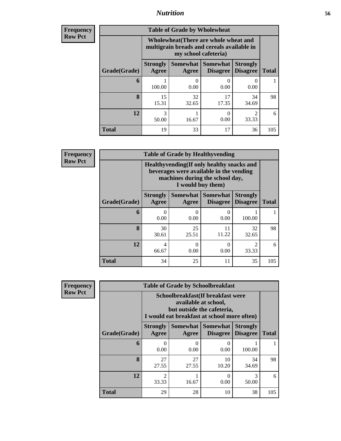### *Nutrition* **56**

| Frequency      |
|----------------|
| <b>Row Pct</b> |

| <b>Table of Grade by Wholewheat</b> |                                                                                                             |                           |                                      |                                    |              |  |  |
|-------------------------------------|-------------------------------------------------------------------------------------------------------------|---------------------------|--------------------------------------|------------------------------------|--------------|--|--|
|                                     | Wholewheat (There are whole wheat and<br>multigrain breads and cereals available in<br>my school cafeteria) |                           |                                      |                                    |              |  |  |
| Grade(Grade)                        | <b>Strongly</b><br>Agree                                                                                    | Agree                     | Somewhat Somewhat<br><b>Disagree</b> | <b>Strongly</b><br><b>Disagree</b> | <b>Total</b> |  |  |
| 6                                   | 100.00                                                                                                      | $\mathbf{\Omega}$<br>0.00 | 0.00                                 | 0.00                               |              |  |  |
| 8                                   | 15<br>15.31                                                                                                 | 32<br>32.65               | 17<br>17.35                          | 34<br>34.69                        | 98           |  |  |
| 12                                  | 3<br>50.00                                                                                                  | 16.67                     | 0<br>0.00                            | 2<br>33.33                         | 6            |  |  |
| <b>Total</b>                        | 19                                                                                                          | 33                        | 17                                   | 36                                 | 105          |  |  |

**Frequency Row Pct**

| V | <b>Table of Grade by Healthyvending</b> |                          |                                                                                                                                               |                                        |                                      |              |  |  |
|---|-----------------------------------------|--------------------------|-----------------------------------------------------------------------------------------------------------------------------------------------|----------------------------------------|--------------------------------------|--------------|--|--|
|   |                                         |                          | Healthyvending (If only healthy snacks and<br>beverages were available in the vending<br>machines during the school day,<br>I would buy them) |                                        |                                      |              |  |  |
|   | Grade(Grade)                            | <b>Strongly</b><br>Agree | Agree                                                                                                                                         | Somewhat   Somewhat<br><b>Disagree</b> | <b>Strongly</b><br><b>Disagree</b>   | <b>Total</b> |  |  |
|   | 6                                       | 0<br>0.00                | 0<br>0.00                                                                                                                                     | 0.00                                   | 100.00                               |              |  |  |
|   | 8                                       | 30<br>30.61              | 25<br>25.51                                                                                                                                   | 11<br>11.22                            | 32<br>32.65                          | 98           |  |  |
|   | 12                                      | 4<br>66.67               | $\Omega$<br>0.00                                                                                                                              | $\Omega$<br>0.00                       | $\mathcal{D}_{\mathcal{A}}$<br>33.33 | 6            |  |  |
|   | <b>Total</b>                            | 34                       | 25                                                                                                                                            | 11                                     | 35                                   | 105          |  |  |

**Frequency Row Pct**

| <b>Table of Grade by Schoolbreakfast</b> |                          |                                                                                                                                         |                                        |                                    |              |  |  |
|------------------------------------------|--------------------------|-----------------------------------------------------------------------------------------------------------------------------------------|----------------------------------------|------------------------------------|--------------|--|--|
|                                          |                          | Schoolbreakfast (If breakfast were<br>available at school,<br>but outside the cafeteria,<br>I would eat breakfast at school more often) |                                        |                                    |              |  |  |
| Grade(Grade)                             | <b>Strongly</b><br>Agree | Agree                                                                                                                                   | Somewhat   Somewhat<br><b>Disagree</b> | <b>Strongly</b><br><b>Disagree</b> | <b>Total</b> |  |  |
| 6                                        | 0<br>0.00                | 0.00                                                                                                                                    | 0.00                                   | 100.00                             |              |  |  |
| 8                                        | 27<br>27.55              | 27<br>27.55                                                                                                                             | 10<br>10.20                            | 34<br>34.69                        | 98           |  |  |
| 12                                       | $\mathfrak{D}$<br>33.33  | 16.67                                                                                                                                   | 0<br>0.00                              | 3<br>50.00                         | 6            |  |  |
| <b>Total</b>                             | 29                       | 28                                                                                                                                      | 10                                     | 38                                 | 105          |  |  |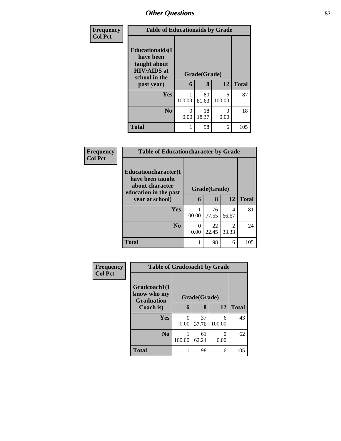| Frequency      | <b>Table of Educationaids by Grade</b>                                                      |              |             |             |              |
|----------------|---------------------------------------------------------------------------------------------|--------------|-------------|-------------|--------------|
| <b>Col Pct</b> | <b>Educationaids</b> (I<br>have been<br>taught about<br><b>HIV/AIDS</b> at<br>school in the | Grade(Grade) |             |             |              |
|                | past year)                                                                                  | 6            | 8           | 12          | <b>Total</b> |
|                | <b>Yes</b>                                                                                  | 100.00       | 80<br>81.63 | 6<br>100.00 | 87           |
|                | N <sub>0</sub>                                                                              | 0<br>0.00    | 18<br>18.37 | 0<br>0.00   | 18           |
|                | <b>Total</b>                                                                                | 1            | 98          | 6           | 105          |

| Frequency      | <b>Table of Educationcharacter by Grade</b>                                                  |              |             |                                      |              |
|----------------|----------------------------------------------------------------------------------------------|--------------|-------------|--------------------------------------|--------------|
| <b>Col Pct</b> | <b>Educationcharacter</b> (I<br>have been taught<br>about character<br>education in the past | Grade(Grade) |             |                                      |              |
|                | year at school)                                                                              | 6            | 8           | 12                                   | <b>Total</b> |
|                | Yes                                                                                          | 100.00       | 76<br>77.55 | 4<br>66.67                           | 81           |
|                | N <sub>0</sub>                                                                               | 0<br>0.00    | 22<br>22.45 | $\mathcal{D}_{\mathcal{L}}$<br>33.33 | 24           |
|                | <b>Total</b>                                                                                 |              | 98          | 6                                    | 105          |

| Frequency      | <b>Table of Gradcoach1 by Grade</b>              |        |              |             |              |
|----------------|--------------------------------------------------|--------|--------------|-------------|--------------|
| <b>Col Pct</b> | Gradcoach1(I<br>know who my<br><b>Graduation</b> |        | Grade(Grade) |             |              |
|                | Coach is)                                        | 6      | 8            | 12          | <b>Total</b> |
|                | <b>Yes</b>                                       | 0.00   | 37<br>37.76  | 6<br>100.00 | 43           |
|                | N <sub>0</sub>                                   | 100.00 | 61<br>62.24  | 0.00        | 62           |
|                | <b>Total</b>                                     |        | 98           | 6           | 105          |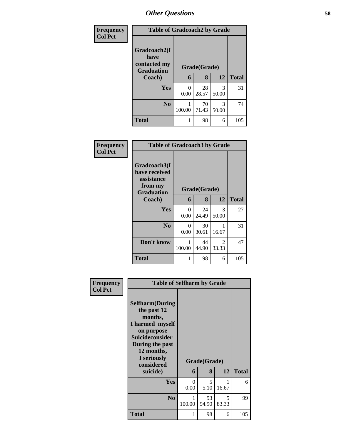| <b>Frequency</b> | <b>Table of Gradcoach2 by Grade</b>                       |              |             |            |              |
|------------------|-----------------------------------------------------------|--------------|-------------|------------|--------------|
| <b>Col Pct</b>   | Gradcoach2(I<br>have<br>contacted my<br><b>Graduation</b> | Grade(Grade) |             |            |              |
|                  | Coach)                                                    | 6            | 8           | 12         | <b>Total</b> |
|                  | Yes                                                       | 0<br>0.00    | 28<br>28.57 | 3<br>50.00 | 31           |
|                  | N <sub>0</sub>                                            | 100.00       | 70<br>71.43 | 3<br>50.00 | 74           |
|                  | Total                                                     | 1            | 98          | 6          | 105          |

| Frequency<br><b>Col Pct</b> | <b>Table of Gradcoach3 by Grade</b>                                         |                  |              |            |              |
|-----------------------------|-----------------------------------------------------------------------------|------------------|--------------|------------|--------------|
|                             | Gradcoach3(I<br>have received<br>assistance<br>from my<br><b>Graduation</b> |                  | Grade(Grade) |            |              |
|                             | Coach)                                                                      | 6                | 8            | 12         | <b>Total</b> |
|                             | Yes                                                                         | $\Omega$<br>0.00 | 24<br>24.49  | 3<br>50.00 | 27           |
|                             | N <sub>0</sub>                                                              | 0<br>0.00        | 30<br>30.61  | 16.67      | 31           |
|                             | Don't know                                                                  | 1<br>100.00      | 44<br>44.90  | 2<br>33.33 | 47           |
|                             | <b>Total</b>                                                                | 1                | 98           | 6          | 105          |

| Frequency<br><b>Col Pct</b> | <b>Table of Selfharm by Grade</b>                                                                                                                                          |                  |              |            |              |
|-----------------------------|----------------------------------------------------------------------------------------------------------------------------------------------------------------------------|------------------|--------------|------------|--------------|
|                             | <b>Selfharm</b> (During<br>the past 12<br>months,<br>I harmed myself<br>on purpose<br><b>Suicideconsider</b><br>During the past<br>12 months,<br>I seriously<br>considered |                  | Grade(Grade) |            |              |
|                             | suicide)                                                                                                                                                                   | 6                | 8            | 12         | <b>Total</b> |
|                             | Yes                                                                                                                                                                        | $\Omega$<br>0.00 | 5<br>5.10    | 16.67      | 6            |
|                             | N <sub>0</sub>                                                                                                                                                             | 1<br>100.00      | 93<br>94.90  | 5<br>83.33 | 99           |
|                             | <b>Total</b>                                                                                                                                                               | 1                | 98           | 6          | 105          |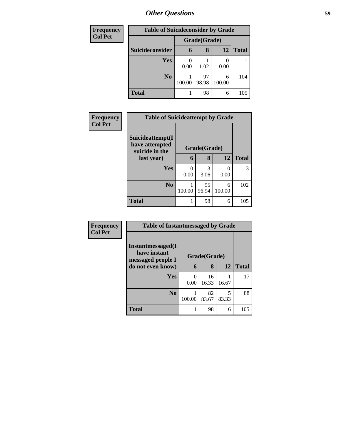| <b>Frequency</b> | <b>Table of Suicideconsider by Grade</b> |              |             |             |              |  |  |  |
|------------------|------------------------------------------|--------------|-------------|-------------|--------------|--|--|--|
| <b>Col Pct</b>   |                                          | Grade(Grade) |             |             |              |  |  |  |
|                  | Suicideconsider                          | 6            | 8           | 12          | <b>Total</b> |  |  |  |
|                  | Yes                                      | 0.00         | 1.02        | 0.00        |              |  |  |  |
|                  | N <sub>0</sub>                           | 100.00       | 97<br>98.98 | 6<br>100.00 | 104          |  |  |  |
|                  | <b>Total</b>                             |              | 98          | 6           | 105          |  |  |  |

| <b>Frequency</b> | <b>Table of Suicideattempt by Grade</b>              |                      |              |                  |              |
|------------------|------------------------------------------------------|----------------------|--------------|------------------|--------------|
| <b>Col Pct</b>   | Suicideattempt(I<br>have attempted<br>suicide in the |                      | Grade(Grade) |                  |              |
|                  | last year)                                           | 6                    | 8            | 12               | <b>Total</b> |
|                  | <b>Yes</b>                                           | $\mathbf{0}$<br>0.00 | 3<br>3.06    | $\theta$<br>0.00 | 3            |
|                  | $\bf N_0$                                            | 100.00               | 95<br>96.94  | 6<br>100.00      | 102          |
|                  | <b>Total</b>                                         |                      | 98           | 6                | 105          |

| Frequency      | <b>Table of Instantmessaged by Grade</b>               |              |             |            |              |  |
|----------------|--------------------------------------------------------|--------------|-------------|------------|--------------|--|
| <b>Col Pct</b> | Instantmessaged(I<br>have instant<br>messaged people I | Grade(Grade) |             |            |              |  |
|                | do not even know)                                      | 6            | 8           | 12         | <b>Total</b> |  |
|                | Yes                                                    | 0<br>0.00    | 16<br>16.33 | 16.67      | 17           |  |
|                | N <sub>0</sub>                                         | 100.00       | 82<br>83.67 | 5<br>83.33 | 88           |  |
|                | <b>Total</b>                                           |              | 98          | 6          | 105          |  |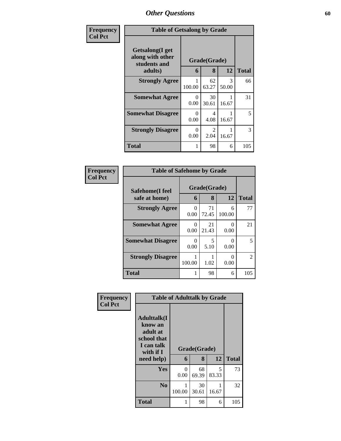| Frequency      | <b>Table of Getsalong by Grade</b>                  |           |                        |            |              |
|----------------|-----------------------------------------------------|-----------|------------------------|------------|--------------|
| <b>Col Pct</b> | Getsalong(I get<br>along with other<br>students and |           | Grade(Grade)           |            |              |
|                | adults)                                             | 6         | 8                      | 12         | <b>Total</b> |
|                | <b>Strongly Agree</b>                               | 100.00    | 62<br>63.27            | 3<br>50.00 | 66           |
|                | <b>Somewhat Agree</b>                               | 0<br>0.00 | 30<br>30.61            | 16.67      | 31           |
|                | <b>Somewhat Disagree</b>                            | 0<br>0.00 | 4<br>4.08              | 16.67      | 5            |
|                | <b>Strongly Disagree</b>                            | 0<br>0.00 | $\mathfrak{D}$<br>2.04 | 16.67      | 3            |
|                | Total                                               | 1         | 98                     | 6          | 105          |

| <b>Frequency</b> | <b>Table of Safehome by Grade</b> |             |                   |                  |              |  |
|------------------|-----------------------------------|-------------|-------------------|------------------|--------------|--|
| <b>Col Pct</b>   | Safehome(I feel<br>safe at home)  | 6           | Grade(Grade)<br>8 | 12               | <b>Total</b> |  |
|                  | <b>Strongly Agree</b>             | 0<br>0.00   | 71<br>72.45       | 6<br>100.00      | 77           |  |
|                  | <b>Somewhat Agree</b>             | 0<br>0.00   | 21<br>21.43       | 0<br>0.00        | 21           |  |
|                  | <b>Somewhat Disagree</b>          | 0<br>0.00   | 5<br>5.10         | $\Omega$<br>0.00 | 5            |  |
|                  | <b>Strongly Disagree</b>          | 1<br>100.00 | 1.02              | $\Omega$<br>0.00 | 2            |  |
|                  | <b>Total</b>                      |             | 98                | 6                | 105          |  |

| Frequency      | <b>Table of Adulttalk by Grade</b>                                                   |           |              |            |              |  |  |
|----------------|--------------------------------------------------------------------------------------|-----------|--------------|------------|--------------|--|--|
| <b>Col Pct</b> | <b>Adulttalk</b> (I<br>know an<br>adult at<br>school that<br>I can talk<br>with if I |           | Grade(Grade) |            |              |  |  |
|                | need help)                                                                           | 6         | 8            | 12         | <b>Total</b> |  |  |
|                | <b>Yes</b>                                                                           | 0<br>0.00 | 68<br>69.39  | 5<br>83.33 | 73           |  |  |
|                | $\mathbf{N}\mathbf{0}$                                                               | 100.00    | 30<br>30.61  | 16.67      | 32           |  |  |
|                | <b>Total</b>                                                                         |           | 98           | 6          | 105          |  |  |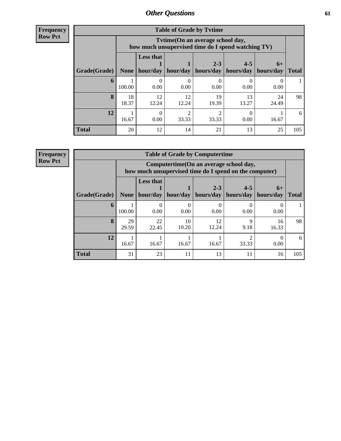| <b>Frequency</b> |
|------------------|
| <b>Row Pct</b>   |

| <b>Table of Grade by Tytime</b> |             |                                                                                         |             |                      |                      |                   |              |  |
|---------------------------------|-------------|-----------------------------------------------------------------------------------------|-------------|----------------------|----------------------|-------------------|--------------|--|
|                                 |             | Tvtime (On an average school day,<br>how much unsupervised time do I spend watching TV) |             |                      |                      |                   |              |  |
| Grade(Grade)                    | None        | <b>Less that</b><br>hour/day                                                            | hour/day    | $2 - 3$<br>hours/day | $4 - 5$<br>hours/day | $6+$<br>hours/day | <b>Total</b> |  |
| 6                               | 100.00      | 0.00                                                                                    | 0.00        | 0.00                 | 0.00                 | 0.00              |              |  |
| 8                               | 18<br>18.37 | 12<br>12.24                                                                             | 12<br>12.24 | 19<br>19.39          | 13<br>13.27          | 24<br>24.49       | 98           |  |
| 12                              | 16.67       | 0<br>0.00                                                                               | ി<br>33.33  | 33.33                | 0.00                 | 16.67             | 6            |  |
| <b>Total</b>                    | 20          | 12                                                                                      | 14          | 21                   | 13                   | 25                | 105          |  |

**Frequency**

**Row Pct**

| <b>Table of Grade by Computertime</b> |             |                                                                                                   |             |                      |                      |                   |              |  |
|---------------------------------------|-------------|---------------------------------------------------------------------------------------------------|-------------|----------------------|----------------------|-------------------|--------------|--|
|                                       |             | Computertime (On an average school day,<br>how much unsupervised time do I spend on the computer) |             |                      |                      |                   |              |  |
| Grade(Grade)                          | None        | <b>Less that</b><br>hour/day                                                                      | hour/day    | $2 - 3$<br>hours/day | $4 - 5$<br>hours/day | $6+$<br>hours/day | <b>Total</b> |  |
| 6                                     | 100.00      | 0.00                                                                                              | 0.00        | 0.00                 | 0.00                 | 0.00              |              |  |
| 8                                     | 29<br>29.59 | 22<br>22.45                                                                                       | 10<br>10.20 | 12<br>12.24          | 9<br>9.18            | 16<br>16.33       | 98           |  |
| 12                                    | 16.67       | 16.67                                                                                             | 16.67       | 16.67                | 33.33                | 0.00              | 6            |  |
| <b>Total</b>                          | 31          | 23                                                                                                | 11          | 13                   | 11                   | 16                | 105          |  |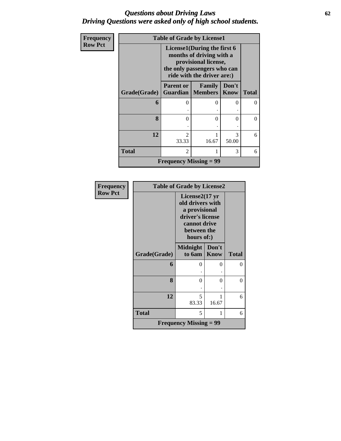#### *Questions about Driving Laws* **62** *Driving Questions were asked only of high school students.*

| Frequency      | <b>Table of Grade by License1</b> |                                                                                                                                              |                                       |                      |              |  |  |  |
|----------------|-----------------------------------|----------------------------------------------------------------------------------------------------------------------------------------------|---------------------------------------|----------------------|--------------|--|--|--|
| <b>Row Pct</b> |                                   | License1(During the first 6<br>months of driving with a<br>provisional license,<br>the only passengers who can<br>ride with the driver are:) |                                       |                      |              |  |  |  |
|                | Grade(Grade)                      | <b>Parent or</b>                                                                                                                             | Family<br><b>Guardian   Members  </b> | Don't<br><b>Know</b> | <b>Total</b> |  |  |  |
|                | 6                                 | $\Omega$                                                                                                                                     | 0                                     | $\mathbf{0}$         | 0            |  |  |  |
|                | 8                                 | 0                                                                                                                                            | 0                                     | 0                    | $\Omega$     |  |  |  |
|                | 12                                | $\mathcal{D}$<br>33.33                                                                                                                       | 1<br>16.67                            | 3<br>50.00           | 6            |  |  |  |
|                | <b>Total</b>                      | $\overline{c}$                                                                                                                               | 1                                     | 3                    | 6            |  |  |  |
|                | <b>Frequency Missing = 99</b>     |                                                                                                                                              |                                       |                      |              |  |  |  |

| Frequency      |              | <b>Table of Grade by License2</b>                                                                                                |                      |              |
|----------------|--------------|----------------------------------------------------------------------------------------------------------------------------------|----------------------|--------------|
| <b>Row Pct</b> |              | License $2(17 \text{ yr})$<br>old drivers with<br>a provisional<br>driver's license<br>cannot drive<br>between the<br>hours of:) |                      |              |
|                | Grade(Grade) | <b>Midnight</b><br>to 6am                                                                                                        | Don't<br><b>Know</b> | <b>Total</b> |
|                | 6            | 0                                                                                                                                | 0                    | $\theta$     |
|                | 8            | 0                                                                                                                                | 0                    | 0            |
|                | 12           | 5<br>83.33                                                                                                                       | 16.67                | 6            |
|                | <b>Total</b> | 5                                                                                                                                | 1                    | 6            |
|                |              | <b>Frequency Missing = 99</b>                                                                                                    |                      |              |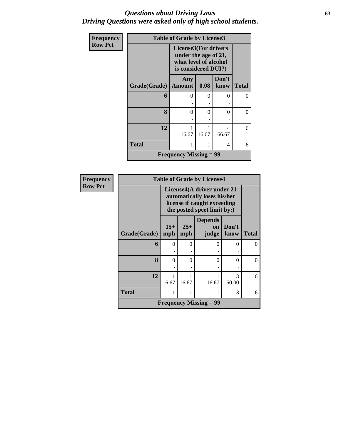#### *Questions about Driving Laws* **63** *Driving Questions were asked only of high school students.*

| Frequency      | <b>Table of Grade by License3</b> |                                                                                                     |            |               |              |  |  |
|----------------|-----------------------------------|-----------------------------------------------------------------------------------------------------|------------|---------------|--------------|--|--|
| <b>Row Pct</b> |                                   | <b>License3(For drivers</b><br>under the age of 21,<br>what level of alcohol<br>is considered DUI?) |            |               |              |  |  |
|                | Grade(Grade)                      | Any<br><b>Amount</b>                                                                                | 0.08       | Don't<br>know | <b>Total</b> |  |  |
|                | 6                                 | $\theta$                                                                                            | $\theta$   | 0             | $\Omega$     |  |  |
|                | 8                                 | $\theta$                                                                                            | 0          | 0             | $\Omega$     |  |  |
|                | 12                                | 1<br>16.67                                                                                          | 1<br>16.67 | 4<br>66.67    | 6            |  |  |
|                | <b>Total</b>                      | 1                                                                                                   | 1          | 4             | 6            |  |  |
|                |                                   | <b>Frequency Missing = 99</b>                                                                       |            |               |              |  |  |

| Frequency      | <b>Table of Grade by License4</b> |                                                                                                                         |              |                                      |               |              |
|----------------|-----------------------------------|-------------------------------------------------------------------------------------------------------------------------|--------------|--------------------------------------|---------------|--------------|
| <b>Row Pct</b> |                                   | License4(A driver under 21<br>automatically loses his/her<br>license if caught exceeding<br>the posted speet limit by:) |              |                                      |               |              |
|                | Grade(Grade)                      | $15+$<br>mph                                                                                                            | $25+$<br>mph | <b>Depends</b><br><b>on</b><br>judge | Don't<br>know | <b>Total</b> |
|                | 6                                 | $\theta$                                                                                                                | $\Omega$     | ∩                                    | 0             | 0            |
|                | 8                                 | $\theta$                                                                                                                | 0            | $\Omega$                             | 0             | 0            |
|                | 12                                | 16.67                                                                                                                   | 16.67        | 16.67                                | 3<br>50.00    | 6            |
|                | <b>Total</b>                      | 1                                                                                                                       | 1            | 1                                    | 3             | 6            |
|                |                                   |                                                                                                                         |              | <b>Frequency Missing = 99</b>        |               |              |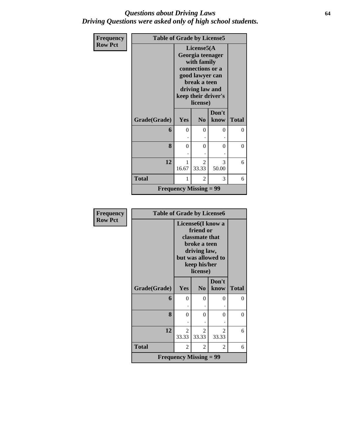#### *Questions about Driving Laws* **64** *Driving Questions were asked only of high school students.*

| Frequency      |              | <b>Table of Grade by License5</b>                                                                                                                           |                               |               |              |  |  |  |  |
|----------------|--------------|-------------------------------------------------------------------------------------------------------------------------------------------------------------|-------------------------------|---------------|--------------|--|--|--|--|
| <b>Row Pct</b> |              | License5(A)<br>Georgia teenager<br>with family<br>connections or a<br>good lawyer can<br>break a teen<br>driving law and<br>keep their driver's<br>license) |                               |               |              |  |  |  |  |
|                | Grade(Grade) | Yes                                                                                                                                                         | N <sub>0</sub>                | Don't<br>know | <b>Total</b> |  |  |  |  |
|                | 6            | $\theta$                                                                                                                                                    | 0                             | 0             | 0            |  |  |  |  |
|                | 8            | $\theta$                                                                                                                                                    | $\Omega$                      | $\Omega$      | 0            |  |  |  |  |
|                | 12           | 1<br>16.67                                                                                                                                                  | 2<br>33.33                    | 3<br>50.00    | 6            |  |  |  |  |
|                | <b>Total</b> | 1                                                                                                                                                           | 2                             | 3             | 6            |  |  |  |  |
|                |              |                                                                                                                                                             | <b>Frequency Missing = 99</b> |               |              |  |  |  |  |

| <b>Frequency</b> | <b>Table of Grade by License6</b> |                                                                                                                                                 |                |                         |                |
|------------------|-----------------------------------|-------------------------------------------------------------------------------------------------------------------------------------------------|----------------|-------------------------|----------------|
| <b>Row Pct</b>   |                                   | License <sub>6</sub> (I know a<br>friend or<br>classmate that<br>broke a teen<br>driving law,<br>but was allowed to<br>keep his/her<br>license) |                |                         |                |
|                  |                                   |                                                                                                                                                 |                | Don't                   |                |
|                  | Grade(Grade)                      | Yes                                                                                                                                             | N <sub>0</sub> | know                    | <b>Total</b>   |
|                  | 6                                 | $\Omega$                                                                                                                                        | $\Omega$       | $\Omega$                | $\theta$       |
|                  |                                   |                                                                                                                                                 |                |                         |                |
|                  | 8                                 | $\Omega$                                                                                                                                        | $\theta$       | 0                       | $\overline{0}$ |
|                  |                                   |                                                                                                                                                 |                |                         |                |
|                  | 12                                | $\mathfrak{D}$<br>33.33                                                                                                                         | 2<br>33.33     | $\mathfrak{D}$<br>33.33 | 6              |
|                  | <b>Total</b>                      | 2                                                                                                                                               | 2              | 2                       | 6              |
|                  |                                   | <b>Frequency Missing = 99</b>                                                                                                                   |                |                         |                |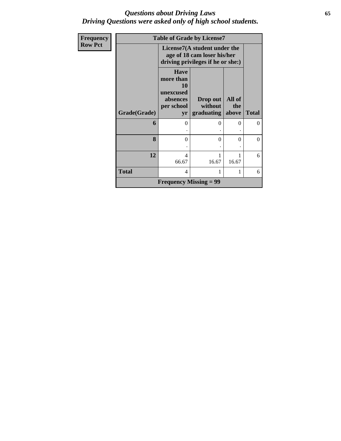#### *Questions about Driving Laws* **65** *Driving Questions were asked only of high school students.*

| Frequency      | <b>Table of Grade by License7</b> |                                                                                    |                                                                                                  |                        |                |  |  |  |
|----------------|-----------------------------------|------------------------------------------------------------------------------------|--------------------------------------------------------------------------------------------------|------------------------|----------------|--|--|--|
| <b>Row Pct</b> |                                   |                                                                                    | License7(A student under the<br>age of 18 cam loser his/her<br>driving privileges if he or she:) |                        |                |  |  |  |
|                | Grade(Grade)                      | <b>Have</b><br>more than<br><b>10</b><br>unexcused<br>absences<br>per school<br>yr | Drop out<br>without<br>graduating                                                                | All of<br>the<br>above | <b>Total</b>   |  |  |  |
|                | 6                                 | 0                                                                                  | $\Omega$                                                                                         | 0                      | $\overline{0}$ |  |  |  |
|                | 8                                 | 0                                                                                  | $\Omega$                                                                                         | 0                      | $\theta$       |  |  |  |
|                | 12                                | 4<br>66.67                                                                         | 16.67                                                                                            | 16.67                  | 6              |  |  |  |
|                | <b>Total</b>                      | 4                                                                                  |                                                                                                  |                        | 6              |  |  |  |
|                |                                   | <b>Frequency Missing = 99</b>                                                      |                                                                                                  |                        |                |  |  |  |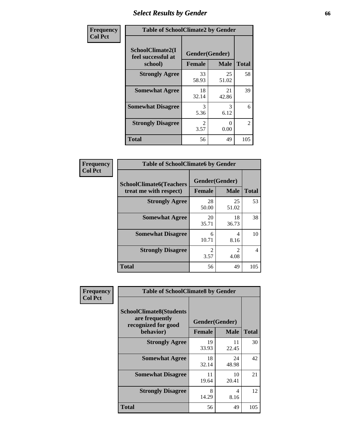## *Select Results by Gender* **66**

| Frequency      | <b>Table of SchoolClimate2 by Gender</b> |                       |                  |                |  |
|----------------|------------------------------------------|-----------------------|------------------|----------------|--|
| <b>Col Pct</b> | SchoolClimate2(I<br>feel successful at   | Gender(Gender)        |                  |                |  |
|                | school)                                  | <b>Female</b>         | <b>Male</b>      | <b>Total</b>   |  |
|                | <b>Strongly Agree</b>                    | 33<br>58.93           | 25<br>51.02      | 58             |  |
|                | <b>Somewhat Agree</b>                    | 18<br>32.14           | 21<br>42.86      | 39             |  |
|                | <b>Somewhat Disagree</b>                 | 3<br>5.36             | 3<br>6.12        | 6              |  |
|                | <b>Strongly Disagree</b>                 | $\mathcal{L}$<br>3.57 | $\Omega$<br>0.00 | $\overline{2}$ |  |
|                | <b>Total</b>                             | 56                    | 49               | 105            |  |

| Frequency      | <b>Table of SchoolClimate6 by Gender</b>                 |                                                |                                     |                |  |  |
|----------------|----------------------------------------------------------|------------------------------------------------|-------------------------------------|----------------|--|--|
| <b>Col Pct</b> | <b>SchoolClimate6(Teachers</b><br>treat me with respect) | Gender(Gender)<br><b>Male</b><br><b>Female</b> |                                     | <b>Total</b>   |  |  |
|                | <b>Strongly Agree</b>                                    | 28<br>50.00                                    | 25<br>51.02                         | 53             |  |  |
|                | <b>Somewhat Agree</b>                                    | 20<br>35.71                                    | 18<br>36.73                         | 38             |  |  |
|                | <b>Somewhat Disagree</b>                                 | 6<br>10.71                                     | 4<br>8.16                           | 10             |  |  |
|                | <b>Strongly Disagree</b>                                 | $\mathfrak{D}$<br>3.57                         | $\mathcal{D}_{\mathcal{L}}$<br>4.08 | $\overline{4}$ |  |  |
|                | <b>Total</b>                                             | 56                                             | 49                                  | 105            |  |  |

| <b>Frequency</b> | <b>Table of SchoolClimate8 by Gender</b>                                             |                                                |             |              |  |
|------------------|--------------------------------------------------------------------------------------|------------------------------------------------|-------------|--------------|--|
| <b>Col Pct</b>   | <b>SchoolClimate8(Students</b><br>are frequently<br>recognized for good<br>behavior) | Gender(Gender)<br><b>Female</b><br><b>Male</b> |             | <b>Total</b> |  |
|                  |                                                                                      |                                                |             |              |  |
|                  | <b>Strongly Agree</b>                                                                | 19<br>33.93                                    | 11<br>22.45 | 30           |  |
|                  | <b>Somewhat Agree</b>                                                                | 18<br>32.14                                    | 24<br>48.98 | 42           |  |
|                  | <b>Somewhat Disagree</b>                                                             | 11<br>19.64                                    | 10<br>20.41 | 21           |  |
|                  | <b>Strongly Disagree</b>                                                             | 8<br>14.29                                     | 4<br>8.16   | 12           |  |
|                  | Total                                                                                | 56                                             | 49          | 105          |  |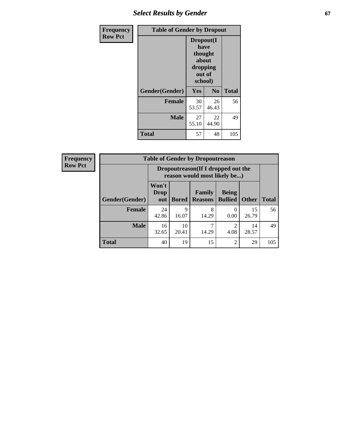## **Select Results by Gender 67**

| <b>Frequency</b> | <b>Table of Gender by Dropout</b> |                                                                        |                |              |
|------------------|-----------------------------------|------------------------------------------------------------------------|----------------|--------------|
| <b>Row Pct</b>   |                                   | Dropout(I<br>have<br>thought<br>about<br>dropping<br>out of<br>school) |                |              |
|                  | Gender(Gender)                    | Yes                                                                    | N <sub>0</sub> | <b>Total</b> |
|                  | <b>Female</b>                     | 30<br>53.57                                                            | 26<br>46.43    | 56           |
|                  | <b>Male</b>                       | 27<br>55.10                                                            | 22<br>44.90    | 49           |
|                  | <b>Total</b>                      | 57                                                                     | 48             | 105          |

| <b>Frequency</b> | <b>Table of Gender by Dropoutreason</b> |                                                                     |                      |                          |                                |              |              |
|------------------|-----------------------------------------|---------------------------------------------------------------------|----------------------|--------------------------|--------------------------------|--------------|--------------|
| <b>Row Pct</b>   |                                         | Dropoutreason (If I dropped out the<br>reason would most likely be) |                      |                          |                                |              |              |
|                  | Gender(Gender)                          | Won't<br><b>Drop</b><br>out                                         | <b>Bored</b>         | Family<br><b>Reasons</b> | <b>Being</b><br><b>Bullied</b> | <b>Other</b> | <b>Total</b> |
|                  | <b>Female</b>                           | 24<br>42.86                                                         | $\mathbf Q$<br>16.07 | 8<br>14.29               | $\Omega$<br>0.00               | 15<br>26.79  | 56           |
|                  | <b>Male</b>                             | 16<br>32.65                                                         | 10<br>20.41          | 14.29                    | 4.08                           | 14<br>28.57  | 49           |
|                  | <b>Total</b>                            | 40                                                                  | 19                   | 15                       | $\overline{2}$                 | 29           | 105          |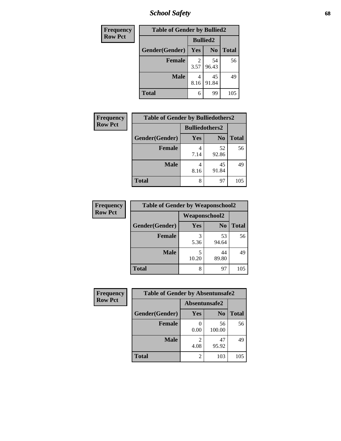*School Safety* **68**

| Frequency      | <b>Table of Gender by Bullied2</b> |                 |                |              |
|----------------|------------------------------------|-----------------|----------------|--------------|
| <b>Row Pct</b> |                                    | <b>Bullied2</b> |                |              |
|                | Gender(Gender)                     | <b>Yes</b>      | N <sub>0</sub> | <b>Total</b> |
|                | <b>Female</b>                      | 2<br>3.57       | 54<br>96.43    | 56           |
|                | <b>Male</b>                        | 8.16            | 45<br>91.84    | 49           |
|                | <b>Total</b>                       | 6               | 99             | 105          |

| Frequency      | <b>Table of Gender by Bulliedothers2</b> |                       |                |              |
|----------------|------------------------------------------|-----------------------|----------------|--------------|
| <b>Row Pct</b> |                                          | <b>Bulliedothers2</b> |                |              |
|                | Gender(Gender)                           | Yes                   | N <sub>0</sub> | <b>Total</b> |
|                | <b>Female</b>                            | 4<br>7.14             | 52<br>92.86    | 56           |
|                | <b>Male</b>                              | 8.16                  | 45<br>91.84    | 49           |
|                | Total                                    | 8                     | 97             | 105          |

| Frequency      | <b>Table of Gender by Weaponschool2</b> |                      |                |              |
|----------------|-----------------------------------------|----------------------|----------------|--------------|
| <b>Row Pct</b> |                                         | <b>Weaponschool2</b> |                |              |
|                | Gender(Gender)                          | <b>Yes</b>           | N <sub>0</sub> | <b>Total</b> |
|                | <b>Female</b>                           | 3<br>5.36            | 53<br>94.64    | 56           |
|                | <b>Male</b>                             | 5<br>10.20           | 44<br>89.80    | 49           |
|                | <b>Total</b>                            | 8                    | 97             | 105          |

| <b>Frequency</b> | <b>Table of Gender by Absentunsafe2</b> |                |                |              |
|------------------|-----------------------------------------|----------------|----------------|--------------|
| <b>Row Pct</b>   |                                         | Absentunsafe2  |                |              |
|                  | Gender(Gender)                          | Yes            | N <sub>0</sub> | <b>Total</b> |
|                  | Female                                  | 0.00           | 56<br>100.00   | 56           |
|                  | <b>Male</b>                             | 4.08           | 47<br>95.92    | 49           |
|                  | <b>Total</b>                            | $\mathfrak{D}$ | 103            | 105          |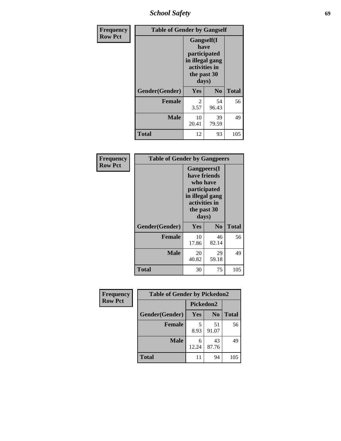*School Safety* **69**

| Frequency      | <b>Table of Gender by Gangself</b> |                                                                                                |                |              |
|----------------|------------------------------------|------------------------------------------------------------------------------------------------|----------------|--------------|
| <b>Row Pct</b> |                                    | Gangself(I<br>have<br>participated<br>in illegal gang<br>activities in<br>the past 30<br>days) |                |              |
|                | Gender(Gender)                     | Yes                                                                                            | N <sub>0</sub> | <b>Total</b> |
|                | <b>Female</b>                      | 2<br>3.57                                                                                      | 54<br>96.43    | 56           |
|                | <b>Male</b>                        | 10<br>20.41                                                                                    | 39<br>79.59    | 49           |
|                | <b>Total</b>                       | 12                                                                                             | 93             | 105          |

| Frequency      |                | <b>Table of Gender by Gangpeers</b>                                                                                         |                |              |
|----------------|----------------|-----------------------------------------------------------------------------------------------------------------------------|----------------|--------------|
| <b>Row Pct</b> |                | <b>Gangpeers</b> (I<br>have friends<br>who have<br>participated<br>in illegal gang<br>activities in<br>the past 30<br>days) |                |              |
|                | Gender(Gender) | Yes                                                                                                                         | N <sub>0</sub> | <b>Total</b> |
|                | <b>Female</b>  | 10<br>17.86                                                                                                                 | 46<br>82.14    | 56           |
|                | <b>Male</b>    | 20<br>40.82                                                                                                                 | 29<br>59.18    | 49           |
|                | Total          | 30                                                                                                                          | 75             | 105          |

| Frequency      | <b>Table of Gender by Pickedon2</b> |                  |                |              |  |
|----------------|-------------------------------------|------------------|----------------|--------------|--|
| <b>Row Pct</b> |                                     | <b>Pickedon2</b> |                |              |  |
|                | Gender(Gender)                      | <b>Yes</b>       | N <sub>0</sub> | <b>Total</b> |  |
|                | <b>Female</b>                       | 5<br>8.93        | 51<br>91.07    | 56           |  |
|                | <b>Male</b>                         | 6<br>12.24       | 43<br>87.76    | 49           |  |
|                | <b>Total</b>                        | 11               | 94             | 105          |  |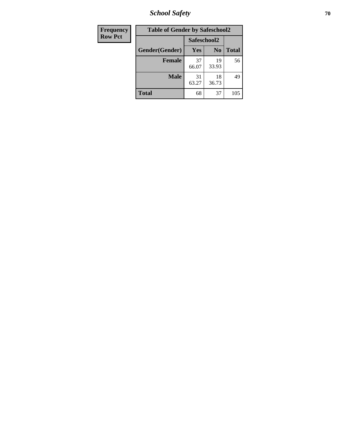*School Safety* **70**

| Frequency      | <b>Table of Gender by Safeschool2</b> |             |                |              |
|----------------|---------------------------------------|-------------|----------------|--------------|
| <b>Row Pct</b> |                                       | Safeschool2 |                |              |
|                | Gender(Gender)                        | Yes         | N <sub>0</sub> | <b>Total</b> |
|                | <b>Female</b>                         | 37<br>66.07 | 19<br>33.93    | 56           |
|                | Male                                  | 31<br>63.27 | 18<br>36.73    | 49           |
|                | <b>Total</b>                          | 68          | 37             | 105          |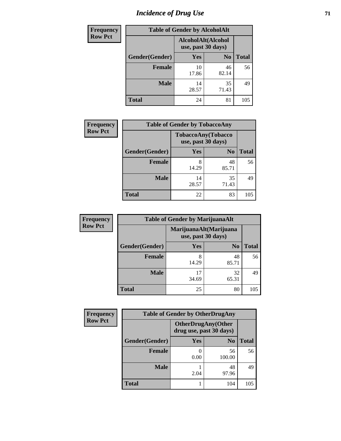# *Incidence of Drug Use* <sup>71</sup>

| <b>Frequency</b> | <b>Table of Gender by AlcoholAlt</b> |                                          |                |              |  |
|------------------|--------------------------------------|------------------------------------------|----------------|--------------|--|
| <b>Row Pct</b>   |                                      | AlcoholAlt(Alcohol<br>use, past 30 days) |                |              |  |
|                  | Gender(Gender)                       | <b>Yes</b>                               | N <sub>0</sub> | <b>Total</b> |  |
|                  | Female                               | 10<br>17.86                              | 46<br>82.14    | 56           |  |
|                  | <b>Male</b>                          | 14<br>28.57                              | 35<br>71.43    | 49           |  |
|                  | <b>Total</b>                         | 24                                       | 81             | 105          |  |

| Frequency      | <b>Table of Gender by TobaccoAny</b> |                    |                    |              |
|----------------|--------------------------------------|--------------------|--------------------|--------------|
| <b>Row Pct</b> |                                      | use, past 30 days) | TobaccoAny(Tobacco |              |
|                | Gender(Gender)                       | Yes                | N <sub>0</sub>     | <b>Total</b> |
|                | <b>Female</b>                        | 8<br>14.29         | 48<br>85.71        | 56           |
|                | <b>Male</b>                          | 14<br>28.57        | 35<br>71.43        | 49           |
|                | Total                                | 22                 | 83                 | 105          |

| <b>Frequency</b> | <b>Table of Gender by MarijuanaAlt</b> |                                              |                |              |
|------------------|----------------------------------------|----------------------------------------------|----------------|--------------|
| <b>Row Pct</b>   |                                        | MarijuanaAlt(Marijuana<br>use, past 30 days) |                |              |
|                  | Gender(Gender)                         | <b>Yes</b>                                   | N <sub>0</sub> | <b>Total</b> |
|                  | <b>Female</b>                          | 8<br>14.29                                   | 48<br>85.71    | 56           |
|                  | <b>Male</b>                            | 17<br>34.69                                  | 32<br>65.31    | 49           |
|                  | <b>Total</b>                           | 25                                           | 80             | 105          |

| <b>Frequency</b> | <b>Table of Gender by OtherDrugAny</b> |                                                      |                |              |
|------------------|----------------------------------------|------------------------------------------------------|----------------|--------------|
| <b>Row Pct</b>   |                                        | <b>OtherDrugAny(Other</b><br>drug use, past 30 days) |                |              |
|                  | Gender(Gender)                         | <b>Yes</b>                                           | N <sub>0</sub> | <b>Total</b> |
|                  | <b>Female</b>                          | 0.00                                                 | 56<br>100.00   | 56           |
|                  | <b>Male</b>                            | 2.04                                                 | 48<br>97.96    | 49           |
|                  | <b>Total</b>                           |                                                      | 104            | 105          |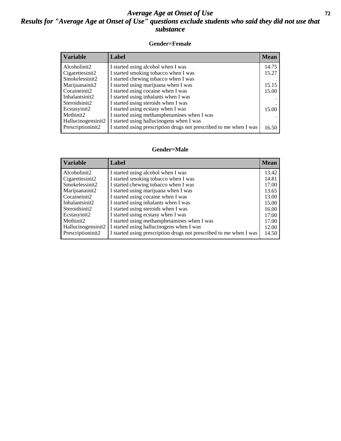### *Average Age at Onset of Use* **72** *Results for "Average Age at Onset of Use" questions exclude students who said they did not use that substance*

#### **Gender=Female**

| <b>Variable</b>    | Label                                                              | <b>Mean</b> |
|--------------------|--------------------------------------------------------------------|-------------|
| Alcoholinit2       | I started using alcohol when I was                                 | 14.75       |
| Cigarettesinit2    | I started smoking tobacco when I was                               | 15.27       |
| Smokelessinit2     | I started chewing tobacco when I was                               |             |
| Marijuanainit2     | I started using marijuana when I was                               | 15.15       |
| Cocaineinit2       | I started using cocaine when I was                                 | 15.00       |
| Inhalantsinit2     | I started using inhalants when I was                               |             |
| Steroidsinit2      | I started using steroids when I was                                |             |
| Ecstasyinit2       | I started using ecstasy when I was                                 | 15.00       |
| Methinit2          | I started using methamphetamines when I was                        |             |
| Hallucinogensinit2 | I started using hallucinogens when I was                           |             |
| Prescription in t2 | I started using prescription drugs not prescribed to me when I was | 16.50       |

#### **Gender=Male**

| <b>Variable</b>                 | Label                                                              | <b>Mean</b> |
|---------------------------------|--------------------------------------------------------------------|-------------|
| Alcoholinit2                    | I started using alcohol when I was                                 | 13.42       |
| Cigarettesinit2                 | I started smoking tobacco when I was                               | 14.81       |
| Smokelessinit2                  | I started chewing tobacco when I was                               | 17.00       |
| Marijuanainit2                  | I started using marijuana when I was                               | 13.65       |
| Cocaineinit2                    | I started using cocaine when I was                                 | 13.00       |
| Inhalantsinit2                  | I started using inhalants when I was                               | 15.00       |
| Steroidsinit2                   | I started using steroids when I was                                | 16.00       |
| Ecstasyinit2                    | I started using ecstasy when I was                                 | 17.00       |
| Methinit2                       | I started using methamphetamines when I was                        | 17.00       |
| Hallucinogensinit2              | I started using hallucinogens when I was                           | 12.00       |
| Prescription in it <sub>2</sub> | I started using prescription drugs not prescribed to me when I was | 14.50       |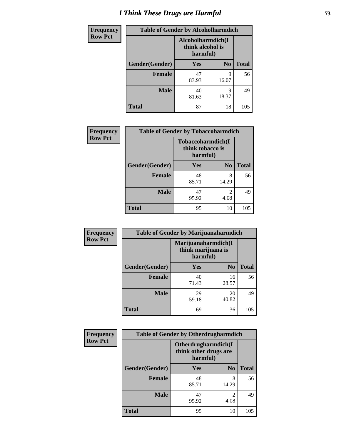# *I Think These Drugs are Harmful* **73**

| <b>Frequency</b> | <b>Table of Gender by Alcoholharmdich</b> |                                                   |                |              |
|------------------|-------------------------------------------|---------------------------------------------------|----------------|--------------|
| <b>Row Pct</b>   |                                           | Alcoholharmdich(I<br>think alcohol is<br>harmful) |                |              |
|                  | Gender(Gender)                            | <b>Yes</b>                                        | N <sub>0</sub> | <b>Total</b> |
|                  | <b>Female</b>                             | 47<br>83.93                                       | q<br>16.07     | 56           |
|                  | <b>Male</b>                               | 40<br>81.63                                       | 9<br>18.37     | 49           |
|                  | <b>Total</b>                              | 87                                                | 18             | 105          |

| <b>Frequency</b> | <b>Table of Gender by Tobaccoharmdich</b> |                                                   |                |              |
|------------------|-------------------------------------------|---------------------------------------------------|----------------|--------------|
| <b>Row Pct</b>   |                                           | Tobaccoharmdich(I<br>think tobacco is<br>harmful) |                |              |
|                  | Gender(Gender)                            | Yes                                               | N <sub>0</sub> | <b>Total</b> |
|                  | <b>Female</b>                             | 48<br>85.71                                       | 8<br>14.29     | 56           |
|                  | <b>Male</b>                               | 47<br>95.92                                       | 2<br>4.08      | 49           |
|                  | <b>Total</b>                              | 95                                                | 10             | 105          |

| Frequency      | <b>Table of Gender by Marijuanaharmdich</b> |                                                       |                |              |
|----------------|---------------------------------------------|-------------------------------------------------------|----------------|--------------|
| <b>Row Pct</b> |                                             | Marijuanaharmdich(I<br>think marijuana is<br>harmful) |                |              |
|                | Gender(Gender)                              | <b>Yes</b>                                            | N <sub>0</sub> | <b>Total</b> |
|                | <b>Female</b>                               | 40<br>71.43                                           | 16<br>28.57    | 56           |
|                | <b>Male</b>                                 | 29<br>59.18                                           | 20<br>40.82    | 49           |
|                | <b>Total</b>                                | 69                                                    | 36             | 105          |

| Frequency      | <b>Table of Gender by Otherdrugharmdich</b> |                                   |                        |              |
|----------------|---------------------------------------------|-----------------------------------|------------------------|--------------|
| <b>Row Pct</b> |                                             | think other drugs are<br>harmful) | Otherdrugharmdich(I    |              |
|                | Gender(Gender)                              | <b>Yes</b>                        | N <sub>0</sub>         | <b>Total</b> |
|                | <b>Female</b>                               | 48<br>85.71                       | 8<br>14.29             | 56           |
|                | <b>Male</b>                                 | 47<br>95.92                       | $\overline{c}$<br>4.08 | 49           |
|                | <b>Total</b>                                | 95                                | 10                     | 105          |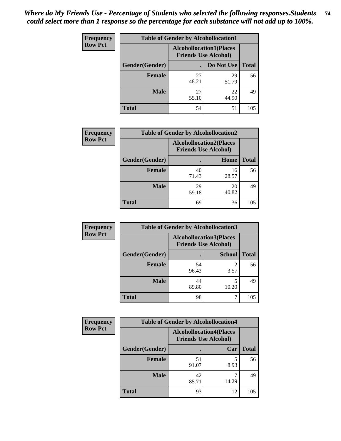| <b>Frequency</b> | <b>Table of Gender by Alcohollocation1</b> |                                                               |             |              |  |
|------------------|--------------------------------------------|---------------------------------------------------------------|-------------|--------------|--|
| <b>Row Pct</b>   |                                            | <b>Alcohollocation1(Places</b><br><b>Friends Use Alcohol)</b> |             |              |  |
|                  | Gender(Gender)                             |                                                               | Do Not Use  | <b>Total</b> |  |
|                  | <b>Female</b>                              | 27<br>48.21                                                   | 29<br>51.79 | 56           |  |
|                  | <b>Male</b>                                | 27<br>55.10                                                   | 22<br>44.90 | 49           |  |
|                  | <b>Total</b>                               | 54                                                            | 51          | 105          |  |

| <b>Frequency</b> | <b>Table of Gender by Alcohollocation2</b> |                                                               |             |              |
|------------------|--------------------------------------------|---------------------------------------------------------------|-------------|--------------|
| <b>Row Pct</b>   |                                            | <b>Alcohollocation2(Places</b><br><b>Friends Use Alcohol)</b> |             |              |
|                  | Gender(Gender)                             |                                                               | Home        | <b>Total</b> |
|                  | <b>Female</b>                              | 40<br>71.43                                                   | 16<br>28.57 | 56           |
|                  | <b>Male</b>                                | 29<br>59.18                                                   | 20<br>40.82 | 49           |
|                  | <b>Total</b>                               | 69                                                            | 36          | 105          |

| Frequency      | <b>Table of Gender by Alcohollocation3</b> |             |                                                               |              |
|----------------|--------------------------------------------|-------------|---------------------------------------------------------------|--------------|
| <b>Row Pct</b> |                                            |             | <b>Alcohollocation3(Places</b><br><b>Friends Use Alcohol)</b> |              |
|                | Gender(Gender)                             |             | <b>School</b>                                                 | <b>Total</b> |
|                | <b>Female</b>                              | 54<br>96.43 | 3.57                                                          | 56           |
|                | <b>Male</b>                                | 44<br>89.80 | 10.20                                                         | 49           |
|                | <b>Total</b>                               | 98          |                                                               | 105          |

| Frequency      | <b>Table of Gender by Alcohollocation4</b> |             |                                                               |              |
|----------------|--------------------------------------------|-------------|---------------------------------------------------------------|--------------|
| <b>Row Pct</b> |                                            |             | <b>Alcohollocation4(Places</b><br><b>Friends Use Alcohol)</b> |              |
|                | Gender(Gender)                             |             | Car                                                           | <b>Total</b> |
|                | <b>Female</b>                              | 51<br>91.07 | 8.93                                                          | 56           |
|                | <b>Male</b>                                | 42<br>85.71 | 14.29                                                         | 49           |
|                | <b>Total</b>                               | 93          | 12                                                            | 105          |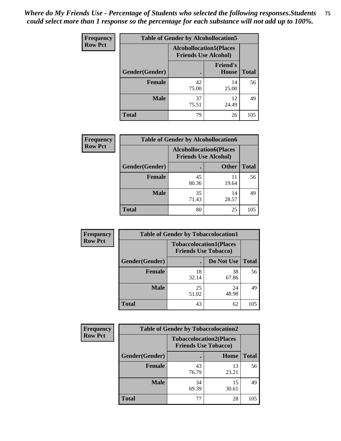| <b>Frequency</b> | <b>Table of Gender by Alcohollocation5</b> |                                                                |                                 |              |
|------------------|--------------------------------------------|----------------------------------------------------------------|---------------------------------|--------------|
| <b>Row Pct</b>   |                                            | <b>Alcohollocation5</b> (Places<br><b>Friends Use Alcohol)</b> |                                 |              |
|                  | Gender(Gender)                             |                                                                | <b>Friend's</b><br><b>House</b> | <b>Total</b> |
|                  | <b>Female</b>                              | 42<br>75.00                                                    | 14<br>25.00                     | 56           |
|                  | <b>Male</b>                                | 37<br>75.51                                                    | 12<br>24.49                     | 49           |
|                  | <b>Total</b>                               | 79                                                             | 26                              | 105          |

| <b>Frequency</b> | <b>Table of Gender by Alcohollocation6</b> |                                                               |              |              |
|------------------|--------------------------------------------|---------------------------------------------------------------|--------------|--------------|
| <b>Row Pct</b>   |                                            | <b>Alcohollocation6(Places</b><br><b>Friends Use Alcohol)</b> |              |              |
|                  | Gender(Gender)                             |                                                               | <b>Other</b> | <b>Total</b> |
|                  | <b>Female</b>                              | 45<br>80.36                                                   | 11<br>19.64  | 56           |
|                  | <b>Male</b>                                | 35<br>71.43                                                   | 14<br>28.57  | 49           |
|                  | <b>Total</b>                               | 80                                                            | 25           | 105          |

| Frequency      | <b>Table of Gender by Tobaccolocation1</b> |                                                               |             |              |  |
|----------------|--------------------------------------------|---------------------------------------------------------------|-------------|--------------|--|
| <b>Row Pct</b> |                                            | <b>Tobaccolocation1(Places</b><br><b>Friends Use Tobacco)</b> |             |              |  |
|                | Gender(Gender)                             |                                                               | Do Not Use  | <b>Total</b> |  |
|                | <b>Female</b>                              | 18<br>32.14                                                   | 38<br>67.86 | 56           |  |
|                | <b>Male</b>                                | 25<br>51.02                                                   | 24<br>48.98 | 49           |  |
|                | <b>Total</b>                               | 43                                                            | 62          | 105          |  |

| <b>Frequency</b> | <b>Table of Gender by Tobaccolocation2</b> |                             |                                |              |
|------------------|--------------------------------------------|-----------------------------|--------------------------------|--------------|
| <b>Row Pct</b>   |                                            | <b>Friends Use Tobacco)</b> | <b>Tobaccolocation2(Places</b> |              |
|                  | Gender(Gender)                             |                             | Home                           | <b>Total</b> |
|                  | Female                                     | 43<br>76.79                 | 13<br>23.21                    | 56           |
|                  | <b>Male</b>                                | 34<br>69.39                 | 15<br>30.61                    | 49           |
|                  | <b>Total</b>                               | 77                          | 28                             | 105          |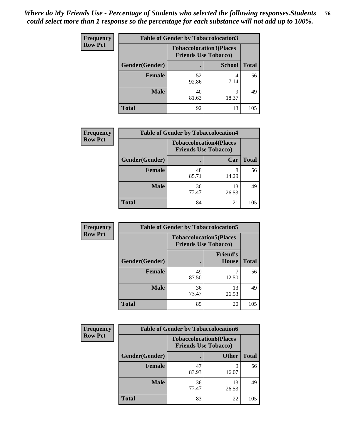| <b>Frequency</b> |                | <b>Table of Gender by Tobaccolocation3</b> |                                |              |
|------------------|----------------|--------------------------------------------|--------------------------------|--------------|
| <b>Row Pct</b>   |                | <b>Friends Use Tobacco)</b>                | <b>Tobaccolocation3(Places</b> |              |
|                  | Gender(Gender) |                                            | <b>School</b>                  | <b>Total</b> |
|                  | Female         | 52<br>92.86                                | 7.14                           | 56           |
|                  | <b>Male</b>    | 40<br>81.63                                | q<br>18.37                     | 49           |
|                  | Total          | 92                                         | 13                             | 105          |

| <b>Frequency</b> | <b>Table of Gender by Tobaccolocation4</b> |             |                                                               |              |
|------------------|--------------------------------------------|-------------|---------------------------------------------------------------|--------------|
| <b>Row Pct</b>   |                                            |             | <b>Tobaccolocation4(Places</b><br><b>Friends Use Tobacco)</b> |              |
|                  | Gender(Gender)                             |             | Car                                                           | <b>Total</b> |
|                  | <b>Female</b>                              | 48<br>85.71 | 8<br>14.29                                                    | 56           |
|                  | <b>Male</b>                                | 36<br>73.47 | 13<br>26.53                                                   | 49           |
|                  | <b>Total</b>                               | 84          | 21                                                            | 105          |

| <b>Frequency</b> | <b>Table of Gender by Tobaccolocation5</b> |                                                               |                                 |              |
|------------------|--------------------------------------------|---------------------------------------------------------------|---------------------------------|--------------|
| <b>Row Pct</b>   |                                            | <b>Tobaccolocation5(Places</b><br><b>Friends Use Tobacco)</b> |                                 |              |
|                  | Gender(Gender)                             |                                                               | <b>Friend's</b><br><b>House</b> | <b>Total</b> |
|                  | <b>Female</b>                              | 49<br>87.50                                                   | 12.50                           | 56           |
|                  | <b>Male</b>                                | 36<br>73.47                                                   | 13<br>26.53                     | 49           |
|                  | <b>Total</b>                               | 85                                                            | 20                              | 105          |

| <b>Frequency</b> |                | <b>Table of Gender by Tobaccolocation6</b>                    |              |              |
|------------------|----------------|---------------------------------------------------------------|--------------|--------------|
| <b>Row Pct</b>   |                | <b>Tobaccolocation6(Places</b><br><b>Friends Use Tobacco)</b> |              |              |
|                  | Gender(Gender) |                                                               | <b>Other</b> | <b>Total</b> |
|                  | Female         | 47<br>83.93                                                   | Q<br>16.07   | 56           |
|                  | <b>Male</b>    | 36<br>73.47                                                   | 13<br>26.53  | 49           |
|                  | <b>Total</b>   | 83                                                            | 22           | 105          |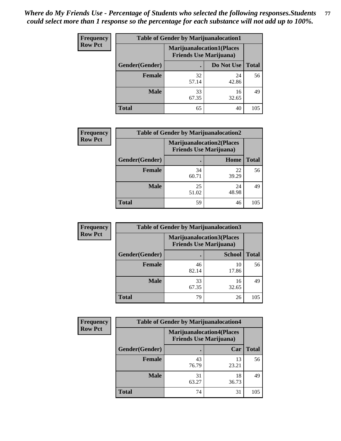| <b>Frequency</b> | <b>Table of Gender by Marijuanalocation1</b> |                                                                    |             |              |
|------------------|----------------------------------------------|--------------------------------------------------------------------|-------------|--------------|
| <b>Row Pct</b>   |                                              | <b>Marijuanalocation1(Places</b><br><b>Friends Use Marijuana</b> ) |             |              |
|                  | Gender(Gender)                               |                                                                    | Do Not Use  | <b>Total</b> |
|                  | <b>Female</b>                                | 32<br>57.14                                                        | 24<br>42.86 | 56           |
|                  | <b>Male</b>                                  | 33<br>67.35                                                        | 16<br>32.65 | 49           |
|                  | <b>Total</b>                                 | 65                                                                 | 40          | 105          |

| <b>Frequency</b> |                | <b>Table of Gender by Marijuanalocation2</b>                       |             |              |
|------------------|----------------|--------------------------------------------------------------------|-------------|--------------|
| <b>Row Pct</b>   |                | <b>Marijuanalocation2(Places</b><br><b>Friends Use Marijuana</b> ) |             |              |
|                  | Gender(Gender) |                                                                    | Home        | <b>Total</b> |
|                  | Female         | 34<br>60.71                                                        | 22<br>39.29 | 56           |
|                  | <b>Male</b>    | 25<br>51.02                                                        | 24<br>48.98 | 49           |
|                  | <b>Total</b>   | 59                                                                 | 46          | 105          |

| Frequency      | <b>Table of Gender by Marijuanalocation3</b> |                                                                    |               |              |
|----------------|----------------------------------------------|--------------------------------------------------------------------|---------------|--------------|
| <b>Row Pct</b> |                                              | <b>Marijuanalocation3(Places</b><br><b>Friends Use Marijuana</b> ) |               |              |
|                | Gender(Gender)                               |                                                                    | <b>School</b> | <b>Total</b> |
|                | Female                                       | 46<br>82.14                                                        | 10<br>17.86   | 56           |
|                | <b>Male</b>                                  | 33<br>67.35                                                        | 16<br>32.65   | 49           |
|                | <b>Total</b>                                 | 79                                                                 | 26            | 105          |

| <b>Frequency</b> |                | <b>Table of Gender by Marijuanalocation4</b> |                                  |              |
|------------------|----------------|----------------------------------------------|----------------------------------|--------------|
| <b>Row Pct</b>   |                | <b>Friends Use Marijuana</b> )               | <b>Marijuanalocation4(Places</b> |              |
|                  | Gender(Gender) |                                              | Car                              | <b>Total</b> |
|                  | Female         | 43<br>76.79                                  | 13<br>23.21                      | 56           |
|                  | <b>Male</b>    | 31<br>63.27                                  | 18<br>36.73                      | 49           |
|                  | <b>Total</b>   | 74                                           | 31                               | 105          |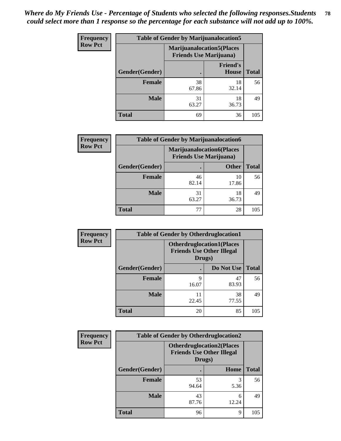| <b>Frequency</b> | <b>Table of Gender by Marijuanalocation5</b> |                                                                    |                          |              |
|------------------|----------------------------------------------|--------------------------------------------------------------------|--------------------------|--------------|
| <b>Row Pct</b>   |                                              | <b>Marijuanalocation5(Places</b><br><b>Friends Use Marijuana</b> ) |                          |              |
|                  | Gender(Gender)                               |                                                                    | <b>Friend's</b><br>House | <b>Total</b> |
|                  | <b>Female</b>                                | 38<br>67.86                                                        | 18<br>32.14              | 56           |
|                  | <b>Male</b>                                  | 31<br>63.27                                                        | 18<br>36.73              | 49           |
|                  | <b>Total</b>                                 | 69                                                                 | 36                       | 105          |

| <b>Frequency</b> | <b>Table of Gender by Marijuanalocation6</b> |                                                                    |              |              |
|------------------|----------------------------------------------|--------------------------------------------------------------------|--------------|--------------|
| <b>Row Pct</b>   |                                              | <b>Marijuanalocation6(Places</b><br><b>Friends Use Marijuana</b> ) |              |              |
|                  | Gender(Gender)                               |                                                                    | <b>Other</b> | <b>Total</b> |
|                  | <b>Female</b>                                | 46<br>82.14                                                        | 10<br>17.86  | 56           |
|                  | <b>Male</b>                                  | 31<br>63.27                                                        | 18<br>36.73  | 49           |
|                  | Total                                        | 77                                                                 | 28           | 105          |

| <b>Frequency</b> | <b>Table of Gender by Otherdruglocation1</b> |                                                                                |             |              |
|------------------|----------------------------------------------|--------------------------------------------------------------------------------|-------------|--------------|
| <b>Row Pct</b>   |                                              | <b>Otherdruglocation1(Places</b><br><b>Friends Use Other Illegal</b><br>Drugs) |             |              |
|                  | Gender(Gender)                               |                                                                                | Do Not Use  | <b>Total</b> |
|                  | Female                                       | Q<br>16.07                                                                     | 47<br>83.93 | 56           |
|                  | <b>Male</b>                                  | 22.45                                                                          | 38<br>77.55 | 49           |
|                  | <b>Total</b>                                 | 20                                                                             | 85          | 105          |

| Frequency      | <b>Table of Gender by Otherdruglocation2</b> |                                            |                                  |              |
|----------------|----------------------------------------------|--------------------------------------------|----------------------------------|--------------|
| <b>Row Pct</b> |                                              | <b>Friends Use Other Illegal</b><br>Drugs) | <b>Otherdruglocation2(Places</b> |              |
|                | Gender(Gender)                               |                                            | Home                             | <b>Total</b> |
|                | <b>Female</b>                                | 53<br>94.64                                | 3<br>5.36                        | 56           |
|                | <b>Male</b>                                  | 43<br>87.76                                | 6<br>12.24                       | 49           |
|                | <b>Total</b>                                 | 96                                         | 9                                | 105          |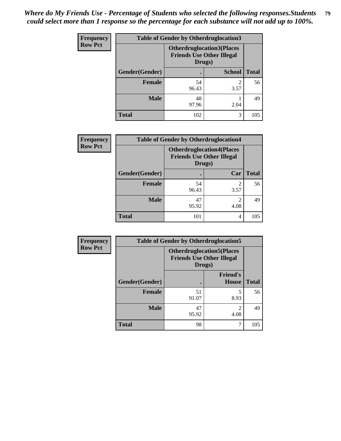| Frequency      | <b>Table of Gender by Otherdruglocation3</b> |                                                                                |               |              |
|----------------|----------------------------------------------|--------------------------------------------------------------------------------|---------------|--------------|
| <b>Row Pct</b> |                                              | <b>Otherdruglocation3(Places</b><br><b>Friends Use Other Illegal</b><br>Drugs) |               |              |
|                | Gender(Gender)                               |                                                                                | <b>School</b> | <b>Total</b> |
|                | Female                                       | 54<br>96.43                                                                    | 3.57          | 56           |
|                | <b>Male</b>                                  | 48<br>97.96                                                                    | 2.04          | 49           |
|                | <b>Total</b>                                 | 102                                                                            | 3             | 105          |

| Frequency      | <b>Table of Gender by Otherdruglocation4</b> |                                                                                |                        |              |
|----------------|----------------------------------------------|--------------------------------------------------------------------------------|------------------------|--------------|
| <b>Row Pct</b> |                                              | <b>Otherdruglocation4(Places</b><br><b>Friends Use Other Illegal</b><br>Drugs) |                        |              |
|                | Gender(Gender)                               |                                                                                | Car                    | <b>Total</b> |
|                | Female                                       | 54<br>96.43                                                                    | 3.57                   | 56           |
|                | <b>Male</b>                                  | 47<br>95.92                                                                    | $\mathfrak{D}$<br>4.08 | 49           |
|                | <b>Total</b>                                 | 101                                                                            | 4                      | 105          |

| Frequency      | <b>Table of Gender by Otherdruglocation5</b> |             |                                                                                |              |
|----------------|----------------------------------------------|-------------|--------------------------------------------------------------------------------|--------------|
| <b>Row Pct</b> |                                              |             | <b>Otherdruglocation5(Places</b><br><b>Friends Use Other Illegal</b><br>Drugs) |              |
|                | Gender(Gender)                               |             | <b>Friend's</b><br><b>House</b>                                                | <b>Total</b> |
|                | <b>Female</b>                                | 51<br>91.07 | 8.93                                                                           | 56           |
|                | <b>Male</b>                                  | 47<br>95.92 | $\mathfrak{D}$<br>4.08                                                         | 49           |
|                | <b>Total</b>                                 | 98          | ⇁                                                                              | 105          |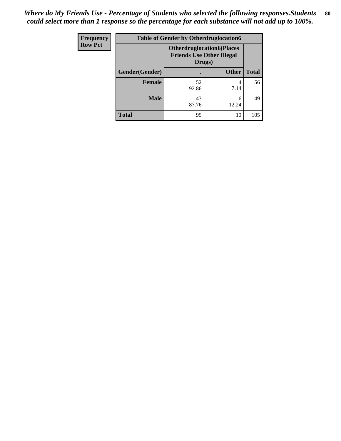| <b>Frequency</b> | <b>Table of Gender by Otherdruglocation6</b> |                                                                                |              |              |
|------------------|----------------------------------------------|--------------------------------------------------------------------------------|--------------|--------------|
| <b>Row Pct</b>   |                                              | <b>Otherdruglocation6(Places</b><br><b>Friends Use Other Illegal</b><br>Drugs) |              |              |
|                  | Gender(Gender)                               |                                                                                | <b>Other</b> | <b>Total</b> |
|                  | Female                                       | 52<br>92.86                                                                    | 4<br>7.14    | 56           |
|                  | <b>Male</b>                                  | 43<br>87.76                                                                    | 6<br>12.24   | 49           |
|                  | <b>Total</b>                                 | 95                                                                             | 10           | 105          |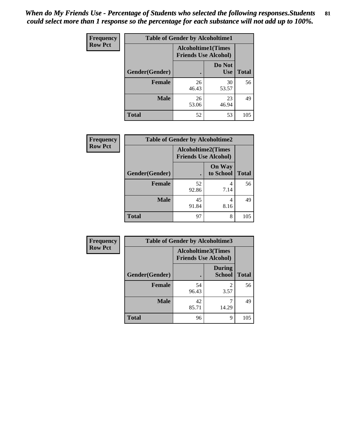| Frequency      | <b>Table of Gender by Alcoholtime1</b> |                                                          |                      |              |
|----------------|----------------------------------------|----------------------------------------------------------|----------------------|--------------|
| <b>Row Pct</b> |                                        | <b>Alcoholtime1(Times</b><br><b>Friends Use Alcohol)</b> |                      |              |
|                | <b>Gender</b> (Gender)                 |                                                          | Do Not<br><b>Use</b> | <b>Total</b> |
|                | <b>Female</b>                          | 26<br>46.43                                              | 30<br>53.57          | 56           |
|                | <b>Male</b>                            | 26<br>53.06                                              | 23<br>46.94          | 49           |
|                | <b>Total</b>                           | 52                                                       | 53                   | 105          |

| <b>Frequency</b> | <b>Table of Gender by Alcoholtime2</b> |                                                          |                            |              |
|------------------|----------------------------------------|----------------------------------------------------------|----------------------------|--------------|
| <b>Row Pct</b>   |                                        | <b>Alcoholtime2(Times</b><br><b>Friends Use Alcohol)</b> |                            |              |
|                  | Gender(Gender)                         |                                                          | <b>On Way</b><br>to School | <b>Total</b> |
|                  | <b>Female</b>                          | 52<br>92.86                                              | 4<br>7.14                  | 56           |
|                  | <b>Male</b>                            | 45<br>91.84                                              | 4<br>8.16                  | 49           |
|                  | <b>Total</b>                           | 97                                                       | 8                          | 105          |

| Frequency      | <b>Table of Gender by Alcoholtime3</b> |                                                          |                         |              |
|----------------|----------------------------------------|----------------------------------------------------------|-------------------------|--------------|
| <b>Row Pct</b> |                                        | <b>Alcoholtime3(Times</b><br><b>Friends Use Alcohol)</b> |                         |              |
|                | Gender(Gender)                         |                                                          | <b>During</b><br>School | <b>Total</b> |
|                | Female                                 | 54<br>96.43                                              | 2<br>3.57               | 56           |
|                | <b>Male</b>                            | 42<br>85.71                                              | 14.29                   | 49           |
|                | <b>Total</b>                           | 96                                                       | 9                       | 105          |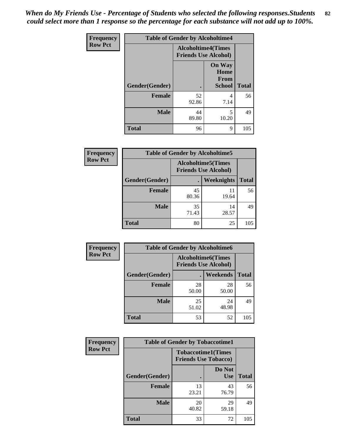*When do My Friends Use - Percentage of Students who selected the following responses.Students could select more than 1 response so the percentage for each substance will not add up to 100%.* **82**

| <b>Frequency</b> | <b>Table of Gender by Alcoholtime4</b> |                                                          |                                         |              |
|------------------|----------------------------------------|----------------------------------------------------------|-----------------------------------------|--------------|
| <b>Row Pct</b>   |                                        | <b>Alcoholtime4(Times</b><br><b>Friends Use Alcohol)</b> |                                         |              |
|                  | Gender(Gender)                         |                                                          | <b>On Way</b><br>Home<br>From<br>School | <b>Total</b> |
|                  | <b>Female</b>                          | 52<br>92.86                                              | 4<br>7.14                               | 56           |
|                  | <b>Male</b>                            | 44<br>89.80                                              | 5<br>10.20                              | 49           |
|                  | <b>Total</b>                           | 96                                                       | 9                                       | 105          |

| <b>Frequency</b> | <b>Table of Gender by Alcoholtime5</b> |                                                           |             |              |
|------------------|----------------------------------------|-----------------------------------------------------------|-------------|--------------|
| <b>Row Pct</b>   |                                        | <b>Alcoholtime5</b> (Times<br><b>Friends Use Alcohol)</b> |             |              |
|                  | Gender(Gender)                         |                                                           | Weeknights  | <b>Total</b> |
|                  | <b>Female</b>                          | 45<br>80.36                                               | 11<br>19.64 | 56           |
|                  | <b>Male</b>                            | 35<br>71.43                                               | 14<br>28.57 | 49           |
|                  | <b>Total</b>                           | 80                                                        | 25          | 105          |

| <b>Frequency</b> | <b>Table of Gender by Alcoholtime6</b> |             |                                                          |              |
|------------------|----------------------------------------|-------------|----------------------------------------------------------|--------------|
| <b>Row Pct</b>   |                                        |             | <b>Alcoholtime6(Times</b><br><b>Friends Use Alcohol)</b> |              |
|                  | Gender(Gender)                         |             | Weekends                                                 | <b>Total</b> |
|                  | Female                                 | 28<br>50.00 | 28<br>50.00                                              | 56           |
|                  | <b>Male</b>                            | 25<br>51.02 | 24<br>48.98                                              | 49           |
|                  | <b>Total</b>                           | 53          | 52                                                       | 105          |

| Frequency      | <b>Table of Gender by Tobaccotime1</b> |                                                          |                      |              |
|----------------|----------------------------------------|----------------------------------------------------------|----------------------|--------------|
| <b>Row Pct</b> |                                        | <b>Tobaccotime1(Times</b><br><b>Friends Use Tobacco)</b> |                      |              |
|                | Gender(Gender)                         |                                                          | Do Not<br><b>Use</b> | <b>Total</b> |
|                | Female                                 | 13<br>23.21                                              | 43<br>76.79          | 56           |
|                | <b>Male</b>                            | 20<br>40.82                                              | 29<br>59.18          | 49           |
|                | <b>Total</b>                           | 33                                                       | 72                   | 105          |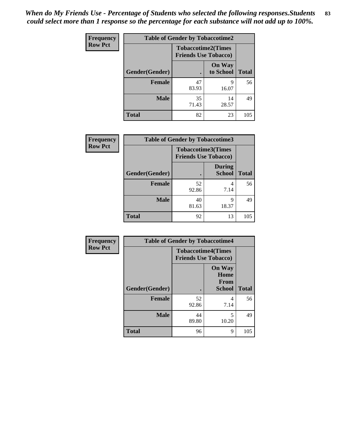| <b>Frequency</b> |                | <b>Table of Gender by Tobaccotime2</b> |                            |              |
|------------------|----------------|----------------------------------------|----------------------------|--------------|
| <b>Row Pct</b>   |                | <b>Friends Use Tobacco)</b>            | <b>Tobaccotime2(Times</b>  |              |
|                  | Gender(Gender) |                                        | <b>On Way</b><br>to School | <b>Total</b> |
|                  | <b>Female</b>  | 47<br>83.93                            | 9<br>16.07                 | 56           |
|                  | <b>Male</b>    | 35<br>71.43                            | 14<br>28.57                | 49           |
|                  | <b>Total</b>   | 82                                     | 23                         | 105          |

| Frequency      | <b>Table of Gender by Tobaccotime3</b> |                             |                                |              |
|----------------|----------------------------------------|-----------------------------|--------------------------------|--------------|
| <b>Row Pct</b> |                                        | <b>Friends Use Tobacco)</b> | <b>Tobaccotime3(Times</b>      |              |
|                | Gender(Gender)                         |                             | <b>During</b><br><b>School</b> | <b>Total</b> |
|                | <b>Female</b>                          | 52<br>92.86                 | 4<br>7.14                      | 56           |
|                | <b>Male</b>                            | 40<br>81.63                 | q<br>18.37                     | 49           |
|                | <b>Total</b>                           | 92                          | 13                             | 105          |

| <b>Frequency</b> | <b>Table of Gender by Tobaccotime4</b> |                                                          |                                                       |              |
|------------------|----------------------------------------|----------------------------------------------------------|-------------------------------------------------------|--------------|
| <b>Row Pct</b>   |                                        | <b>Tobaccotime4(Times</b><br><b>Friends Use Tobacco)</b> |                                                       |              |
|                  | Gender(Gender)                         |                                                          | <b>On Way</b><br>Home<br><b>From</b><br><b>School</b> | <b>Total</b> |
|                  | <b>Female</b>                          | 52<br>92.86                                              | 4<br>7.14                                             | 56           |
|                  | <b>Male</b>                            | 44<br>89.80                                              | 5<br>10.20                                            | 49           |
|                  | <b>Total</b>                           | 96                                                       | 9                                                     | 105          |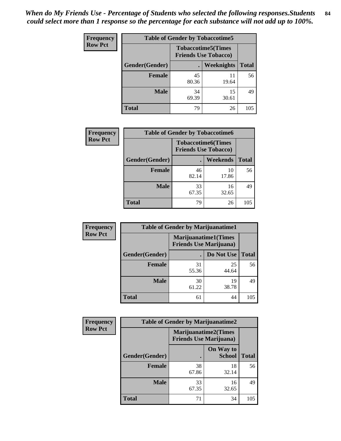| <b>Frequency</b> | <b>Table of Gender by Tobaccotime5</b> |             |                                                           |              |  |
|------------------|----------------------------------------|-------------|-----------------------------------------------------------|--------------|--|
| <b>Row Pct</b>   |                                        |             | <b>Tobaccotime5</b> (Times<br><b>Friends Use Tobacco)</b> |              |  |
|                  | Gender(Gender)                         |             | <b>Weeknights</b>                                         | <b>Total</b> |  |
|                  | <b>Female</b>                          | 45<br>80.36 | 11<br>19.64                                               | 56           |  |
|                  | <b>Male</b>                            | 34<br>69.39 | 15<br>30.61                                               | 49           |  |
|                  | <b>Total</b>                           | 79          | 26                                                        | 105          |  |

| <b>Frequency</b> | <b>Table of Gender by Tobaccotime6</b> |                                                          |                 |              |
|------------------|----------------------------------------|----------------------------------------------------------|-----------------|--------------|
| <b>Row Pct</b>   |                                        | <b>Tobaccotime6(Times</b><br><b>Friends Use Tobacco)</b> |                 |              |
|                  | Gender(Gender)                         |                                                          | <b>Weekends</b> | <b>Total</b> |
|                  | Female                                 | 46<br>82.14                                              | 10<br>17.86     | 56           |
|                  | <b>Male</b>                            | 33<br>67.35                                              | 16<br>32.65     | 49           |
|                  | <b>Total</b>                           | 79                                                       | 26              | 105          |

| <b>Frequency</b> | <b>Table of Gender by Marijuanatime1</b>                      |             |             |              |
|------------------|---------------------------------------------------------------|-------------|-------------|--------------|
| <b>Row Pct</b>   | <b>Marijuanatime1(Times</b><br><b>Friends Use Marijuana</b> ) |             |             |              |
|                  | Gender(Gender)                                                |             | Do Not Use  | <b>Total</b> |
|                  | <b>Female</b>                                                 | 31<br>55.36 | 25<br>44.64 | 56           |
|                  | <b>Male</b>                                                   | 30<br>61.22 | 19<br>38.78 | 49           |
|                  | <b>Total</b>                                                  | 61          | 44          | 105          |

| <b>Frequency</b> | <b>Table of Gender by Marijuanatime2</b> |                                |                             |              |
|------------------|------------------------------------------|--------------------------------|-----------------------------|--------------|
| <b>Row Pct</b>   |                                          | <b>Friends Use Marijuana</b> ) | <b>Marijuanatime2(Times</b> |              |
|                  | Gender(Gender)                           |                                | On Way to<br><b>School</b>  | <b>Total</b> |
|                  | Female                                   | 38<br>67.86                    | 18<br>32.14                 | 56           |
|                  | <b>Male</b>                              | 33<br>67.35                    | 16<br>32.65                 | 49           |
|                  | <b>Total</b>                             | 71                             | 34                          | 105          |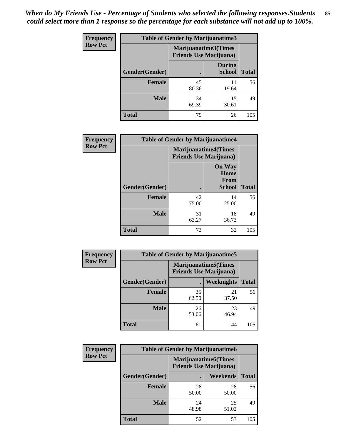| <b>Frequency</b> | <b>Table of Gender by Marijuanatime3</b> |                                |                                |              |
|------------------|------------------------------------------|--------------------------------|--------------------------------|--------------|
| <b>Row Pct</b>   |                                          | <b>Friends Use Marijuana</b> ) | Marijuanatime3(Times           |              |
|                  | Gender(Gender)                           |                                | <b>During</b><br><b>School</b> | <b>Total</b> |
|                  | <b>Female</b>                            | 45<br>80.36                    | 11<br>19.64                    | 56           |
|                  | <b>Male</b>                              | 34<br>69.39                    | 15<br>30.61                    | 49           |
|                  | <b>Total</b>                             | 79                             | 26                             | 105          |

| Frequency      | <b>Table of Gender by Marijuanatime4</b> |                             |                                                       |              |
|----------------|------------------------------------------|-----------------------------|-------------------------------------------------------|--------------|
| <b>Row Pct</b> |                                          | <b>Marijuanatime4(Times</b> | <b>Friends Use Marijuana</b> )                        |              |
|                | Gender(Gender)                           |                             | <b>On Way</b><br>Home<br><b>From</b><br><b>School</b> | <b>Total</b> |
|                | <b>Female</b>                            | 42<br>75.00                 | 14<br>25.00                                           | 56           |
|                | <b>Male</b>                              | 31<br>63.27                 | 18<br>36.73                                           | 49           |
|                | <b>Total</b>                             | 73                          | 32                                                    | 105          |

| Frequency      | <b>Table of Gender by Marijuanatime5</b> |             |                                                                |              |  |
|----------------|------------------------------------------|-------------|----------------------------------------------------------------|--------------|--|
| <b>Row Pct</b> |                                          |             | <b>Marijuanatime5</b> (Times<br><b>Friends Use Marijuana</b> ) |              |  |
|                | Gender(Gender)                           |             | Weeknights                                                     | <b>Total</b> |  |
|                | <b>Female</b>                            | 35<br>62.50 | 21<br>37.50                                                    | 56           |  |
|                | <b>Male</b>                              | 26<br>53.06 | 23<br>46.94                                                    | 49           |  |
|                | <b>Total</b>                             | 61          | 44                                                             | 105          |  |

| Frequency      | <b>Table of Gender by Marijuanatime6</b> |                                                               |                 |              |  |
|----------------|------------------------------------------|---------------------------------------------------------------|-----------------|--------------|--|
| <b>Row Pct</b> |                                          | <b>Marijuanatime6(Times</b><br><b>Friends Use Marijuana</b> ) |                 |              |  |
|                | Gender(Gender)                           |                                                               | <b>Weekends</b> | <b>Total</b> |  |
|                | <b>Female</b>                            | 28<br>50.00                                                   | 28<br>50.00     | 56           |  |
|                | <b>Male</b>                              | 24<br>48.98                                                   | 25<br>51.02     | 49           |  |
|                | <b>Total</b>                             | 52                                                            | 53              | 105          |  |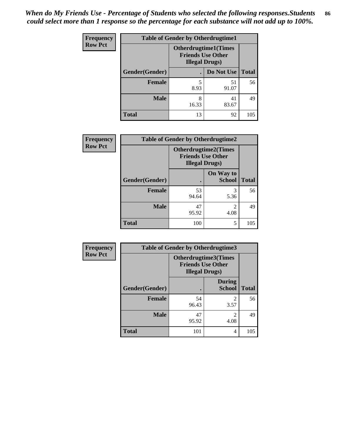| <b>Frequency</b> | <b>Table of Gender by Otherdrugtime1</b> |                        |                                                          |     |  |
|------------------|------------------------------------------|------------------------|----------------------------------------------------------|-----|--|
| <b>Row Pct</b>   |                                          | <b>Illegal Drugs</b> ) | <b>Otherdrugtime1</b> (Times<br><b>Friends Use Other</b> |     |  |
|                  | Gender(Gender)                           |                        | Do Not Use   Total                                       |     |  |
|                  | <b>Female</b>                            | 5<br>8.93              | 51<br>91.07                                              | 56  |  |
|                  | <b>Male</b>                              | 8<br>16.33             | 41<br>83.67                                              | 49  |  |
|                  | <b>Total</b>                             | 13                     | 92                                                       | 105 |  |

| Frequency      | <b>Table of Gender by Otherdrugtime2</b> |                                                                                   |                            |              |
|----------------|------------------------------------------|-----------------------------------------------------------------------------------|----------------------------|--------------|
| <b>Row Pct</b> |                                          | <b>Otherdrugtime2(Times</b><br><b>Friends Use Other</b><br><b>Illegal Drugs</b> ) |                            |              |
|                | Gender(Gender)                           |                                                                                   | On Way to<br><b>School</b> | <b>Total</b> |
|                | <b>Female</b>                            | 53<br>94.64                                                                       | 3<br>5.36                  | 56           |
|                | <b>Male</b>                              | 47<br>95.92                                                                       | $\mathfrak{D}$<br>4.08     | 49           |
|                | <b>Total</b>                             | 100                                                                               | 5                          | 105          |

| <b>Frequency</b> | Table of Gender by Otherdrugtime3 |                                                                            |                                |              |  |
|------------------|-----------------------------------|----------------------------------------------------------------------------|--------------------------------|--------------|--|
| <b>Row Pct</b>   |                                   | Otherdrugtime3(Times<br><b>Friends Use Other</b><br><b>Illegal Drugs</b> ) |                                |              |  |
|                  | Gender(Gender)                    |                                                                            | <b>During</b><br><b>School</b> | <b>Total</b> |  |
|                  | <b>Female</b>                     | 54<br>96.43                                                                | 2<br>3.57                      | 56           |  |
|                  | <b>Male</b>                       | 47<br>95.92                                                                | $\overline{2}$<br>4.08         | 49           |  |
|                  | <b>Total</b>                      | 101                                                                        | 4                              | 105          |  |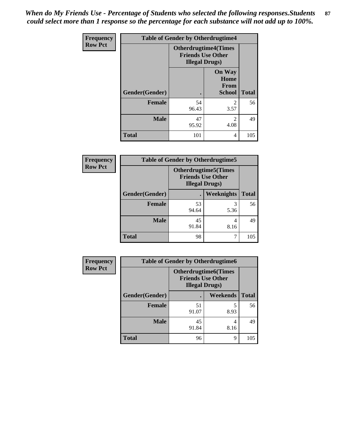*When do My Friends Use - Percentage of Students who selected the following responses.Students could select more than 1 response so the percentage for each substance will not add up to 100%.* **87**

| Frequency      | <b>Table of Gender by Otherdrugtime4</b> |                        |                                                         |              |
|----------------|------------------------------------------|------------------------|---------------------------------------------------------|--------------|
| <b>Row Pct</b> |                                          | <b>Illegal Drugs</b> ) | <b>Otherdrugtime4(Times</b><br><b>Friends Use Other</b> |              |
|                | Gender(Gender)                           |                        | <b>On Way</b><br>Home<br><b>From</b><br><b>School</b>   | <b>Total</b> |
|                | <b>Female</b>                            | 54<br>96.43            | $\mathcal{D}_{\mathcal{L}}$<br>3.57                     | 56           |
|                | <b>Male</b>                              | 47<br>95.92            | $\mathfrak{D}$<br>4.08                                  | 49           |
|                | <b>Total</b>                             | 101                    | 4                                                       | 105          |

| <b>Frequency</b> | <b>Table of Gender by Otherdrugtime5</b> |                                                                                   |                   |              |
|------------------|------------------------------------------|-----------------------------------------------------------------------------------|-------------------|--------------|
| <b>Row Pct</b>   |                                          | <b>Otherdrugtime5</b> (Times<br><b>Friends Use Other</b><br><b>Illegal Drugs)</b> |                   |              |
|                  | Gender(Gender)                           | $\bullet$                                                                         | <b>Weeknights</b> | <b>Total</b> |
|                  | <b>Female</b>                            | 53<br>94.64                                                                       | 5.36              | 56           |
|                  | <b>Male</b>                              | 45<br>91.84                                                                       | 4<br>8.16         | 49           |
|                  | <b>Total</b>                             | 98                                                                                |                   | 105          |

| <b>Frequency</b> | <b>Table of Gender by Otherdrugtime6</b> |                                                                                   |                 |              |
|------------------|------------------------------------------|-----------------------------------------------------------------------------------|-----------------|--------------|
| <b>Row Pct</b>   |                                          | <b>Otherdrugtime6(Times</b><br><b>Friends Use Other</b><br><b>Illegal Drugs</b> ) |                 |              |
|                  | Gender(Gender)                           |                                                                                   | <b>Weekends</b> | <b>Total</b> |
|                  | <b>Female</b>                            | 51<br>91.07                                                                       | 5<br>8.93       | 56           |
|                  | <b>Male</b>                              | 45<br>91.84                                                                       | 4<br>8.16       | 49           |
|                  | <b>Total</b>                             | 96                                                                                | 9               | 105          |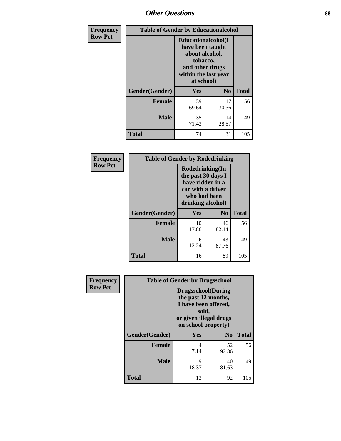## *Other Questions* **88**

| <b>Frequency</b> | <b>Table of Gender by Educationalcohol</b> |                                                                                                                                       |                |              |
|------------------|--------------------------------------------|---------------------------------------------------------------------------------------------------------------------------------------|----------------|--------------|
| <b>Row Pct</b>   |                                            | <b>Educationalcohol</b> (I<br>have been taught<br>about alcohol,<br>tobacco,<br>and other drugs<br>within the last year<br>at school) |                |              |
|                  | Gender(Gender)                             | <b>Yes</b>                                                                                                                            | N <sub>0</sub> | <b>Total</b> |
|                  | <b>Female</b>                              | 39<br>69.64                                                                                                                           | 17<br>30.36    | 56           |
|                  | <b>Male</b>                                | 35<br>71.43                                                                                                                           | 14<br>28.57    | 49           |
|                  | <b>Total</b>                               | 74                                                                                                                                    | 31             | 105          |

| Frequency      | <b>Table of Gender by Rodedrinking</b> |                                                                                                                     |             |              |  |
|----------------|----------------------------------------|---------------------------------------------------------------------------------------------------------------------|-------------|--------------|--|
| <b>Row Pct</b> |                                        | Rodedrinking(In<br>the past 30 days I<br>have ridden in a<br>car with a driver<br>who had been<br>drinking alcohol) |             |              |  |
|                | Gender(Gender)                         | Yes                                                                                                                 | $\bf N_0$   | <b>Total</b> |  |
|                | <b>Female</b>                          | 10<br>17.86                                                                                                         | 46<br>82.14 | 56           |  |
|                | <b>Male</b>                            | 6<br>12.24                                                                                                          | 43<br>87.76 | 49           |  |
|                | <b>Total</b>                           | 16                                                                                                                  | 89          | 105          |  |

| Frequency      | <b>Table of Gender by Drugsschool</b> |                                                                                                                                     |                |              |
|----------------|---------------------------------------|-------------------------------------------------------------------------------------------------------------------------------------|----------------|--------------|
| <b>Row Pct</b> |                                       | <b>Drugsschool</b> (During<br>the past 12 months,<br>I have been offered,<br>sold,<br>or given illegal drugs<br>on school property) |                |              |
|                | Gender(Gender)                        | Yes                                                                                                                                 | N <sub>0</sub> | <b>Total</b> |
|                | <b>Female</b>                         | 4<br>7.14                                                                                                                           | 52<br>92.86    | 56           |
|                | <b>Male</b>                           | 9<br>18.37                                                                                                                          | 40<br>81.63    | 49           |
|                | <b>Total</b>                          | 13                                                                                                                                  | 92             | 105          |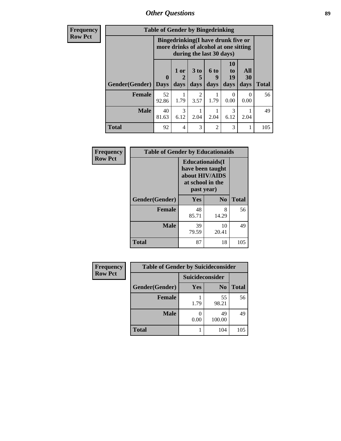*Other Questions* **89**

**Frequency Row Pct**

| <b>Table of Gender by Bingedrinking</b> |                         |                                                                                                                |                        |                              |                        |                   |              |
|-----------------------------------------|-------------------------|----------------------------------------------------------------------------------------------------------------|------------------------|------------------------------|------------------------|-------------------|--------------|
|                                         |                         | <b>Bingedrinking(I have drunk five or</b><br>more drinks of alcohol at one sitting<br>during the last 30 days) |                        |                              |                        |                   |              |
| <b>Gender</b> (Gender)                  | $\bf{0}$<br><b>Days</b> | 1 or<br>2<br>days                                                                                              | 3 to<br>days           | 6 <sub>to</sub><br>9<br>days | 10<br>to<br>19<br>days | All<br>30<br>days | <b>Total</b> |
|                                         |                         |                                                                                                                |                        |                              |                        |                   |              |
| <b>Female</b>                           | 52<br>92.86             | 1.79                                                                                                           | $\overline{2}$<br>3.57 | 1.79                         | $\Omega$<br>0.00       | $\Omega$<br>0.00  | 56           |
| <b>Male</b>                             | 40<br>81.63             | 3<br>6.12                                                                                                      | 2.04                   | 2.04                         | 3<br>6.12              | 2.04              | 49           |

| Frequency      | <b>Table of Gender by Educationaids</b> |                                                                                                 |                |              |
|----------------|-----------------------------------------|-------------------------------------------------------------------------------------------------|----------------|--------------|
| <b>Row Pct</b> |                                         | <b>Educationaids</b> (I<br>have been taught<br>about HIV/AIDS<br>at school in the<br>past year) |                |              |
|                | Gender(Gender)                          | Yes                                                                                             | N <sub>0</sub> | <b>Total</b> |
|                | <b>Female</b>                           | 48<br>85.71                                                                                     | 8<br>14.29     | 56           |
|                | <b>Male</b>                             | 39<br>79.59                                                                                     | 10<br>20.41    | 49           |
|                | <b>Total</b>                            | 87                                                                                              | 18             | 105          |

| Frequency      | <b>Table of Gender by Suicideconsider</b> |                 |                |              |
|----------------|-------------------------------------------|-----------------|----------------|--------------|
| <b>Row Pct</b> |                                           | Suicideconsider |                |              |
|                | Gender(Gender)                            | Yes             | N <sub>0</sub> | <b>Total</b> |
|                | <b>Female</b>                             | 1.79            | 55<br>98.21    | 56           |
|                | <b>Male</b>                               | 0.00            | 49<br>100.00   | 49           |
|                | <b>Total</b>                              |                 | 104            | 105          |